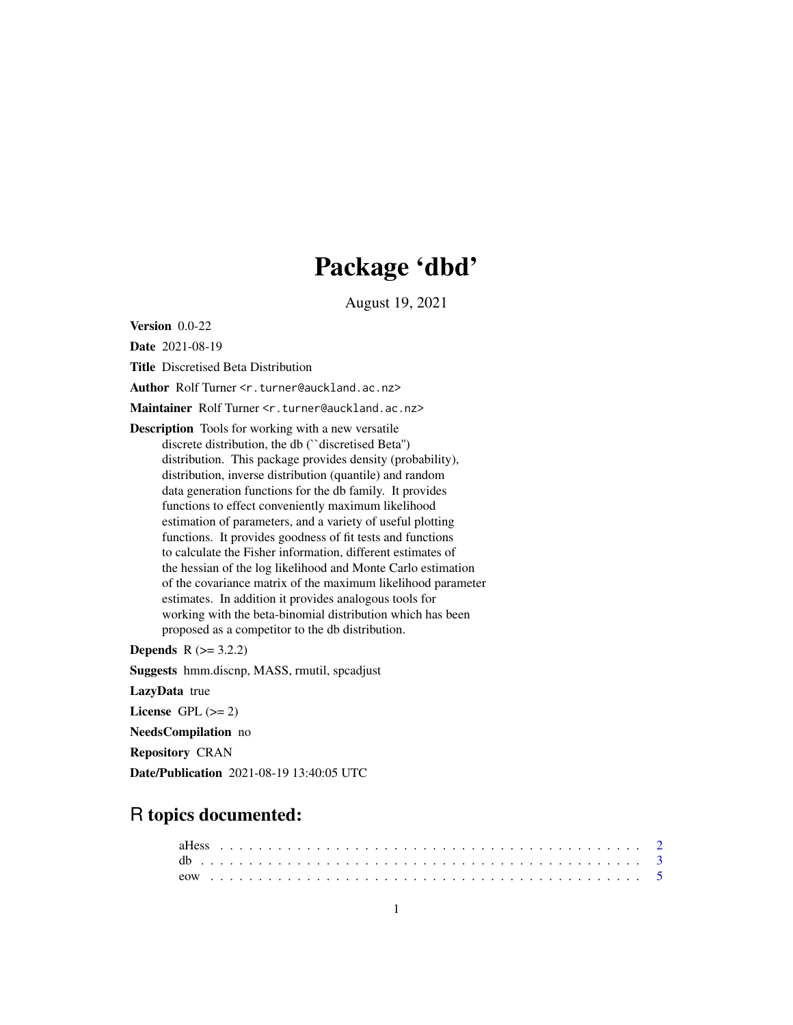# Package 'dbd'

August 19, 2021

<span id="page-0-0"></span>Version 0.0-22

Date 2021-08-19

Title Discretised Beta Distribution

Author Rolf Turner <r.turner@auckland.ac.nz>

Maintainer Rolf Turner <r.turner@auckland.ac.nz>

Description Tools for working with a new versatile discrete distribution, the db (``discretised Beta'') distribution. This package provides density (probability), distribution, inverse distribution (quantile) and random data generation functions for the db family. It provides functions to effect conveniently maximum likelihood estimation of parameters, and a variety of useful plotting functions. It provides goodness of fit tests and functions to calculate the Fisher information, different estimates of the hessian of the log likelihood and Monte Carlo estimation of the covariance matrix of the maximum likelihood parameter estimates. In addition it provides analogous tools for working with the beta-binomial distribution which has been proposed as a competitor to the db distribution.

**Depends**  $R (= 3.2.2)$ 

Suggests hmm.discnp, MASS, rmutil, spcadjust

LazyData true

License GPL  $(>= 2)$ 

NeedsCompilation no

Repository CRAN

Date/Publication 2021-08-19 13:40:05 UTC

# R topics documented: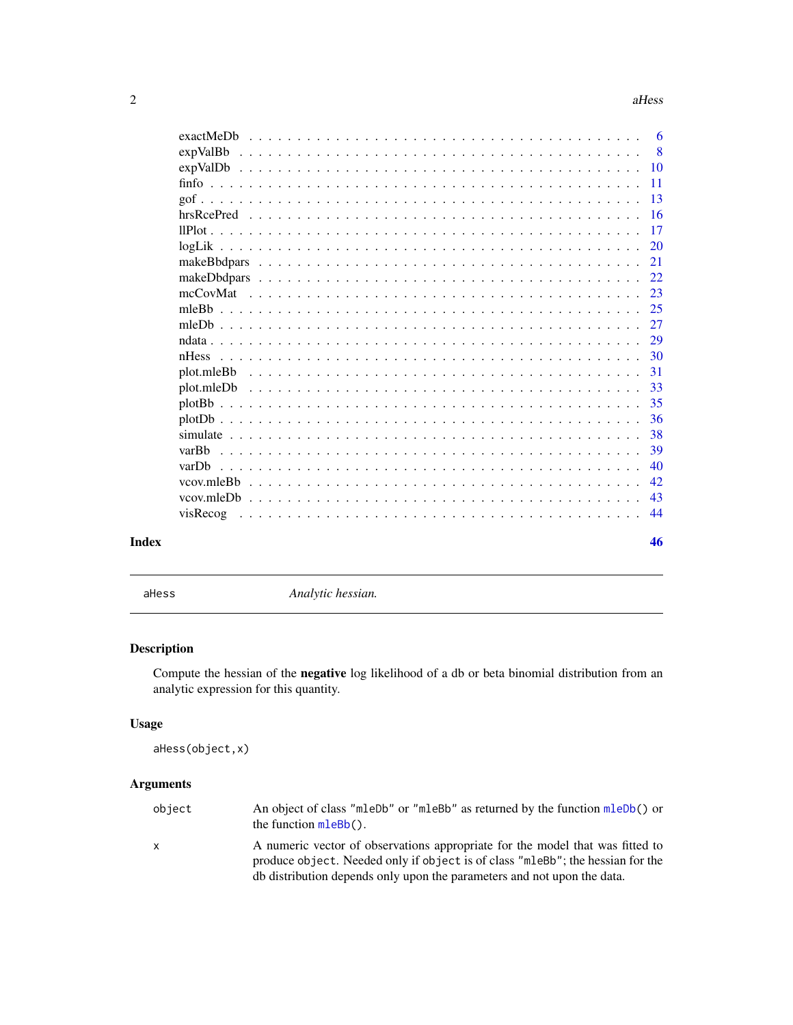<span id="page-1-0"></span>

|       | expValBb   |  |  |  |  |  |  |  |  |  |  |  |  |  |  |  | - 8             |
|-------|------------|--|--|--|--|--|--|--|--|--|--|--|--|--|--|--|-----------------|
|       |            |  |  |  |  |  |  |  |  |  |  |  |  |  |  |  |                 |
|       |            |  |  |  |  |  |  |  |  |  |  |  |  |  |  |  | $\overline{11}$ |
|       |            |  |  |  |  |  |  |  |  |  |  |  |  |  |  |  | -13             |
|       |            |  |  |  |  |  |  |  |  |  |  |  |  |  |  |  |                 |
|       |            |  |  |  |  |  |  |  |  |  |  |  |  |  |  |  | -17             |
|       |            |  |  |  |  |  |  |  |  |  |  |  |  |  |  |  | 20              |
|       |            |  |  |  |  |  |  |  |  |  |  |  |  |  |  |  | 21              |
|       |            |  |  |  |  |  |  |  |  |  |  |  |  |  |  |  | 22              |
|       |            |  |  |  |  |  |  |  |  |  |  |  |  |  |  |  | 23              |
|       |            |  |  |  |  |  |  |  |  |  |  |  |  |  |  |  | 25              |
|       |            |  |  |  |  |  |  |  |  |  |  |  |  |  |  |  | 27              |
|       |            |  |  |  |  |  |  |  |  |  |  |  |  |  |  |  | 29              |
|       |            |  |  |  |  |  |  |  |  |  |  |  |  |  |  |  | 30              |
|       | plot.mleBb |  |  |  |  |  |  |  |  |  |  |  |  |  |  |  | 31              |
|       |            |  |  |  |  |  |  |  |  |  |  |  |  |  |  |  | 33              |
|       |            |  |  |  |  |  |  |  |  |  |  |  |  |  |  |  | 35              |
|       |            |  |  |  |  |  |  |  |  |  |  |  |  |  |  |  | 36              |
|       |            |  |  |  |  |  |  |  |  |  |  |  |  |  |  |  | 38              |
|       | varBh      |  |  |  |  |  |  |  |  |  |  |  |  |  |  |  | 39              |
|       | varDh      |  |  |  |  |  |  |  |  |  |  |  |  |  |  |  | 40              |
|       |            |  |  |  |  |  |  |  |  |  |  |  |  |  |  |  | 42              |
|       |            |  |  |  |  |  |  |  |  |  |  |  |  |  |  |  | 43              |
|       |            |  |  |  |  |  |  |  |  |  |  |  |  |  |  |  | 44              |
| Index |            |  |  |  |  |  |  |  |  |  |  |  |  |  |  |  | 46              |

<span id="page-1-1"></span>

aHess *Analytic hessian.*

# Description

Compute the hessian of the negative log likelihood of a db or beta binomial distribution from an analytic expression for this quantity.

# Usage

```
aHess(object,x)
```
# Arguments

| object | An object of class "mleDb" or "mleBb" as returned by the function mleDb() or<br>the function $m \le Bb()$ .                                                                                                                                |
|--------|--------------------------------------------------------------------------------------------------------------------------------------------------------------------------------------------------------------------------------------------|
| x      | A numeric vector of observations appropriate for the model that was fitted to<br>produce object. Needed only if object is of class "mleBb"; the hessian for the<br>db distribution depends only upon the parameters and not upon the data. |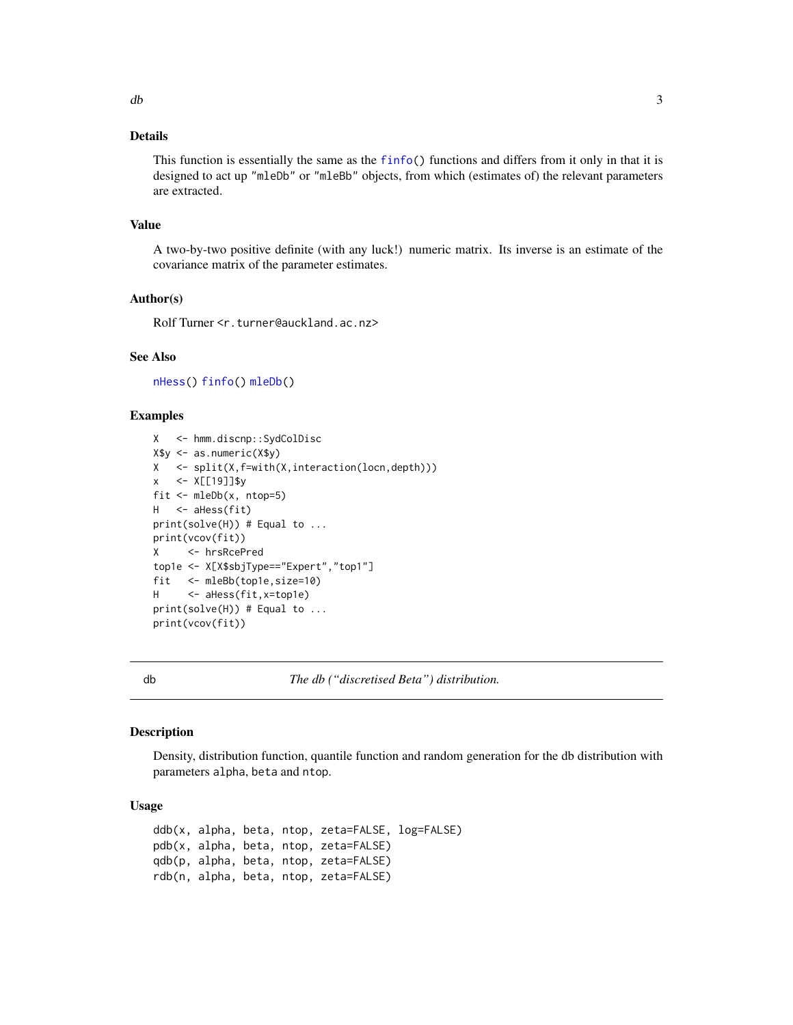# <span id="page-2-0"></span>Details

This function is essentially the same as the [finfo\(](#page-10-1)) functions and differs from it only in that it is designed to act up "mleDb" or "mleBb" objects, from which (estimates of) the relevant parameters are extracted.

#### Value

A two-by-two positive definite (with any luck!) numeric matrix. Its inverse is an estimate of the covariance matrix of the parameter estimates.

# Author(s)

Rolf Turner <r.turner@auckland.ac.nz>

# See Also

[nHess\(](#page-29-1)) [finfo\(](#page-10-1)) [mleDb\(](#page-26-1))

# Examples

```
X <- hmm.discnp::SydColDisc
X$y <- as.numeric(X$y)
X <- split(X,f=with(X,interaction(locn,depth)))
x <- X[[19]]$y
fit \leq mleDb(x, ntop=5)
H <- aHess(fit)
print(solve(H)) # Equal to ...
print(vcov(fit))
X <- hrsRcePred
top1e <- X[X$sbjType=="Expert","top1"]
fit <- mleBb(top1e,size=10)
H <- aHess(fit,x=top1e)
print(solve(H)) # Equal to ...
print(vcov(fit))
```
db *The db ("discretised Beta") distribution.*

#### <span id="page-2-1"></span>Description

Density, distribution function, quantile function and random generation for the db distribution with parameters alpha, beta and ntop.

# Usage

ddb(x, alpha, beta, ntop, zeta=FALSE, log=FALSE) pdb(x, alpha, beta, ntop, zeta=FALSE) qdb(p, alpha, beta, ntop, zeta=FALSE) rdb(n, alpha, beta, ntop, zeta=FALSE)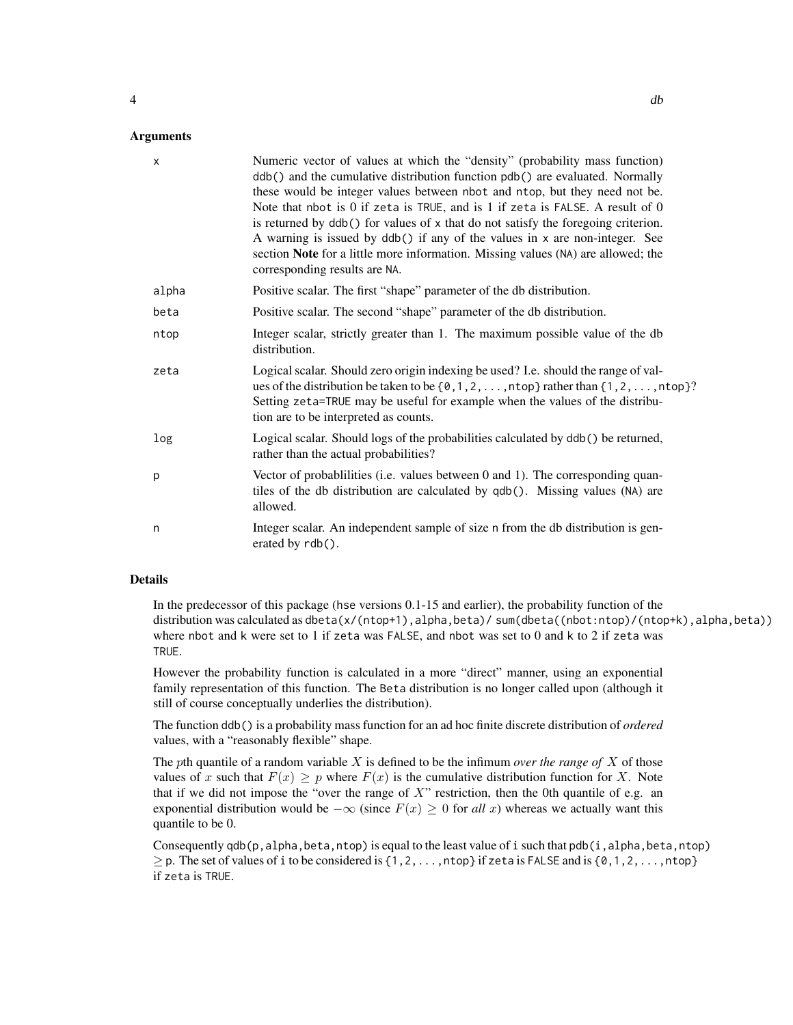#### **Arguments**

| $\mathsf{x}$ | Numeric vector of values at which the "density" (probability mass function)<br>ddb() and the cumulative distribution function pdb() are evaluated. Normally<br>these would be integer values between nbot and ntop, but they need not be.<br>Note that nbot is 0 if zeta is TRUE, and is 1 if zeta is FALSE. A result of 0<br>is returned by ddb() for values of x that do not satisfy the foregoing criterion.<br>A warning is issued by ddb() if any of the values in x are non-integer. See<br>section Note for a little more information. Missing values (NA) are allowed; the<br>corresponding results are NA. |
|--------------|---------------------------------------------------------------------------------------------------------------------------------------------------------------------------------------------------------------------------------------------------------------------------------------------------------------------------------------------------------------------------------------------------------------------------------------------------------------------------------------------------------------------------------------------------------------------------------------------------------------------|
| alpha        | Positive scalar. The first "shape" parameter of the db distribution.                                                                                                                                                                                                                                                                                                                                                                                                                                                                                                                                                |
| beta         | Positive scalar. The second "shape" parameter of the db distribution.                                                                                                                                                                                                                                                                                                                                                                                                                                                                                                                                               |
| ntop         | Integer scalar, strictly greater than 1. The maximum possible value of the db<br>distribution.                                                                                                                                                                                                                                                                                                                                                                                                                                                                                                                      |
| zeta         | Logical scalar. Should zero origin indexing be used? I.e. should the range of val-<br>ues of the distribution be taken to be $\{0, 1, 2, \ldots, n$ top} rather than $\{1, 2, \ldots, n$ top}?<br>Setting zeta=TRUE may be useful for example when the values of the distribu-<br>tion are to be interpreted as counts.                                                                                                                                                                                                                                                                                             |
| log          | Logical scalar. Should logs of the probabilities calculated by ddb() be returned,<br>rather than the actual probabilities?                                                                                                                                                                                                                                                                                                                                                                                                                                                                                          |
| p            | Vector of probabilities (i.e. values between 0 and 1). The corresponding quan-<br>tiles of the db distribution are calculated by qdb(). Missing values (NA) are<br>allowed.                                                                                                                                                                                                                                                                                                                                                                                                                                         |
| n            | Integer scalar. An independent sample of size n from the db distribution is gen-<br>erated by $rdb()$ .                                                                                                                                                                                                                                                                                                                                                                                                                                                                                                             |

## Details

In the predecessor of this package (hse versions 0.1-15 and earlier), the probability function of the distribution was calculated as dbeta(x/(ntop+1),alpha,beta)/ sum(dbeta((nbot:ntop)/(ntop+k),alpha,beta)) where nbot and k were set to 1 if zeta was FALSE, and nbot was set to 0 and k to 2 if zeta was TRUE.

However the probability function is calculated in a more "direct" manner, using an exponential family representation of this function. The Beta distribution is no longer called upon (although it still of course conceptually underlies the distribution).

The function ddb() is a probability mass function for an ad hoc finite discrete distribution of *ordered* values, with a "reasonably flexible" shape.

The pth quantile of a random variable X is defined to be the infimum *over the range of* X of those values of x such that  $F(x) \geq p$  where  $F(x)$  is the cumulative distribution function for X. Note that if we did not impose the "over the range of  $X$ " restriction, then the 0th quantile of e.g. an exponential distribution would be  $-\infty$  (since  $F(x) \ge 0$  for *all x*) whereas we actually want this quantile to be 0.

Consequently qdb(p, alpha, beta, ntop) is equal to the least value of i such that pdb(i, alpha, beta, ntop)  $\geq$  p. The set of values of i to be considered is {1,2,...,ntop} if zeta is FALSE and is {0,1,2,...,ntop} if zeta is TRUE.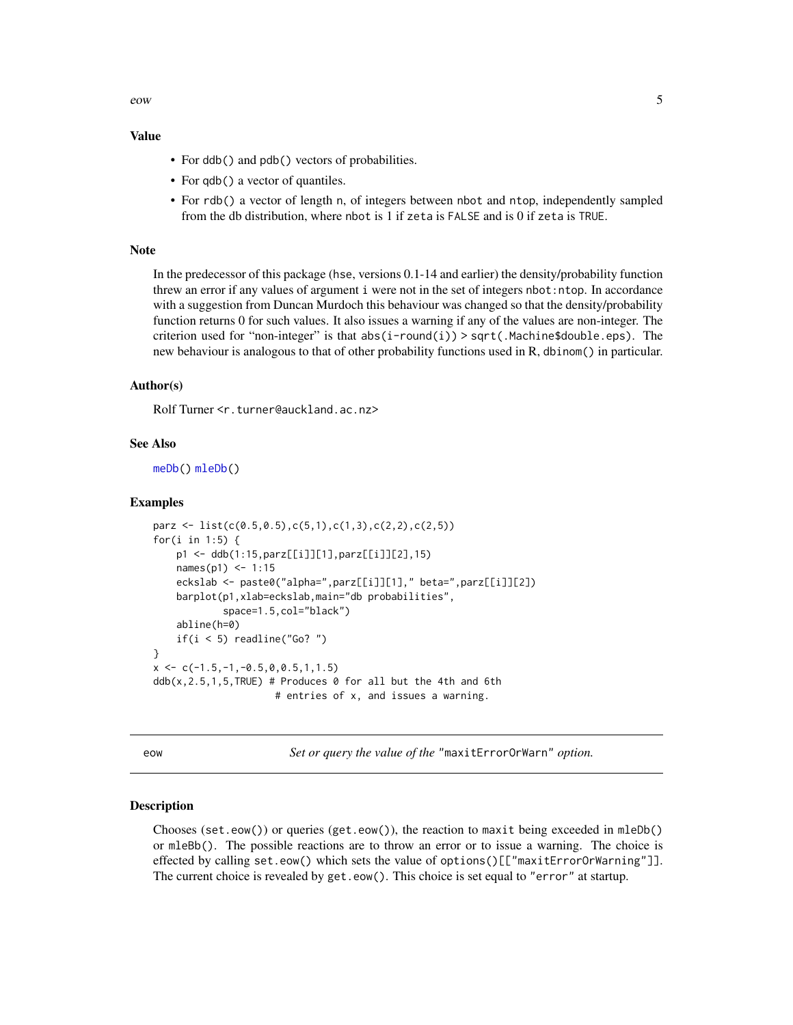<span id="page-4-0"></span>eow 5

# Value

- For ddb() and pdb() vectors of probabilities.
- For qdb() a vector of quantiles.
- For rdb() a vector of length n, of integers between nbot and ntop, independently sampled from the db distribution, where nbot is 1 if zeta is FALSE and is 0 if zeta is TRUE.

# **Note**

In the predecessor of this package (hse, versions 0.1-14 and earlier) the density/probability function threw an error if any values of argument i were not in the set of integers nbot:ntop. In accordance with a suggestion from Duncan Murdoch this behaviour was changed so that the density/probability function returns 0 for such values. It also issues a warning if any of the values are non-integer. The criterion used for "non-integer" is that  $abs(i$ -round $(i)$ ) > sqrt(.Machine\$double.eps). The new behaviour is analogous to that of other probability functions used in R, dbinom() in particular.

# Author(s)

Rolf Turner <r.turner@auckland.ac.nz>

#### See Also

```
meDb() mleDb()
```
#### Examples

```
parz <- list(c(0.5,0.5),c(5,1),c(1,3),c(2,2),c(2,5))
for(i in 1:5) {
    p1 <- ddb(1:15,parz[[i]][1],parz[[i]][2],15)
    names(p1) <- 1:15
    eckslab <- paste0("alpha=",parz[[i]][1]," beta=",parz[[i]][2])
    barplot(p1,xlab=eckslab,main="db probabilities",
            space=1.5,col="black")
    abline(h=0)
    if(i < 5) readline("Go? ")
}
x \leftarrow c(-1.5,-1,-0.5,0,0.5,1,1.5)ddb(x, 2.5, 1, 5, TRUE) # Produces 0 for all but the 4th and 6th
                     # entries of x, and issues a warning.
```
eow *Set or query the value of the* "maxitErrorOrWarn" *option.*

#### <span id="page-4-1"></span>Description

Chooses (set.eow()) or queries (get.eow()), the reaction to maxit being exceeded in mleDb() or mleBb(). The possible reactions are to throw an error or to issue a warning. The choice is effected by calling set.eow() which sets the value of options()[["maxitErrorOrWarning"]]. The current choice is revealed by get.eow(). This choice is set equal to "error" at startup.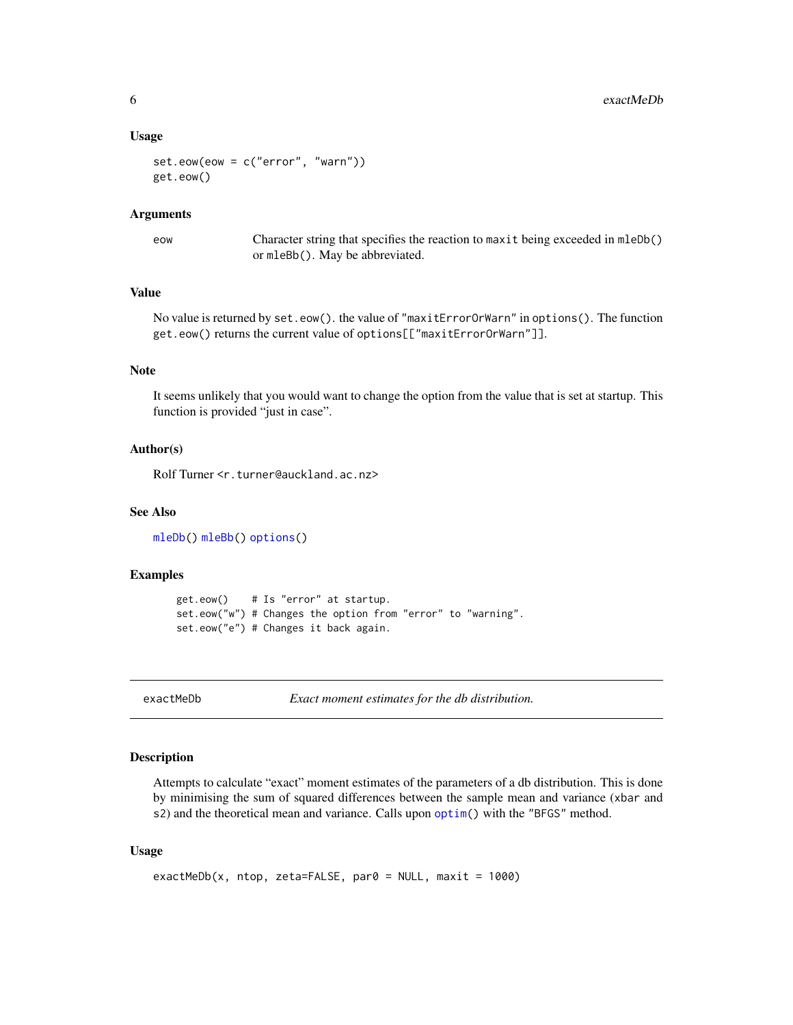#### <span id="page-5-0"></span>Usage

set.eow(eow = c("error", "warn")) get.eow()

### Arguments

eow Character string that specifies the reaction to maxit being exceeded in mleDb() or mleBb(). May be abbreviated.

# Value

No value is returned by set.eow(). the value of "maxitErrorOrWarn" in options(). The function get.eow() returns the current value of options[["maxitErrorOrWarn"]].

# Note

It seems unlikely that you would want to change the option from the value that is set at startup. This function is provided "just in case".

# Author(s)

Rolf Turner <r.turner@auckland.ac.nz>

# See Also

[mleDb\(](#page-26-1)) [mleBb\(](#page-24-1)) [options\(](#page-0-0))

# Examples

```
get.eow() # Is "error" at startup.
set.eow("w") # Changes the option from "error" to "warning".
set.eow("e") # Changes it back again.
```
exactMeDb *Exact moment estimates for the db distribution.*

#### Description

Attempts to calculate "exact" moment estimates of the parameters of a db distribution. This is done by minimising the sum of squared differences between the sample mean and variance (xbar and s2) and the theoretical mean and variance. Calls upon [optim\(](#page-0-0)) with the "BFGS" method.

### Usage

```
exactMeDb(x, ntop, zeta=FALSE, par0 = NULL, maxit = 1000)
```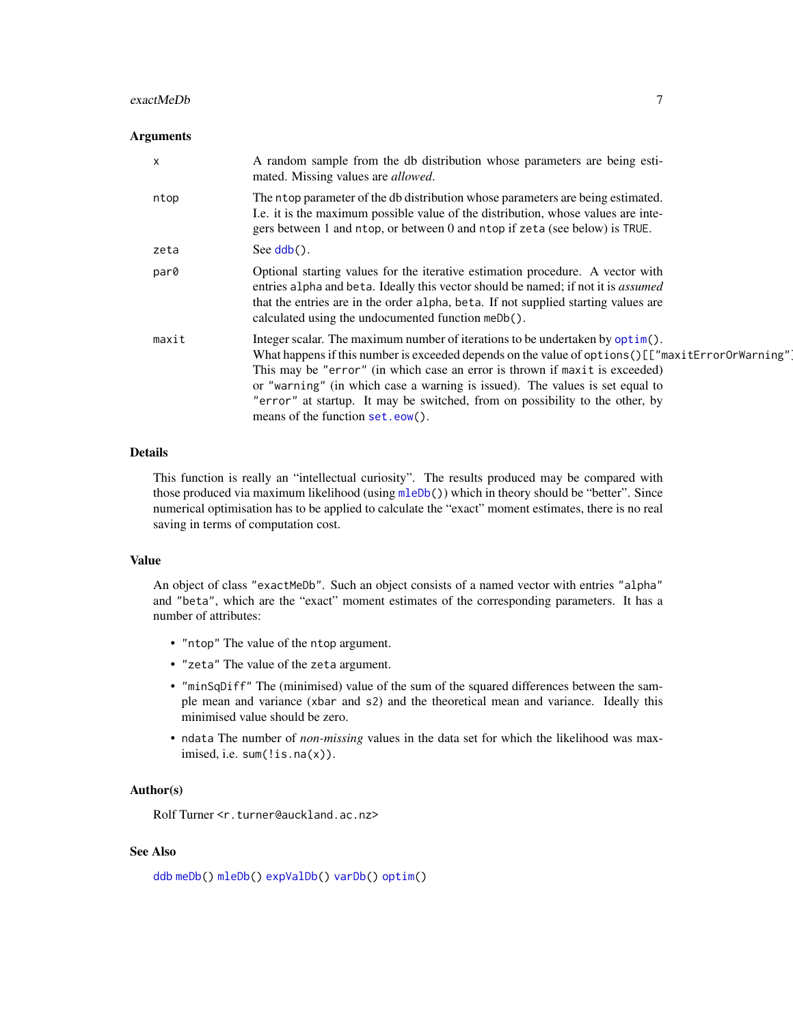#### <span id="page-6-0"></span>exactMeDb 7

#### **Arguments**

| $\boldsymbol{\mathsf{x}}$ | A random sample from the db distribution whose parameters are being esti-<br>mated. Missing values are <i>allowed</i> .                                                                                                                                                                                                                                                                                                                                                 |
|---------------------------|-------------------------------------------------------------------------------------------------------------------------------------------------------------------------------------------------------------------------------------------------------------------------------------------------------------------------------------------------------------------------------------------------------------------------------------------------------------------------|
| ntop                      | The ntop parameter of the db distribution whose parameters are being estimated.<br>I.e. it is the maximum possible value of the distribution, whose values are inte-<br>gers between 1 and ntop, or between 0 and ntop if zeta (see below) is TRUE.                                                                                                                                                                                                                     |
| zeta                      | See $\mathsf{ddb}()$ .                                                                                                                                                                                                                                                                                                                                                                                                                                                  |
| par0                      | Optional starting values for the iterative estimation procedure. A vector with<br>entries alpha and beta. Ideally this vector should be named; if not it is <i>assumed</i><br>that the entries are in the order alpha, beta. If not supplied starting values are<br>calculated using the undocumented function meDb().                                                                                                                                                  |
| maxit                     | Integer scalar. The maximum number of iterations to be undertaken by optim().<br>What happens if this number is exceeded depends on the value of options () [["maxitErrorOrWarning"]<br>This may be "error" (in which case an error is thrown if maxit is exceeded)<br>or "warning" (in which case a warning is issued). The values is set equal to<br>"error" at startup. It may be switched, from on possibility to the other, by<br>means of the function set.eow(). |

# Details

This function is really an "intellectual curiosity". The results produced may be compared with those produced via maximum likelihood (using  $m \leq b(b)$ ) which in theory should be "better". Since numerical optimisation has to be applied to calculate the "exact" moment estimates, there is no real saving in terms of computation cost.

### Value

An object of class "exactMeDb". Such an object consists of a named vector with entries "alpha" and "beta", which are the "exact" moment estimates of the corresponding parameters. It has a number of attributes:

- "ntop" The value of the ntop argument.
- "zeta" The value of the zeta argument.
- "minSqDiff" The (minimised) value of the sum of the squared differences between the sample mean and variance (xbar and s2) and the theoretical mean and variance. Ideally this minimised value should be zero.
- ndata The number of *non-missing* values in the data set for which the likelihood was maximised, i.e. sum(!is.na(x)).

# Author(s)

Rolf Turner <r.turner@auckland.ac.nz>

# See Also

```
ddb meDb() mleDb() expValDb() varDb() optim()
```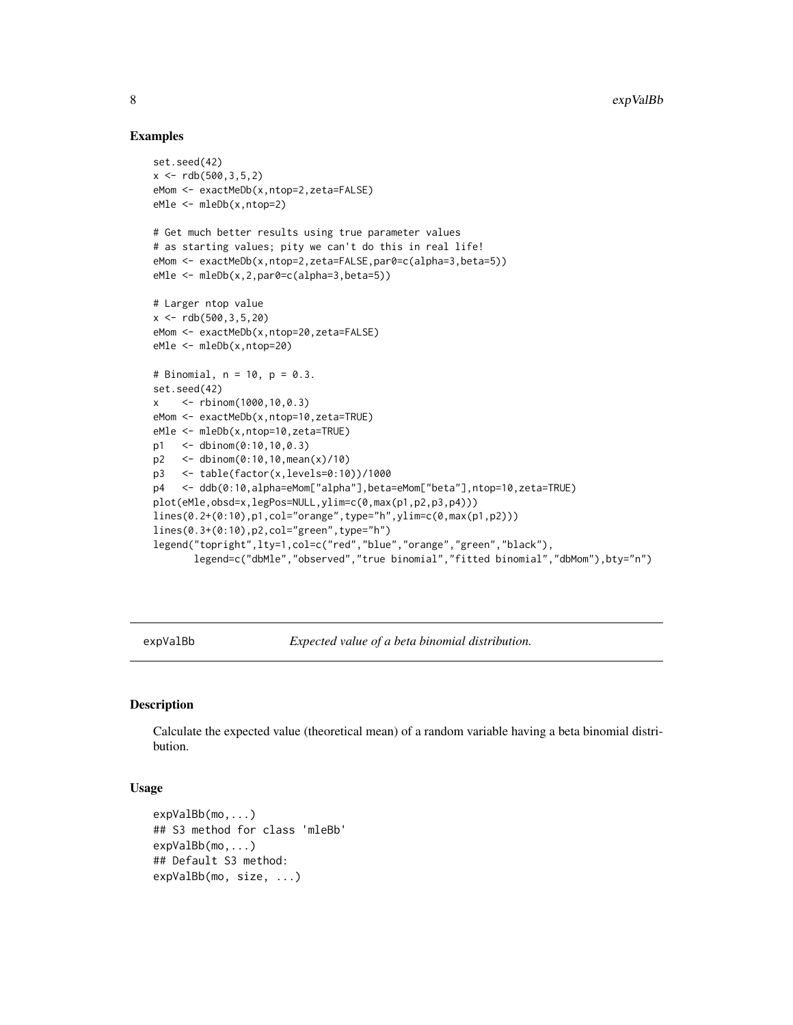# Examples

```
set.seed(42)
x \le -rdb(500, 3, 5, 2)eMom <- exactMeDb(x,ntop=2,zeta=FALSE)
eMle <- mleDb(x,ntop=2)
# Get much better results using true parameter values
# as starting values; pity we can't do this in real life!
eMom <- exactMeDb(x,ntop=2,zeta=FALSE,par0=c(alpha=3,beta=5))
eMle <- mleDb(x,2,par0=c(alpha=3,beta=5))
# Larger ntop value
x \le -rdb(500, 3, 5, 20)eMom <- exactMeDb(x,ntop=20,zeta=FALSE)
eMle <- mleDb(x,ntop=20)
# Binomial, n = 10, p = 0.3.
set.seed(42)
x <- rbinom(1000,10,0.3)
eMom <- exactMeDb(x,ntop=10,zeta=TRUE)
eMle <- mleDb(x,ntop=10,zeta=TRUE)
p1 <- dbinom(0:10,10,0.3)
p2 <- dbinom(0:10,10,mean(x)/10)
p3 <- table(factor(x,levels=0:10))/1000
p4 <- ddb(0:10,alpha=eMom["alpha"],beta=eMom["beta"],ntop=10,zeta=TRUE)
plot(eMle,obsd=x,legPos=NULL,ylim=c(0,max(p1,p2,p3,p4)))
lines(0.2+(0:10),p1,col="orange",type="h",ylim=c(0,max(p1,p2)))
lines(0.3+(0:10),p2,col="green",type="h")
legend("topright",lty=1,col=c("red","blue","orange","green","black"),
       legend=c("dbMle","observed","true binomial","fitted binomial","dbMom"),bty="n")
```
<span id="page-7-1"></span>expValBb *Expected value of a beta binomial distribution.*

# Description

Calculate the expected value (theoretical mean) of a random variable having a beta binomial distribution.

### Usage

```
expValBb(mo,...)
## S3 method for class 'mleBb'
expValBb(mo,...)
## Default S3 method:
expValBb(mo, size, ...)
```
<span id="page-7-0"></span>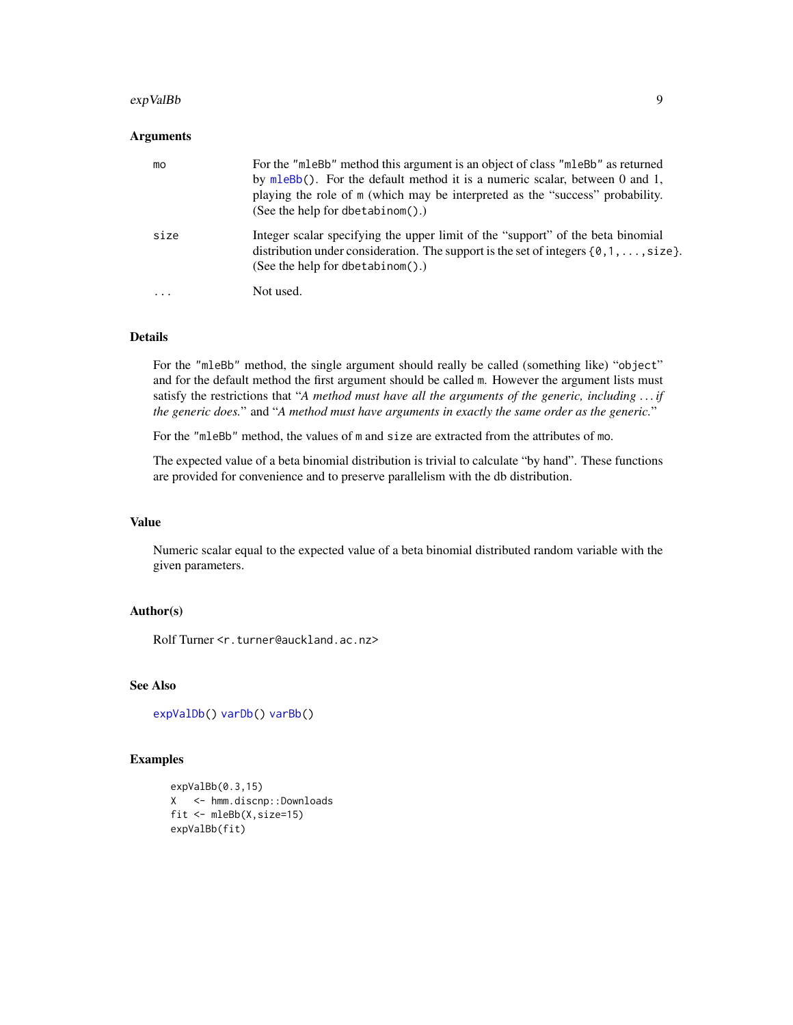#### <span id="page-8-0"></span>expValBb 9

# Arguments

| mo       | For the "mleBb" method this argument is an object of class "mleBb" as returned<br>by mleBb(). For the default method it is a numeric scalar, between 0 and 1,<br>playing the role of m (which may be interpreted as the "success" probability.<br>(See the help for dbetabinom().) |
|----------|------------------------------------------------------------------------------------------------------------------------------------------------------------------------------------------------------------------------------------------------------------------------------------|
| size     | Integer scalar specifying the upper limit of the "support" of the beta binomial<br>distribution under consideration. The support is the set of integers $\{0, 1, \ldots, size\}$ .<br>(See the help for dbetabinom().)                                                             |
| $\cdots$ | Not used.                                                                                                                                                                                                                                                                          |

# Details

For the "mleBb" method, the single argument should really be called (something like) "object" and for the default method the first argument should be called m. However the argument lists must satisfy the restrictions that "*A method must have all the arguments of the generic, including . . . if the generic does.*" and "*A method must have arguments in exactly the same order as the generic.*"

For the "mleBb" method, the values of m and size are extracted from the attributes of mo.

The expected value of a beta binomial distribution is trivial to calculate "by hand". These functions are provided for convenience and to preserve parallelism with the db distribution.

#### Value

Numeric scalar equal to the expected value of a beta binomial distributed random variable with the given parameters.

# Author(s)

Rolf Turner <r.turner@auckland.ac.nz>

# See Also

[expValDb\(](#page-9-1)) [varDb\(](#page-39-1)) [varBb\(](#page-38-1))

#### Examples

```
expValBb(0.3,15)
X <- hmm.discnp::Downloads
fit <- mleBb(X,size=15)
expValBb(fit)
```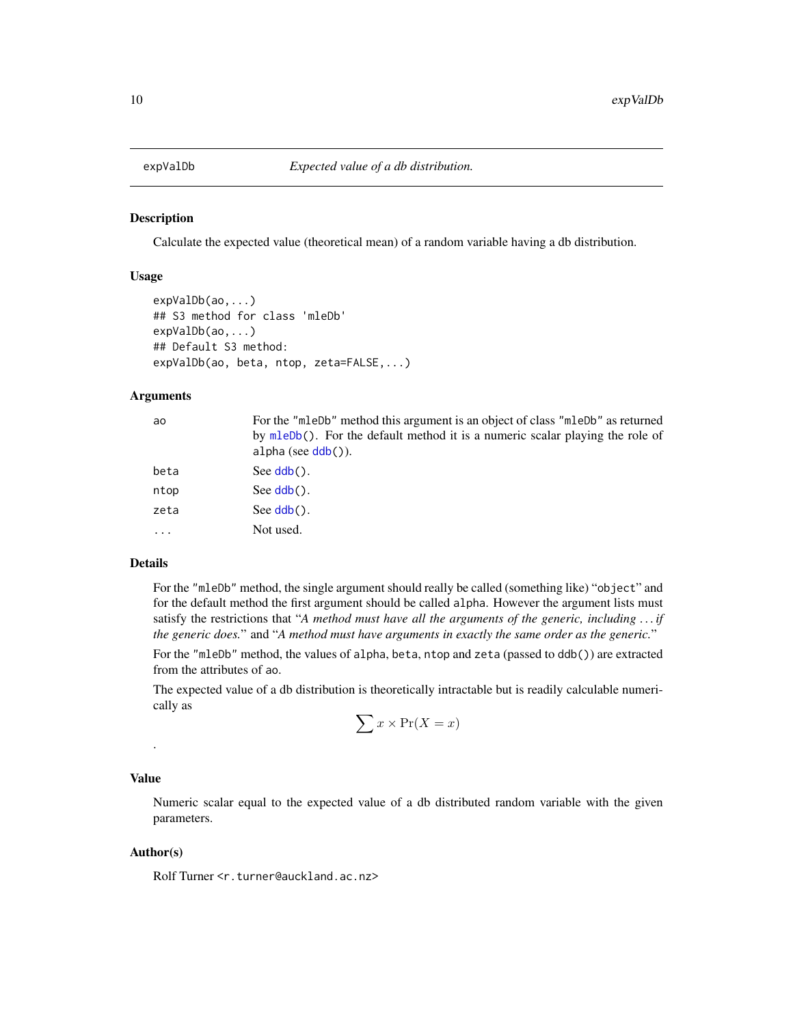<span id="page-9-1"></span><span id="page-9-0"></span>

### Description

Calculate the expected value (theoretical mean) of a random variable having a db distribution.

## Usage

```
expValDb(ao,...)
## S3 method for class 'mleDb'
expValDb(ao,...)
## Default S3 method:
expValDb(ao, beta, ntop, zeta=FALSE,...)
```
# Arguments

| ao        | For the "mlebb" method this argument is an object of class "mlebb" as returned<br>by mleDb(). For the default method it is a numeric scalar playing the role of<br>$alpha (see ddb())$ . |
|-----------|------------------------------------------------------------------------------------------------------------------------------------------------------------------------------------------|
| beta      | See $\text{ddb}()$ .                                                                                                                                                                     |
| ntop      | See $\mathsf{ddb}()$ .                                                                                                                                                                   |
| zeta      | See $\mathsf{ddb}()$ .                                                                                                                                                                   |
| $\ddotsc$ | Not used.                                                                                                                                                                                |

### Details

For the "mleDb" method, the single argument should really be called (something like) "object" and for the default method the first argument should be called alpha. However the argument lists must satisfy the restrictions that "*A method must have all the arguments of the generic, including . . . if the generic does.*" and "*A method must have arguments in exactly the same order as the generic.*"

For the "mleDb" method, the values of alpha, beta, ntop and zeta (passed to ddb()) are extracted from the attributes of ao.

The expected value of a db distribution is theoretically intractable but is readily calculable numerically as

$$
\sum x \times \Pr(X = x)
$$

#### Value

.

Numeric scalar equal to the expected value of a db distributed random variable with the given parameters.

# Author(s)

Rolf Turner <r.turner@auckland.ac.nz>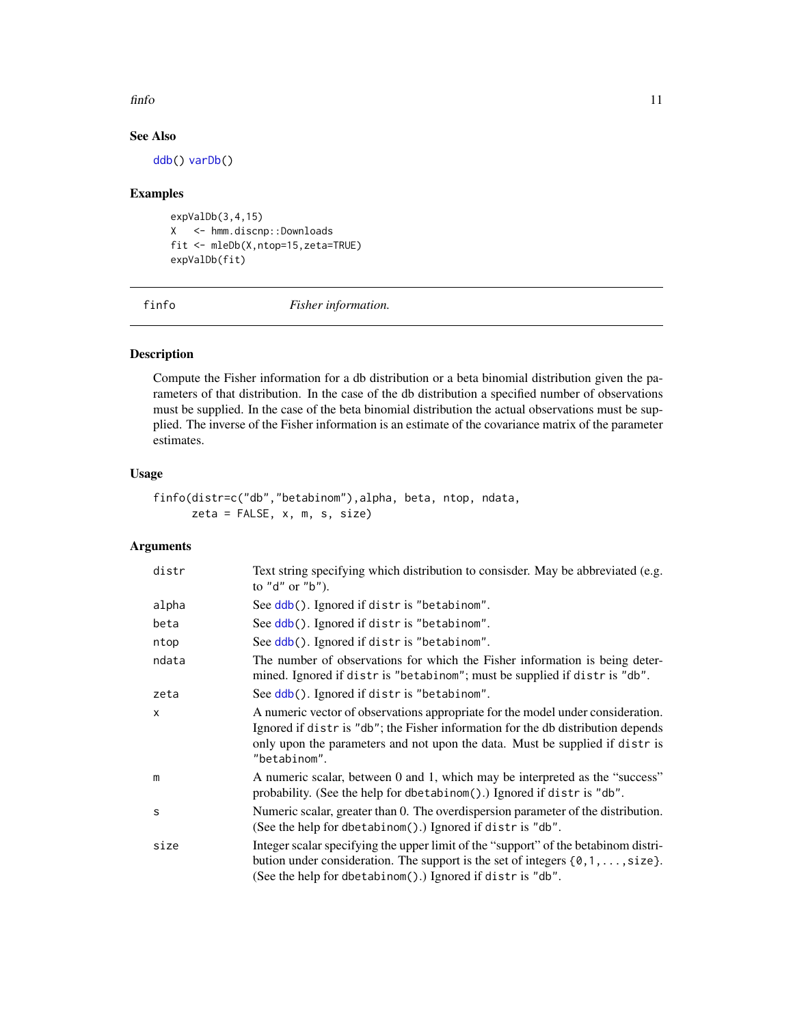#### <span id="page-10-0"></span>finfo and the contract of the contract of the contract of the contract of the contract of the contract of the contract of the contract of the contract of the contract of the contract of the contract of the contract of the

# See Also

[ddb\(](#page-2-1)) [varDb\(](#page-39-1))

# Examples

expValDb(3,4,15) X <- hmm.discnp::Downloads fit <- mleDb(X,ntop=15,zeta=TRUE) expValDb(fit)

<span id="page-10-1"></span>finfo *Fisher information.*

# Description

Compute the Fisher information for a db distribution or a beta binomial distribution given the parameters of that distribution. In the case of the db distribution a specified number of observations must be supplied. In the case of the beta binomial distribution the actual observations must be supplied. The inverse of the Fisher information is an estimate of the covariance matrix of the parameter estimates.

# Usage

```
finfo(distr=c("db","betabinom"),alpha, beta, ntop, ndata,
     zeta = FALSE, x, m, s, size)
```
# Arguments

| distr        | Text string specifying which distribution to consisder. May be abbreviated (e.g.<br>to "d" or "b").                                                                                                                                                                 |
|--------------|---------------------------------------------------------------------------------------------------------------------------------------------------------------------------------------------------------------------------------------------------------------------|
| alpha        | See ddb(). Ignored if distr is "betabinom".                                                                                                                                                                                                                         |
| beta         | See ddb(). Ignored if distr is "betabinom".                                                                                                                                                                                                                         |
| ntop         | See ddb(). Ignored if distr is "betabinom".                                                                                                                                                                                                                         |
| ndata        | The number of observations for which the Fisher information is being deter-<br>mined. Ignored if distris "betabinom"; must be supplied if distris "db".                                                                                                             |
| zeta         | See ddb(). Ignored if distr is "betabinom".                                                                                                                                                                                                                         |
| $\mathsf{x}$ | A numeric vector of observations appropriate for the model under consideration.<br>Ignored if distr is "db"; the Fisher information for the db distribution depends<br>only upon the parameters and not upon the data. Must be supplied if distr is<br>"betabinom". |
| m            | A numeric scalar, between 0 and 1, which may be interpreted as the "success"<br>probability. (See the help for dbetabinom().) Ignored if distris "db".                                                                                                              |
| S            | Numeric scalar, greater than 0. The overdispersion parameter of the distribution.<br>(See the help for dbetabinom().) Ignored if distr is "db".                                                                                                                     |
| size         | Integer scalar specifying the upper limit of the "support" of the betabinom distri-<br>bution under consideration. The support is the set of integers $\{0, 1, \ldots, size\}$ .<br>(See the help for dbetabinom().) Ignored if distris "db".                       |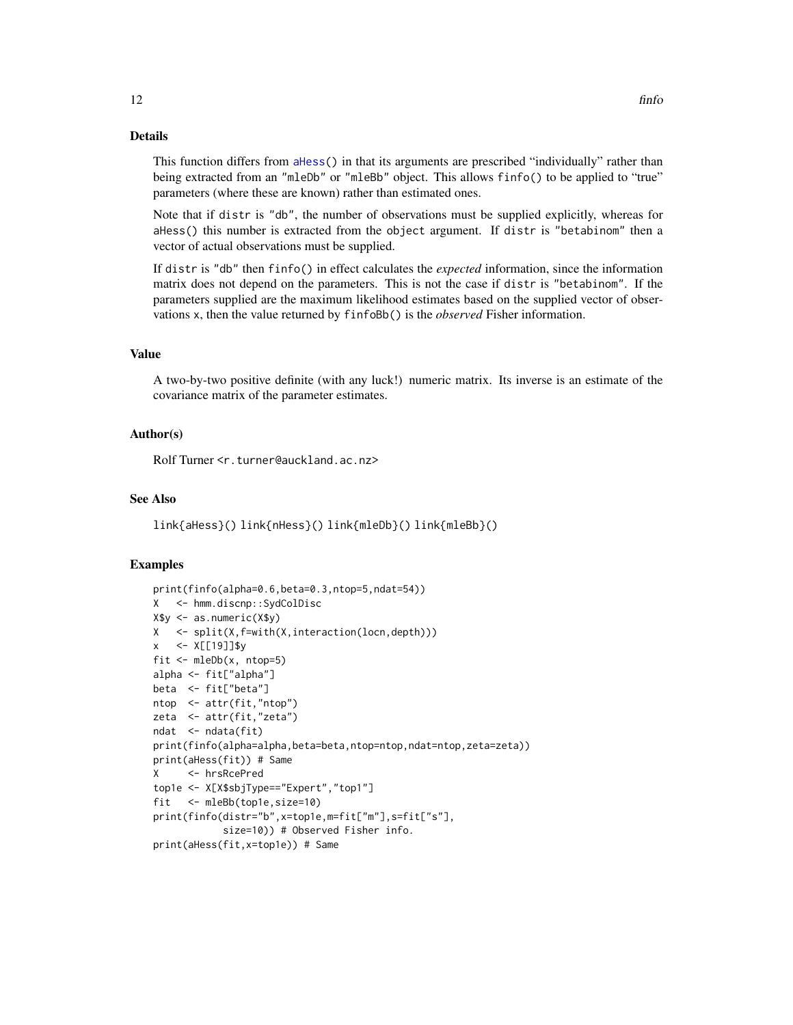# <span id="page-11-0"></span>Details

This function differs from [aHess\(](#page-1-1)) in that its arguments are prescribed "individually" rather than being extracted from an "mleDb" or "mleBb" object. This allows finfo() to be applied to "true" parameters (where these are known) rather than estimated ones.

Note that if distr is "db", the number of observations must be supplied explicitly, whereas for aHess() this number is extracted from the object argument. If distr is "betabinom" then a vector of actual observations must be supplied.

If distr is "db" then finfo() in effect calculates the *expected* information, since the information matrix does not depend on the parameters. This is not the case if distr is "betabinom". If the parameters supplied are the maximum likelihood estimates based on the supplied vector of observations x, then the value returned by finfoBb() is the *observed* Fisher information.

### Value

A two-by-two positive definite (with any luck!) numeric matrix. Its inverse is an estimate of the covariance matrix of the parameter estimates.

# Author(s)

Rolf Turner <r.turner@auckland.ac.nz>

# See Also

link{aHess}() link{nHess}() link{mleDb}() link{mleBb}()

#### Examples

```
print(finfo(alpha=0.6,beta=0.3,ntop=5,ndat=54))
X <- hmm.discnp::SydColDisc
X$y <- as.numeric(X$y)
X <- split(X,f=with(X,interaction(locn,depth)))
x <- X[[19]]$y
fit <- mleDb(x, ntop=5)
alpha <- fit["alpha"]
beta <- fit["beta"]
ntop <- attr(fit,"ntop")
zeta <- attr(fit,"zeta")
ndat <- ndata(fit)
print(finfo(alpha=alpha,beta=beta,ntop=ntop,ndat=ntop,zeta=zeta))
print(aHess(fit)) # Same
X <- hrsRcePred
top1e <- X[X$sbjType=="Expert","top1"]
fit <- mleBb(top1e,size=10)
print(finfo(distr="b",x=top1e,m=fit["m"],s=fit["s"],
           size=10)) # Observed Fisher info.
print(aHess(fit,x=top1e)) # Same
```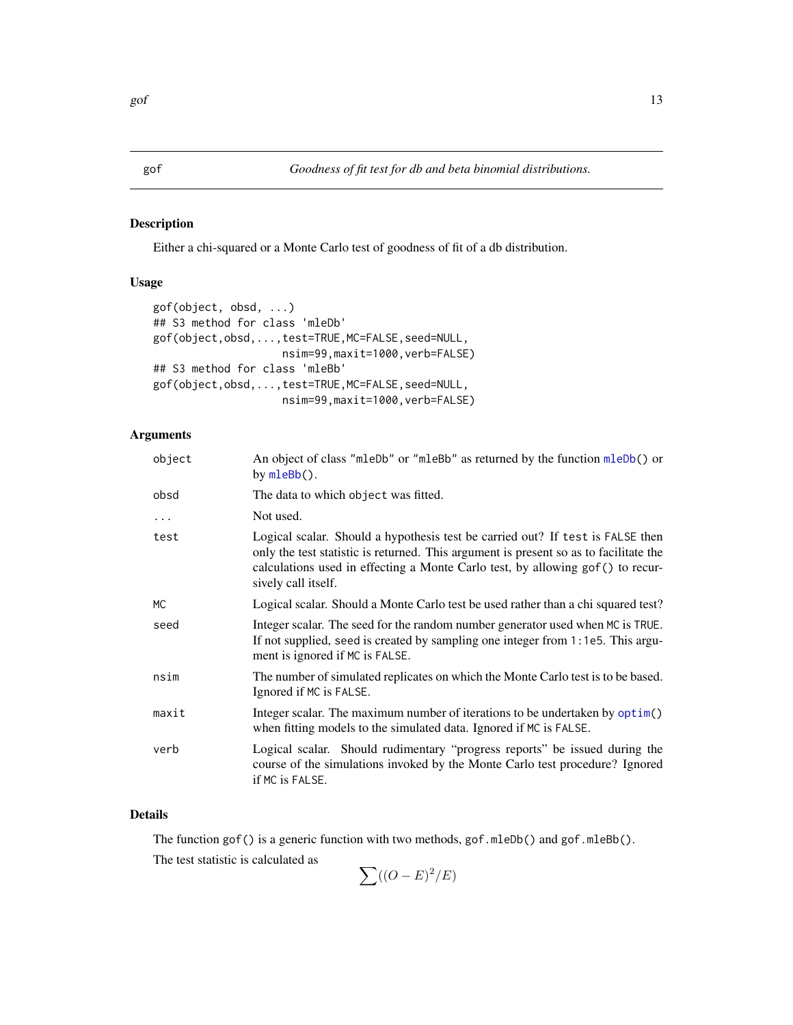# <span id="page-12-0"></span>Description

Either a chi-squared or a Monte Carlo test of goodness of fit of a db distribution.

### Usage

```
gof(object, obsd, ...)
## S3 method for class 'mleDb'
gof(object,obsd,...,test=TRUE,MC=FALSE,seed=NULL,
                    nsim=99,maxit=1000,verb=FALSE)
## S3 method for class 'mleBb'
gof(object,obsd,...,test=TRUE,MC=FALSE,seed=NULL,
                    nsim=99,maxit=1000,verb=FALSE)
```
# Arguments

| object   | An object of class "mleDb" or "mleBb" as returned by the function mleDb() or<br>by mleBb().                                                                                                                                                                                       |
|----------|-----------------------------------------------------------------------------------------------------------------------------------------------------------------------------------------------------------------------------------------------------------------------------------|
| obsd     | The data to which object was fitted.                                                                                                                                                                                                                                              |
| $\cdots$ | Not used.                                                                                                                                                                                                                                                                         |
| test     | Logical scalar. Should a hypothesis test be carried out? If test is FALSE then<br>only the test statistic is returned. This argument is present so as to facilitate the<br>calculations used in effecting a Monte Carlo test, by allowing gof () to recur-<br>sively call itself. |
| МC       | Logical scalar. Should a Monte Carlo test be used rather than a chi squared test?                                                                                                                                                                                                 |
| seed     | Integer scalar. The seed for the random number generator used when MC is TRUE.<br>If not supplied, seed is created by sampling one integer from 1:1e5. This argu-<br>ment is ignored if MC is FALSE.                                                                              |
| nsim     | The number of simulated replicates on which the Monte Carlo test is to be based.<br>Ignored if MC is FALSE.                                                                                                                                                                       |
| maxit    | Integer scalar. The maximum number of iterations to be undertaken by optim()<br>when fitting models to the simulated data. Ignored if MC is FALSE.                                                                                                                                |
| verb     | Logical scalar. Should rudimentary "progress reports" be issued during the<br>course of the simulations invoked by the Monte Carlo test procedure? Ignored<br>if MC is FALSE.                                                                                                     |
|          |                                                                                                                                                                                                                                                                                   |

# Details

The function gof() is a generic function with two methods, gof.mleDb() and gof.mleBb().

The test statistic is calculated as

$$
\sum ((O-E)^2/E)
$$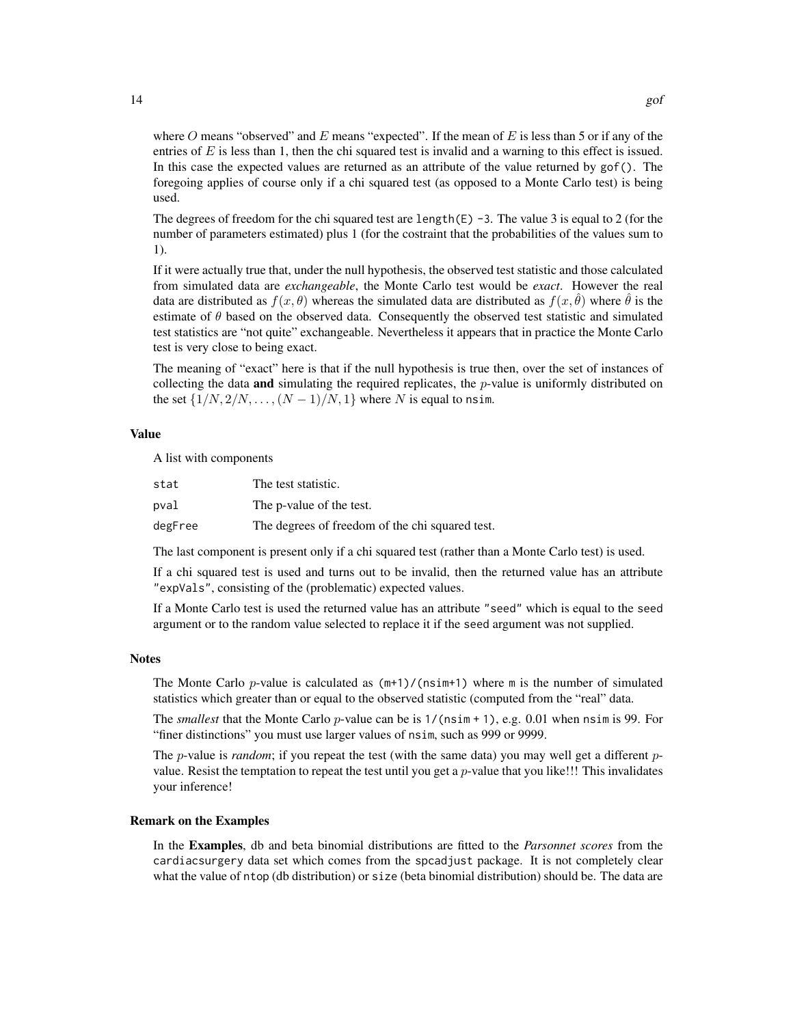where O means "observed" and E means "expected". If the mean of E is less than 5 or if any of the entries of  $E$  is less than 1, then the chi squared test is invalid and a warning to this effect is issued. In this case the expected values are returned as an attribute of the value returned by gof(). The foregoing applies of course only if a chi squared test (as opposed to a Monte Carlo test) is being used.

The degrees of freedom for the chi squared test are length( $E$ ) -3. The value 3 is equal to 2 (for the number of parameters estimated) plus 1 (for the costraint that the probabilities of the values sum to 1).

If it were actually true that, under the null hypothesis, the observed test statistic and those calculated from simulated data are *exchangeable*, the Monte Carlo test would be *exact*. However the real data are distributed as  $f(x, \theta)$  whereas the simulated data are distributed as  $f(x, \theta)$  where  $\theta$  is the estimate of  $\theta$  based on the observed data. Consequently the observed test statistic and simulated test statistics are "not quite" exchangeable. Nevertheless it appears that in practice the Monte Carlo test is very close to being exact.

The meaning of "exact" here is that if the null hypothesis is true then, over the set of instances of collecting the data and simulating the required replicates, the  $p$ -value is uniformly distributed on the set  $\{1/N, 2/N, \ldots, (N-1)/N, 1\}$  where N is equal to nsim.

### Value

A list with components

| stat    | The test statistic.                             |
|---------|-------------------------------------------------|
| pval    | The p-value of the test.                        |
| degFree | The degrees of freedom of the chi squared test. |

The last component is present only if a chi squared test (rather than a Monte Carlo test) is used.

If a chi squared test is used and turns out to be invalid, then the returned value has an attribute "expVals", consisting of the (problematic) expected values.

If a Monte Carlo test is used the returned value has an attribute "seed" which is equal to the seed argument or to the random value selected to replace it if the seed argument was not supplied.

#### Notes

The Monte Carlo p-value is calculated as  $(m+1)/(n\sin+1)$  where m is the number of simulated statistics which greater than or equal to the observed statistic (computed from the "real" data.

The *smallest* that the Monte Carlo *p*-value can be is  $1/(\text{nsim} + 1)$ , e.g. 0.01 when nsim is 99. For "finer distinctions" you must use larger values of nsim, such as 999 or 9999.

The *p*-value is *random*; if you repeat the test (with the same data) you may well get a different *p*value. Resist the temptation to repeat the test until you get a  $p$ -value that you like!!! This invalidates your inference!

## Remark on the Examples

In the Examples, db and beta binomial distributions are fitted to the *Parsonnet scores* from the cardiacsurgery data set which comes from the spcadjust package. It is not completely clear what the value of ntop (db distribution) or size (beta binomial distribution) should be. The data are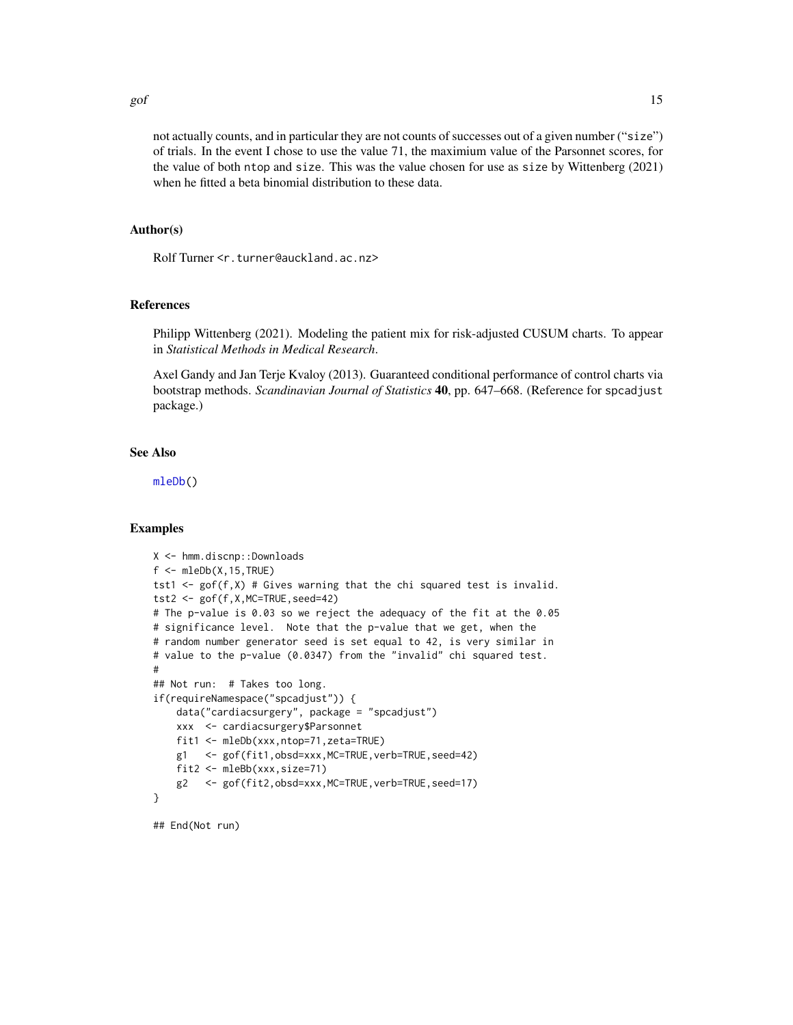<span id="page-14-0"></span>gof  $\qquad \qquad$  15

not actually counts, and in particular they are not counts of successes out of a given number ("size") of trials. In the event I chose to use the value 71, the maximium value of the Parsonnet scores, for the value of both ntop and size. This was the value chosen for use as size by Wittenberg (2021) when he fitted a beta binomial distribution to these data.

# Author(s)

Rolf Turner <r.turner@auckland.ac.nz>

# References

Philipp Wittenberg (2021). Modeling the patient mix for risk-adjusted CUSUM charts. To appear in *Statistical Methods in Medical Research*.

Axel Gandy and Jan Terje Kvaloy (2013). Guaranteed conditional performance of control charts via bootstrap methods. *Scandinavian Journal of Statistics* 40, pp. 647–668. (Reference for spcadjust package.)

#### See Also

[mleDb\(](#page-26-1))

### Examples

```
X <- hmm.discnp::Downloads
f \leftarrow \text{mleDb}(X, 15, \text{TRUE})tst1 \leq gof(f,X) # Gives warning that the chi squared test is invalid.
tst2 <- gof(f,X,MC=TRUE,seed=42)
# The p-value is 0.03 so we reject the adequacy of the fit at the 0.05
# significance level. Note that the p-value that we get, when the
# random number generator seed is set equal to 42, is very similar in
# value to the p-value (0.0347) from the "invalid" chi squared test.
#
## Not run: # Takes too long.
if(requireNamespace("spcadjust")) {
    data("cardiacsurgery", package = "spcadjust")
    xxx <- cardiacsurgery$Parsonnet
    fit1 <- mleDb(xxx,ntop=71,zeta=TRUE)
    g1 <- gof(fit1,obsd=xxx,MC=TRUE,verb=TRUE,seed=42)
    fit2 <- mleBb(xxx,size=71)
    g2 <- gof(fit2,obsd=xxx,MC=TRUE,verb=TRUE,seed=17)
}
```
## End(Not run)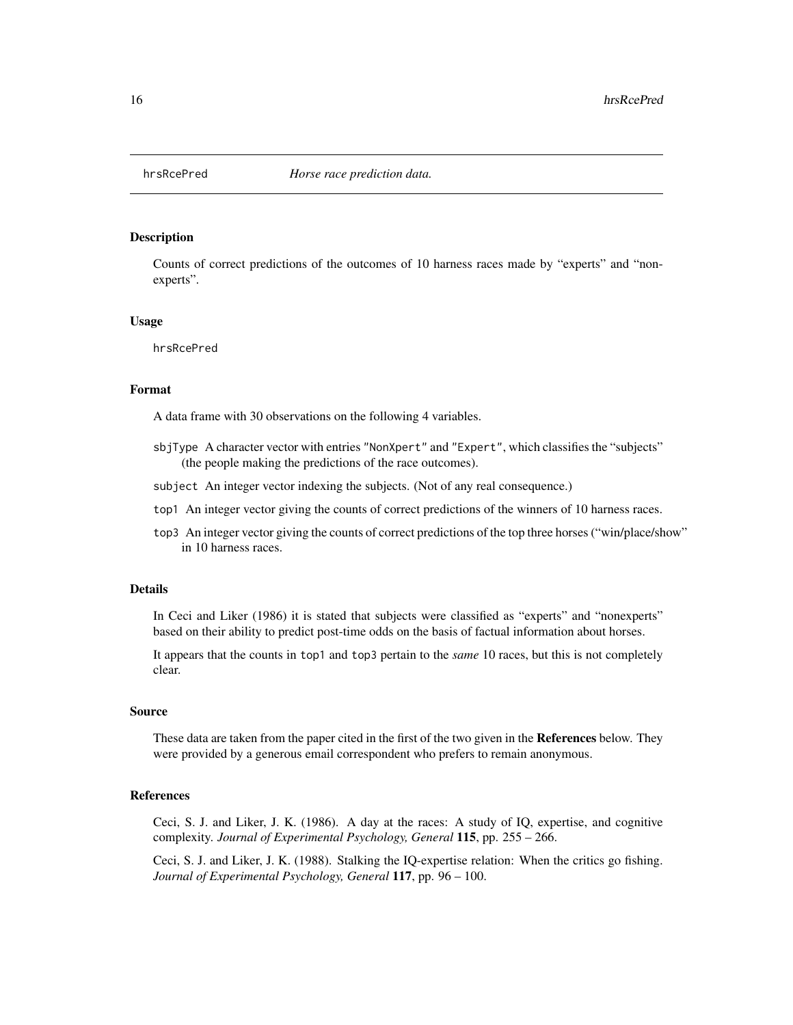<span id="page-15-1"></span><span id="page-15-0"></span>

#### Description

Counts of correct predictions of the outcomes of 10 harness races made by "experts" and "nonexperts".

#### Usage

hrsRcePred

#### Format

A data frame with 30 observations on the following 4 variables.

- sbjType A character vector with entries "NonXpert" and "Expert", which classifies the "subjects" (the people making the predictions of the race outcomes).
- subject An integer vector indexing the subjects. (Not of any real consequence.)
- top1 An integer vector giving the counts of correct predictions of the winners of 10 harness races.
- top3 An integer vector giving the counts of correct predictions of the top three horses ("win/place/show" in 10 harness races.

#### Details

In Ceci and Liker (1986) it is stated that subjects were classified as "experts" and "nonexperts" based on their ability to predict post-time odds on the basis of factual information about horses.

It appears that the counts in top1 and top3 pertain to the *same* 10 races, but this is not completely clear.

# Source

These data are taken from the paper cited in the first of the two given in the References below. They were provided by a generous email correspondent who prefers to remain anonymous.

#### References

Ceci, S. J. and Liker, J. K. (1986). A day at the races: A study of IQ, expertise, and cognitive complexity. *Journal of Experimental Psychology, General* 115, pp. 255 – 266.

Ceci, S. J. and Liker, J. K. (1988). Stalking the IQ-expertise relation: When the critics go fishing. *Journal of Experimental Psychology, General* 117, pp. 96 – 100.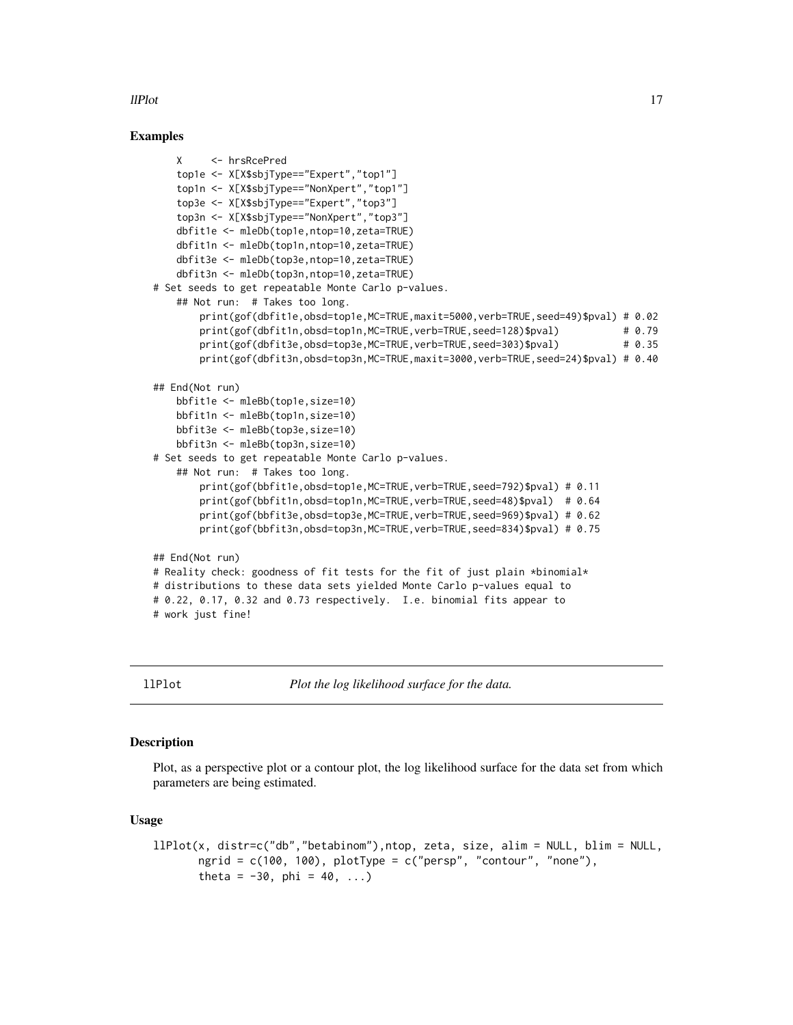# <span id="page-16-0"></span>llPlot the contract of the contract of the contract of the contract of the contract of the contract of the contract of the contract of the contract of the contract of the contract of the contract of the contract of the con

# Examples

```
X <- hrsRcePred
   top1e <- X[X$sbjType=="Expert","top1"]
   top1n <- X[X$sbjType=="NonXpert","top1"]
   top3e <- X[X$sbjType=="Expert","top3"]
   top3n <- X[X$sbjType=="NonXpert","top3"]
   dbfit1e <- mleDb(top1e,ntop=10,zeta=TRUE)
   dbfit1n <- mleDb(top1n,ntop=10,zeta=TRUE)
   dbfit3e <- mleDb(top3e,ntop=10,zeta=TRUE)
   dbfit3n <- mleDb(top3n,ntop=10,zeta=TRUE)
# Set seeds to get repeatable Monte Carlo p-values.
   ## Not run: # Takes too long.
       print(gof(dbfit1e,obsd=top1e,MC=TRUE,maxit=5000,verb=TRUE,seed=49)$pval) # 0.02
       print(gof(dbfit1n,obsd=top1n,MC=TRUE,verb=TRUE,seed=128)$pval) # 0.79
       print(gof(dbfit3e,obsd=top3e,MC=TRUE,verb=TRUE,seed=303)$pval) # 0.35
       print(gof(dbfit3n,obsd=top3n,MC=TRUE,maxit=3000,verb=TRUE,seed=24)$pval) # 0.40
## End(Not run)
   bbfit1e <- mleBb(top1e,size=10)
   bbfit1n <- mleBb(top1n,size=10)
   bbfit3e <- mleBb(top3e,size=10)
   bbfit3n <- mleBb(top3n,size=10)
# Set seeds to get repeatable Monte Carlo p-values.
   ## Not run: # Takes too long.
       print(gof(bbfit1e,obsd=top1e,MC=TRUE,verb=TRUE,seed=792)$pval) # 0.11
       print(gof(bbfit1n,obsd=top1n,MC=TRUE,verb=TRUE,seed=48)$pval) # 0.64
       print(gof(bbfit3e,obsd=top3e,MC=TRUE,verb=TRUE,seed=969)$pval) # 0.62
       print(gof(bbfit3n,obsd=top3n,MC=TRUE,verb=TRUE,seed=834)$pval) # 0.75
## End(Not run)
# Reality check: goodness of fit tests for the fit of just plain *binomial*
# distributions to these data sets yielded Monte Carlo p-values equal to
# 0.22, 0.17, 0.32 and 0.73 respectively. I.e. binomial fits appear to
# work just fine!
```
llPlot *Plot the log likelihood surface for the data.*

#### **Description**

Plot, as a perspective plot or a contour plot, the log likelihood surface for the data set from which parameters are being estimated.

#### Usage

```
llPlot(x, distr=c("db","betabinom"),ntop, zeta, size, alim = NULL, blim = NULL,
       ngrid = c(100, 100), plotType = c("person", "contour", "none"),theta = -30, phi = 40, ...)
```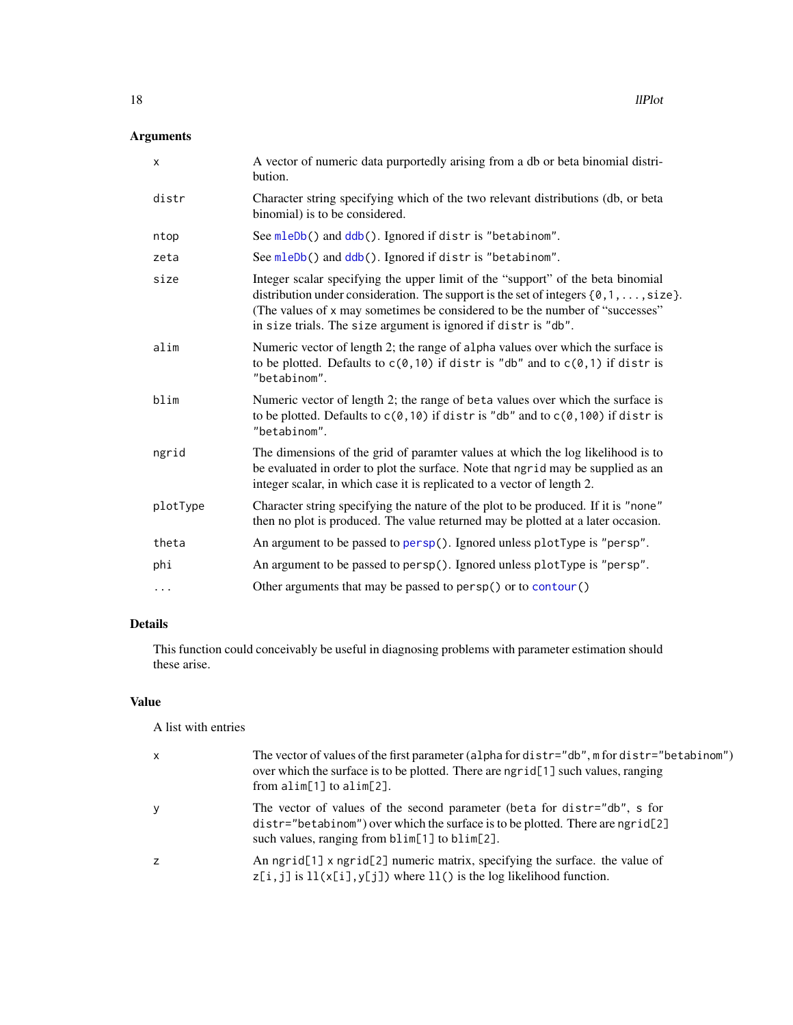# <span id="page-17-0"></span>Arguments

| X        | A vector of numeric data purportedly arising from a db or beta binomial distri-<br>bution.                                                                                                                                                                                                                                           |
|----------|--------------------------------------------------------------------------------------------------------------------------------------------------------------------------------------------------------------------------------------------------------------------------------------------------------------------------------------|
| distr    | Character string specifying which of the two relevant distributions (db, or beta<br>binomial) is to be considered.                                                                                                                                                                                                                   |
| ntop     | See mleDb() and ddb(). Ignored if distr is "betabinom".                                                                                                                                                                                                                                                                              |
| zeta     | See mleDb() and ddb(). Ignored if distr is "betabinom".                                                                                                                                                                                                                                                                              |
| size     | Integer scalar specifying the upper limit of the "support" of the beta binomial<br>distribution under consideration. The support is the set of integers $\{0, 1, \ldots, size\}$ .<br>(The values of x may sometimes be considered to be the number of "successes"<br>in size trials. The size argument is ignored if distr is "db". |
| alim     | Numeric vector of length 2; the range of alpha values over which the surface is<br>to be plotted. Defaults to $c(0, 10)$ if distris "db" and to $c(0, 1)$ if distris<br>"betabinom".                                                                                                                                                 |
| blim     | Numeric vector of length 2; the range of beta values over which the surface is<br>to be plotted. Defaults to $c(0, 10)$ if distris "db" and to $c(0, 100)$ if distris<br>"betabinom".                                                                                                                                                |
| ngrid    | The dimensions of the grid of paramter values at which the log likelihood is to<br>be evaluated in order to plot the surface. Note that ngrid may be supplied as an<br>integer scalar, in which case it is replicated to a vector of length 2.                                                                                       |
| plotType | Character string specifying the nature of the plot to be produced. If it is "none"<br>then no plot is produced. The value returned may be plotted at a later occasion.                                                                                                                                                               |
| theta    | An argument to be passed to persp(). Ignored unless plotType is "persp".                                                                                                                                                                                                                                                             |
| phi      | An argument to be passed to persp(). Ignored unless plotType is "persp".                                                                                                                                                                                                                                                             |
| $\cdots$ | Other arguments that may be passed to persp() or to contour()                                                                                                                                                                                                                                                                        |

# Details

This function could conceivably be useful in diagnosing problems with parameter estimation should these arise.

# Value

A list with entries

| $\times$ | The vector of values of the first parameter (alpha for distr="db", m for distr="betabinom")<br>over which the surface is to be plotted. There are ngrid[1] such values, ranging<br>from $\text{alim}[1]$ to $\text{alim}[2]$ . |
|----------|--------------------------------------------------------------------------------------------------------------------------------------------------------------------------------------------------------------------------------|
| У        | The vector of values of the second parameter (beta for distr="db", s for<br>$distr = "betabinom")$ over which the surface is to be plotted. There are ngrid[2]<br>such values, ranging from blim[1] to blim[2].                |
| Z        | An ngrid[1] x ngrid[2] numeric matrix, specifying the surface. the value of<br>$z[i, j]$ is $ll(x[i], y[j])$ where $ll($ ) is the log likelihood function.                                                                     |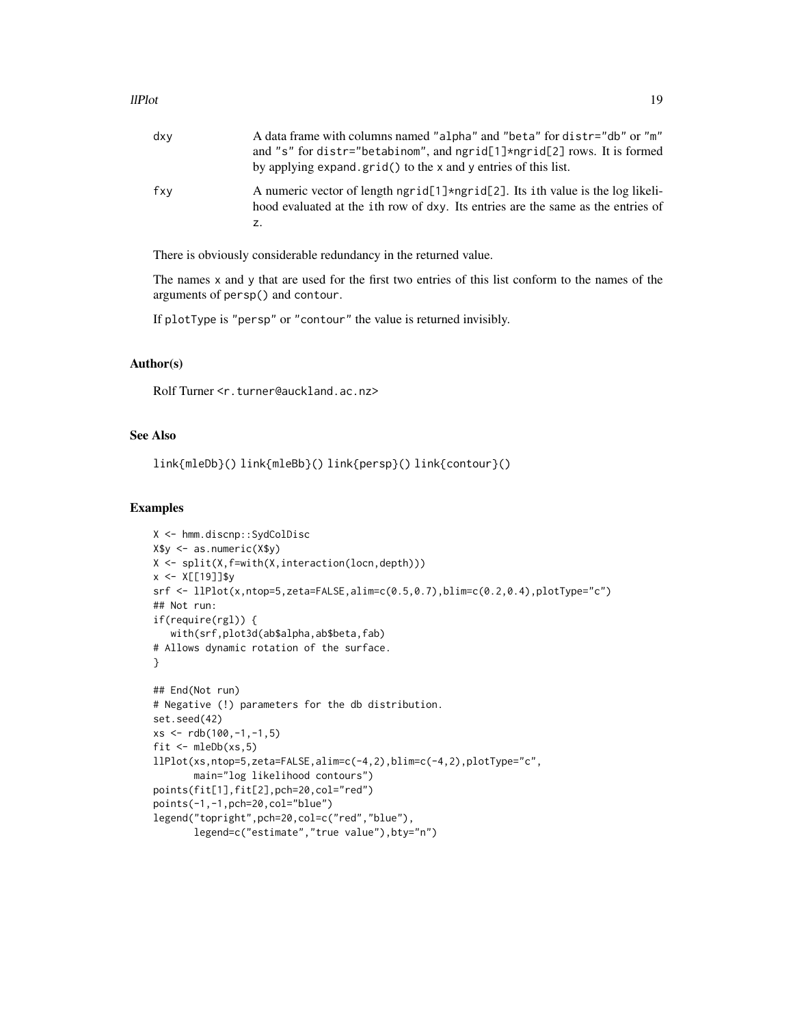| dxv | A data frame with columns named "alpha" and "beta" for distr="db" or "m"<br>and "s" for distr="betabinom", and ngrid[1]*ngrid[2] rows. It is formed<br>by applying expand.grid() to the x and y entries of this list. |
|-----|-----------------------------------------------------------------------------------------------------------------------------------------------------------------------------------------------------------------------|
| fxv | A numeric vector of length ngrid $[1]$ *ngrid $[2]$ . Its ith value is the log likeli-<br>hood evaluated at the ith row of dxy. Its entries are the same as the entries of<br>z.                                      |

There is obviously considerable redundancy in the returned value.

The names  $x$  and  $y$  that are used for the first two entries of this list conform to the names of the arguments of persp() and contour.

If plotType is "persp" or "contour" the value is returned invisibly.

# Author(s)

Rolf Turner <r.turner@auckland.ac.nz>

# See Also

```
link{mleDb}() link{mleBb}() link{persp}() link{contour}()
```
# Examples

```
X <- hmm.discnp::SydColDisc
X$y <- as.numeric(X$y)
X <- split(X,f=with(X,interaction(locn,depth)))
x < - X[[19]]$y
srf <- llPlot(x,ntop=5,zeta=FALSE,alim=c(0.5,0.7),blim=c(0.2,0.4),plotType="c")
## Not run:
if(require(rgl)) {
   with(srf,plot3d(ab$alpha,ab$beta,fab)
# Allows dynamic rotation of the surface.
}
## End(Not run)
# Negative (!) parameters for the db distribution.
set.seed(42)
xs <- rdb(100,-1,-1,5)
fit \leq mleDb(xs,5)
llPlot(xs,ntop=5,zeta=FALSE,alim=c(-4,2),blim=c(-4,2),plotType="c",
       main="log likelihood contours")
points(fit[1],fit[2],pch=20,col="red")
points(-1,-1,pch=20,col="blue")
legend("topright",pch=20,col=c("red","blue"),
       legend=c("estimate","true value"),bty="n")
```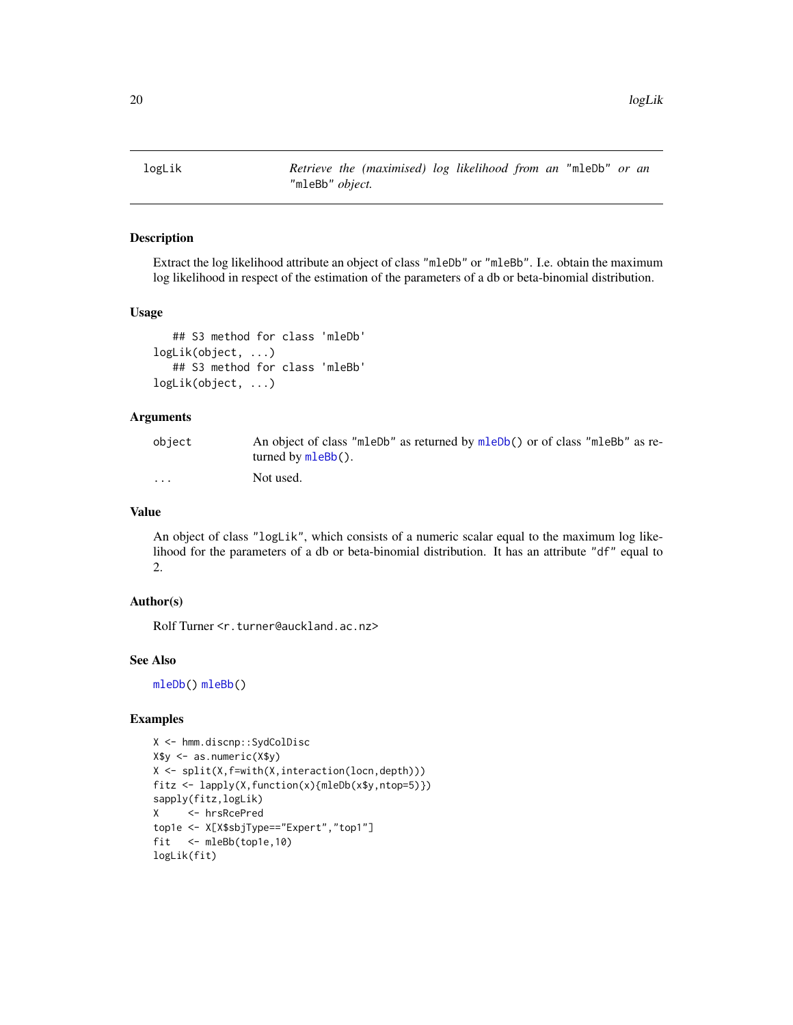<span id="page-19-0"></span>logLik *Retrieve the (maximised) log likelihood from an* "mleDb" *or an* "mleBb" *object.*

#### Description

Extract the log likelihood attribute an object of class "mleDb" or "mleBb". I.e. obtain the maximum log likelihood in respect of the estimation of the parameters of a db or beta-binomial distribution.

# Usage

```
## S3 method for class 'mleDb'
logLik(object, ...)
   ## S3 method for class 'mleBb'
logLik(object, ...)
```
# **Arguments**

| object   | An object of class "mleDb" as returned by mleDb() or of class "mleBb" as re- |
|----------|------------------------------------------------------------------------------|
|          | turned by $m \leq Bb$ ().                                                    |
| $\cdots$ | Not used.                                                                    |

#### Value

An object of class "logLik", which consists of a numeric scalar equal to the maximum log likelihood for the parameters of a db or beta-binomial distribution. It has an attribute "df" equal to 2.

# Author(s)

Rolf Turner <r.turner@auckland.ac.nz>

# See Also

[mleDb\(](#page-26-1)) [mleBb\(](#page-24-1))

# Examples

```
X <- hmm.discnp::SydColDisc
X$y <- as.numeric(X$y)
X <- split(X,f=with(X,interaction(locn,depth)))
fits \leftarrow \text{lapply}(X, function(x)\{mleDb(x\{sy, ntop=5})\})
sapply(fitz,logLik)
X <- hrsRcePred
top1e <- X[X$sbjType=="Expert","top1"]
fit <- mleBb(top1e,10)
logLik(fit)
```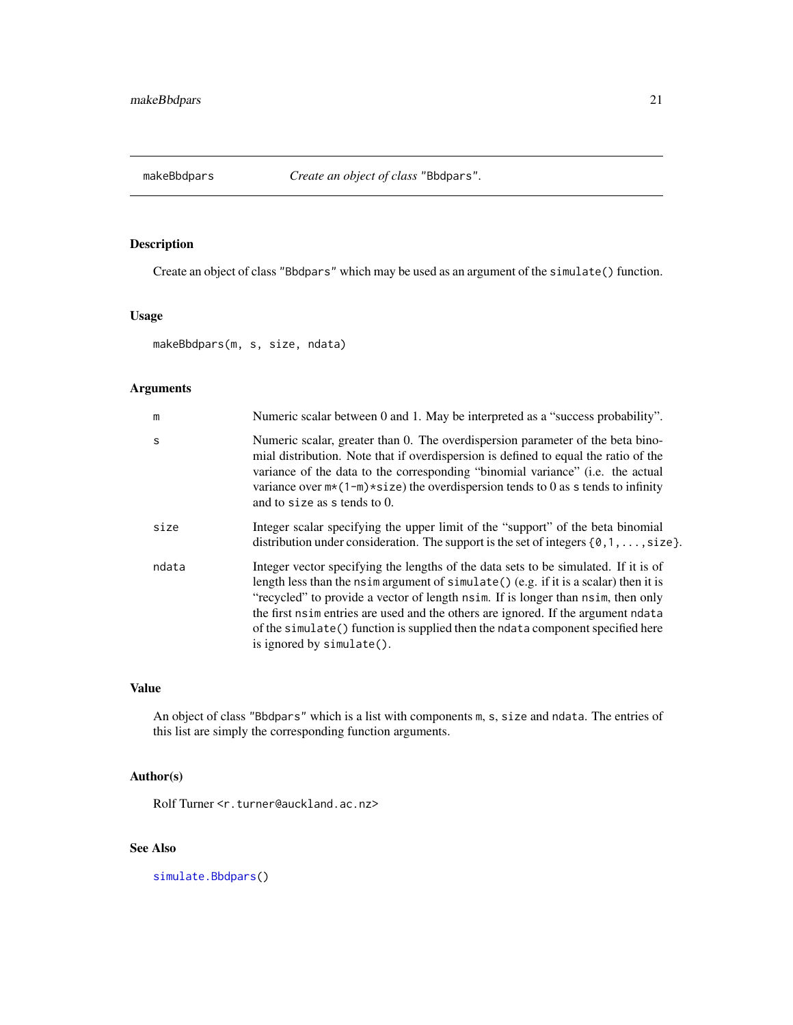<span id="page-20-1"></span><span id="page-20-0"></span>

# Description

Create an object of class "Bbdpars" which may be used as an argument of the simulate() function.

# Usage

makeBbdpars(m, s, size, ndata)

# Arguments

| m            | Numeric scalar between 0 and 1. May be interpreted as a "success probability".                                                                                                                                                                                                                                                                                                                                                                                        |
|--------------|-----------------------------------------------------------------------------------------------------------------------------------------------------------------------------------------------------------------------------------------------------------------------------------------------------------------------------------------------------------------------------------------------------------------------------------------------------------------------|
| <sub>S</sub> | Numeric scalar, greater than 0. The overdispersion parameter of the beta bino-<br>mial distribution. Note that if overdispersion is defined to equal the ratio of the<br>variance of the data to the corresponding "binomial variance" (i.e. the actual<br>variance over $m*(1-m)*size$ ) the overdispersion tends to 0 as s tends to infinity<br>and to size as s tends to 0.                                                                                        |
| size         | Integer scalar specifying the upper limit of the "support" of the beta binomial<br>distribution under consideration. The support is the set of integers $\{0, 1, \ldots, size\}$ .                                                                                                                                                                                                                                                                                    |
| ndata        | Integer vector specifying the lengths of the data sets to be simulated. If it is of<br>length less than the nsimargument of simulate $()$ (e.g. if it is a scalar) then it is<br>"recycled" to provide a vector of length nsim. If is longer than nsim, then only<br>the first nsime ntries are used and the others are ignored. If the argument ndata<br>of the simulate() function is supplied then the ndata component specified here<br>is ignored by simulate(). |

# Value

An object of class "Bbdpars" which is a list with components m, s, size and ndata. The entries of this list are simply the corresponding function arguments.

# Author(s)

Rolf Turner <r.turner@auckland.ac.nz>

# See Also

[simulate.Bbdpars\(](#page-37-1))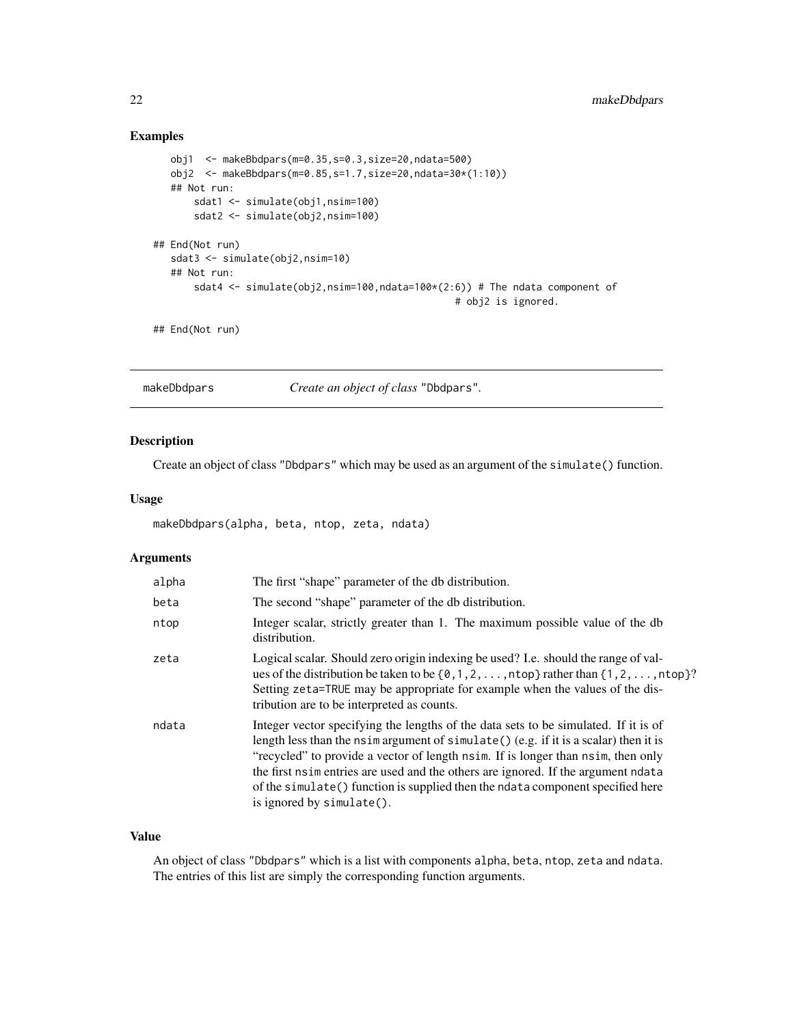# <span id="page-21-0"></span>Examples

```
obj1 <- makeBbdpars(m=0.35,s=0.3,size=20,ndata=500)
  obj2 <- makeBbdpars(m=0.85,s=1.7,size=20,ndata=30*(1:10))
  ## Not run:
      sdat1 <- simulate(obj1,nsim=100)
      sdat2 <- simulate(obj2,nsim=100)
## End(Not run)
  sdat3 <- simulate(obj2,nsim=10)
  ## Not run:
      sdat4 <- simulate(obj2,nsim=100,ndata=100*(2:6)) # The ndata component of
                                                   # obj2 is ignored.
```
## End(Not run)

<span id="page-21-1"></span>makeDbdpars *Create an object of class* "Dbdpars"*.*

# Description

Create an object of class "Dbdpars" which may be used as an argument of the simulate() function.

# Usage

```
makeDbdpars(alpha, beta, ntop, zeta, ndata)
```
# Arguments

| alpha | The first "shape" parameter of the db distribution.                                                                                                                                                                                                                                                                                                                                                                                                                     |
|-------|-------------------------------------------------------------------------------------------------------------------------------------------------------------------------------------------------------------------------------------------------------------------------------------------------------------------------------------------------------------------------------------------------------------------------------------------------------------------------|
| beta  | The second "shape" parameter of the db distribution.                                                                                                                                                                                                                                                                                                                                                                                                                    |
| ntop  | Integer scalar, strictly greater than 1. The maximum possible value of the db<br>distribution.                                                                                                                                                                                                                                                                                                                                                                          |
| zeta  | Logical scalar. Should zero origin indexing be used? I.e. should the range of val-<br>ues of the distribution be taken to be $\{0, 1, 2, \ldots, n$ top } rather than $\{1, 2, \ldots, n$ top }?<br>Setting zeta=TRUE may be appropriate for example when the values of the dis-<br>tribution are to be interpreted as counts.                                                                                                                                          |
| ndata | Integer vector specifying the lengths of the data sets to be simulated. If it is of<br>length less than the nsimargument of simulate $()$ (e.g. if it is a scalar) then it is<br>"recycled" to provide a vector of length nsim. If is longer than nsim, then only<br>the first nsimulation are used and the others are ignored. If the argument ndata<br>of the simulate() function is supplied then the ndata component specified here<br>is ignored by $simulate()$ . |

## Value

An object of class "Dbdpars" which is a list with components alpha, beta, ntop, zeta and ndata. The entries of this list are simply the corresponding function arguments.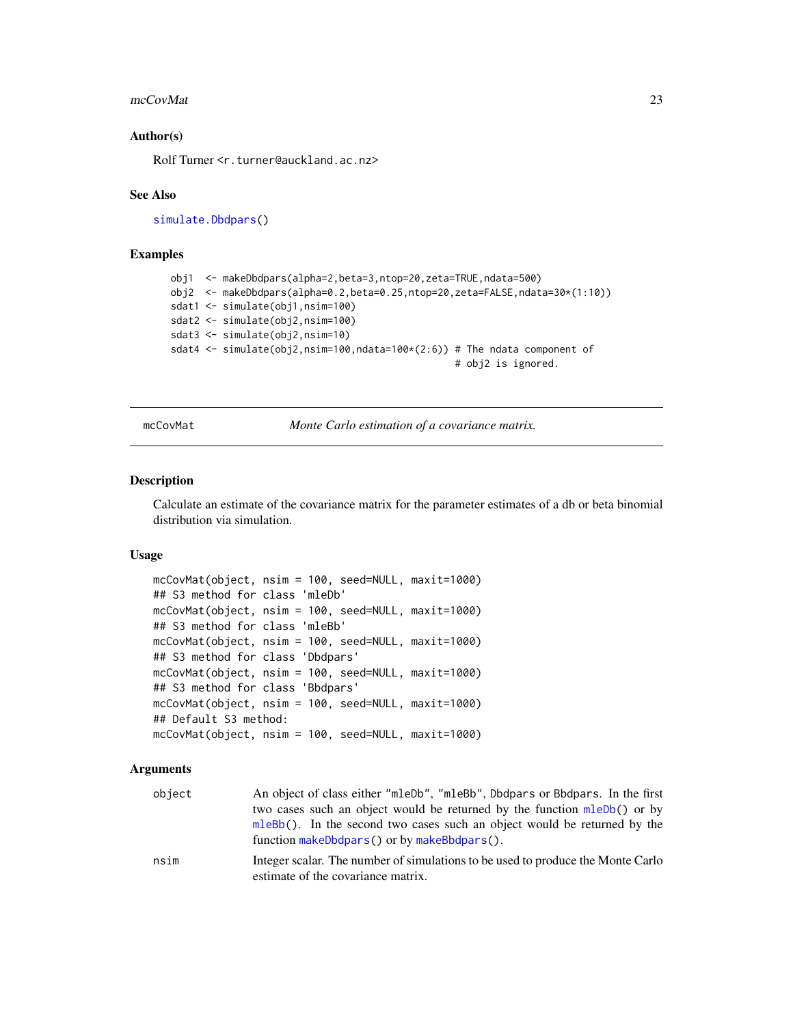#### <span id="page-22-0"></span>mcCovMat 23

# Author(s)

Rolf Turner <r.turner@auckland.ac.nz>

#### See Also

[simulate.Dbdpars\(](#page-37-1))

# Examples

```
obj1 <- makeDbdpars(alpha=2,beta=3,ntop=20,zeta=TRUE,ndata=500)
obj2 <- makeDbdpars(alpha=0.2,beta=0.25,ntop=20,zeta=FALSE,ndata=30*(1:10))
sdat1 <- simulate(obj1,nsim=100)
sdat2 <- simulate(obj2,nsim=100)
sdat3 <- simulate(obj2,nsim=10)
sdat4 <- simulate(obj2,nsim=100,ndata=100*(2:6)) # The ndata component of
                                                 # obj2 is ignored.
```
mcCovMat *Monte Carlo estimation of a covariance matrix.*

#### Description

Calculate an estimate of the covariance matrix for the parameter estimates of a db or beta binomial distribution via simulation.

# Usage

```
mcCovMat(object, nsim = 100, seed=NULL, maxit=1000)
## S3 method for class 'mleDb'
mcCovMat(object, nsim = 100, seed=NULL, maxit=1000)
## S3 method for class 'mleBb'
mcCovMat(object, nsim = 100, seed=NULL, maxit=1000)
## S3 method for class 'Dbdpars'
mcCovMat(object, nsim = 100, seed=NULL, maxit=1000)
## S3 method for class 'Bbdpars'
mcCovMat(object, nsim = 100, seed=NULL, maxit=1000)
## Default S3 method:
mcCovMat(object, nsim = 100, seed=NULL, maxit=1000)
```
# Arguments

| object | An object of class either "mleDb", "mleBb", Dbdpars or Bbdpars. In the first    |
|--------|---------------------------------------------------------------------------------|
|        | two cases such an object would be returned by the function mleDb() or by        |
|        | mleBb(). In the second two cases such an object would be returned by the        |
|        | function $makeDbdpars()$ or by $makeBbdpars()$ .                                |
| nsim   | Integer scalar. The number of simulations to be used to produce the Monte Carlo |
|        | estimate of the covariance matrix.                                              |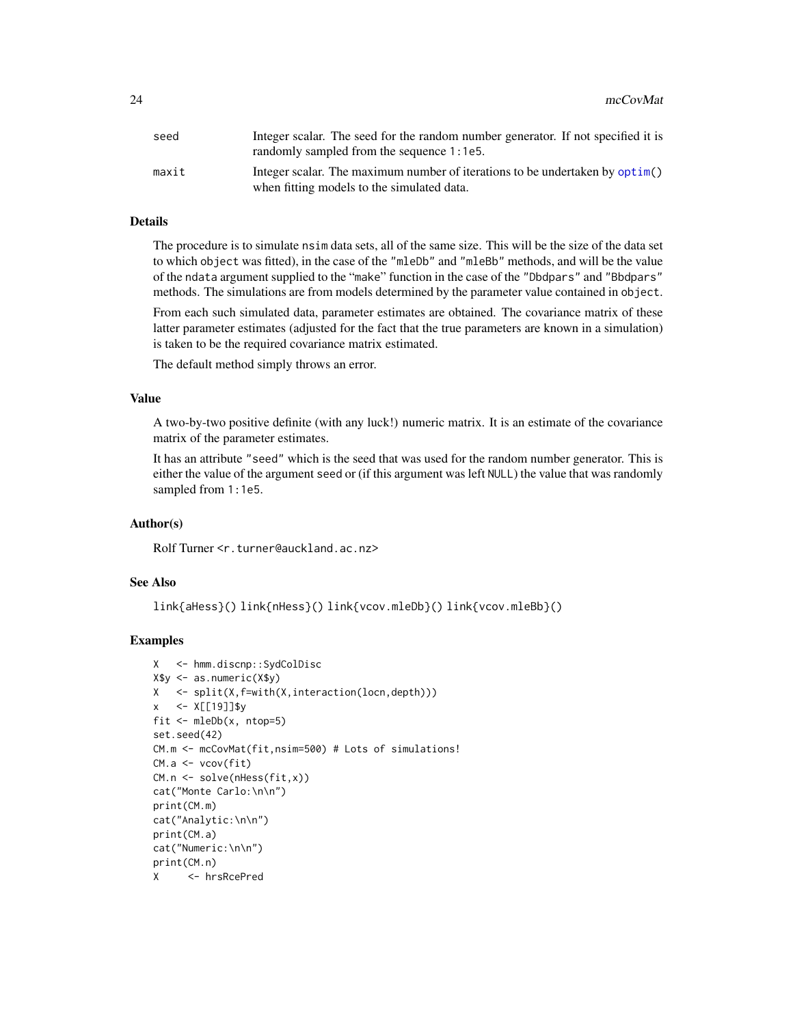<span id="page-23-0"></span>

| seed  | Integer scalar. The seed for the random number generator. If not specified it is |
|-------|----------------------------------------------------------------------------------|
|       | randomly sampled from the sequence 1:1e5.                                        |
| maxit | Integer scalar. The maximum number of iterations to be undertaken by optim()     |
|       | when fitting models to the simulated data.                                       |

# Details

The procedure is to simulate nsim data sets, all of the same size. This will be the size of the data set to which object was fitted), in the case of the "mleDb" and "mleBb" methods, and will be the value of the ndata argument supplied to the "make" function in the case of the "Dbdpars" and "Bbdpars" methods. The simulations are from models determined by the parameter value contained in object.

From each such simulated data, parameter estimates are obtained. The covariance matrix of these latter parameter estimates (adjusted for the fact that the true parameters are known in a simulation) is taken to be the required covariance matrix estimated.

The default method simply throws an error.

#### Value

A two-by-two positive definite (with any luck!) numeric matrix. It is an estimate of the covariance matrix of the parameter estimates.

It has an attribute "seed" which is the seed that was used for the random number generator. This is either the value of the argument seed or (if this argument was left NULL) the value that was randomly sampled from 1:1e5.

#### Author(s)

Rolf Turner <r.turner@auckland.ac.nz>

# See Also

link{aHess}() link{nHess}() link{vcov.mleDb}() link{vcov.mleBb}()

# Examples

```
X <- hmm.discnp::SydColDisc
X$y <- as.numeric(X$y)
X <- split(X,f=with(X,interaction(locn,depth)))
x \le -X[19]]$y
fit <- mleDb(x, ntop=5)
set.seed(42)
CM.m <- mcCovMat(fit,nsim=500) # Lots of simulations!
CM.a <- vcov(fit)
CM.n <- solve(nHess(fit,x))
cat("Monte Carlo:\n\n")
print(CM.m)
cat("Analytic:\n\n")
print(CM.a)
cat("Numeric:\n\n")
print(CM.n)
X <- hrsRcePred
```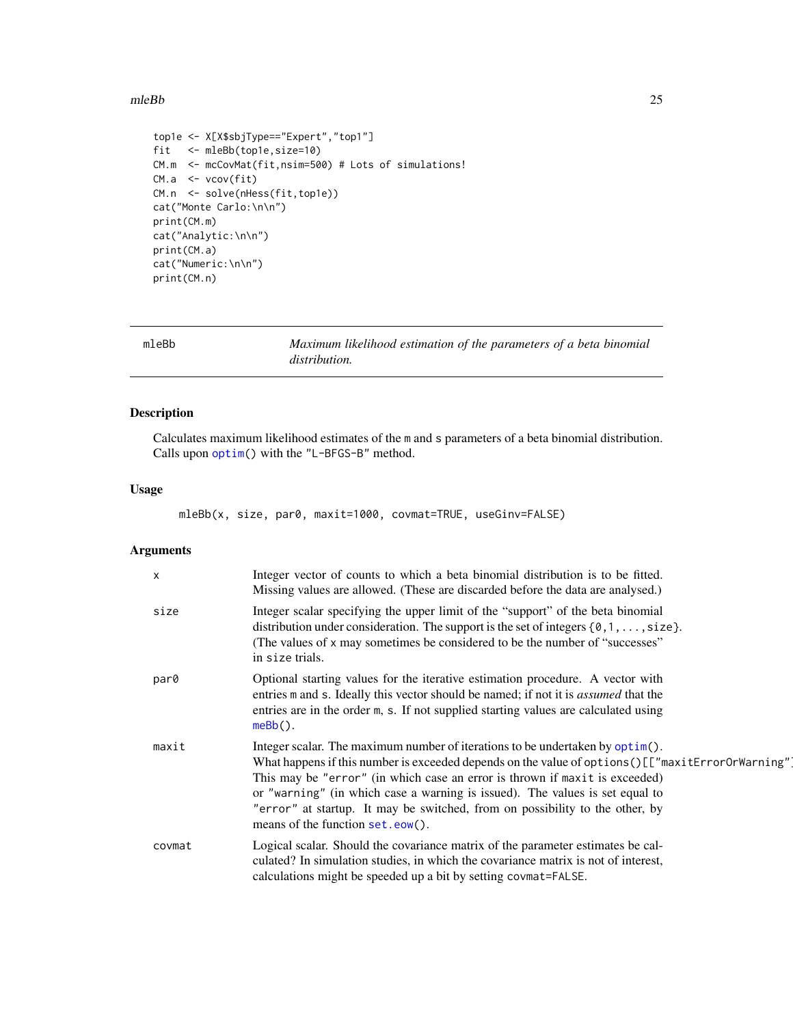#### <span id="page-24-0"></span> $m$ leBb 25

```
top1e <- X[X$sbjType=="Expert","top1"]
fit <- mleBb(top1e,size=10)
CM.m <- mcCovMat(fit,nsim=500) # Lots of simulations!
CM.a <- vcov(fit)
CM.n <- solve(nHess(fit,top1e))
cat("Monte Carlo:\n\n")
print(CM.m)
cat("Analytic:\n\n")
print(CM.a)
cat("Numeric:\n\n")
print(CM.n)
```
<span id="page-24-1"></span>

| mleBb | Maximum likelihood estimation of the parameters of a beta binomial |
|-------|--------------------------------------------------------------------|
|       | <i>distribution.</i>                                               |

# Description

Calculates maximum likelihood estimates of the m and s parameters of a beta binomial distribution. Calls upon [optim\(](#page-0-0)) with the "L-BFGS-B" method.

# Usage

mleBb(x, size, par0, maxit=1000, covmat=TRUE, useGinv=FALSE)

# Arguments

| X      | Integer vector of counts to which a beta binomial distribution is to be fitted.<br>Missing values are allowed. (These are discarded before the data are analysed.)                                                                                                                                                                                                                                                                                                      |
|--------|-------------------------------------------------------------------------------------------------------------------------------------------------------------------------------------------------------------------------------------------------------------------------------------------------------------------------------------------------------------------------------------------------------------------------------------------------------------------------|
| size   | Integer scalar specifying the upper limit of the "support" of the beta binomial<br>distribution under consideration. The support is the set of integers $\{0, 1, \ldots, size\}$ .<br>(The values of x may sometimes be considered to be the number of "successes"<br>in size trials.                                                                                                                                                                                   |
| par0   | Optional starting values for the iterative estimation procedure. A vector with<br>entries m and s. Ideally this vector should be named; if not it is <i>assumed</i> that the<br>entries are in the order m, s. If not supplied starting values are calculated using<br>$meBb()$ .                                                                                                                                                                                       |
| maxit  | Integer scalar. The maximum number of iterations to be undertaken by optim().<br>What happens if this number is exceeded depends on the value of options () [["maxitErrorOrWarning"]<br>This may be "error" (in which case an error is thrown if maxit is exceeded)<br>or "warning" (in which case a warning is issued). The values is set equal to<br>"error" at startup. It may be switched, from on possibility to the other, by<br>means of the function set.eow(). |
| covmat | Logical scalar. Should the covariance matrix of the parameter estimates be cal-<br>culated? In simulation studies, in which the covariance matrix is not of interest,<br>calculations might be speeded up a bit by setting covmat=FALSE.                                                                                                                                                                                                                                |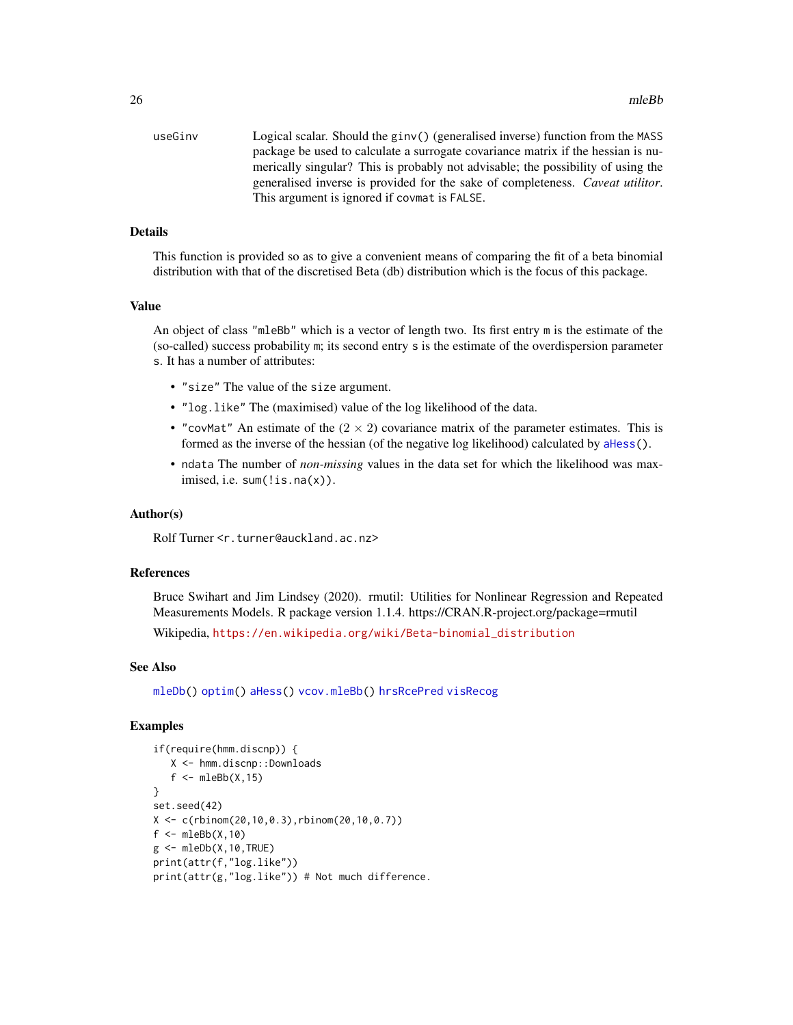<span id="page-25-0"></span>

| useGinv | Logical scalar. Should the ginv() (generalised inverse) function from the MASS         |
|---------|----------------------------------------------------------------------------------------|
|         | package be used to calculate a surrogate covariance matrix if the hessian is nu-       |
|         | merically singular? This is probably not advisable; the possibility of using the       |
|         | generalised inverse is provided for the sake of completeness. <i>Caveat utilitor</i> . |
|         | This argument is ignored if covmat is FALSE.                                           |

# Details

This function is provided so as to give a convenient means of comparing the fit of a beta binomial distribution with that of the discretised Beta (db) distribution which is the focus of this package.

# Value

An object of class "mleBb" which is a vector of length two. Its first entry m is the estimate of the (so-called) success probability m; its second entry s is the estimate of the overdispersion parameter s. It has a number of attributes:

- "size" The value of the size argument.
- "log.like" The (maximised) value of the log likelihood of the data.
- "covMat" An estimate of the  $(2 \times 2)$  covariance matrix of the parameter estimates. This is formed as the inverse of the hessian (of the negative log likelihood) calculated by [aHess\(](#page-1-1)).
- ndata The number of *non-missing* values in the data set for which the likelihood was maximised, i.e. sum(!is.na(x)).

### Author(s)

Rolf Turner <r.turner@auckland.ac.nz>

# References

Bruce Swihart and Jim Lindsey (2020). rmutil: Utilities for Nonlinear Regression and Repeated Measurements Models. R package version 1.1.4. https://CRAN.R-project.org/package=rmutil

Wikipedia, [https://en.wikipedia.org/wiki/Beta-binomial\\_distribution](https://en.wikipedia.org/wiki/Beta-binomial_distribution)

#### See Also

[mleDb\(](#page-26-1)) [optim\(](#page-0-0)) [aHess\(](#page-1-1)) [vcov.mleBb\(](#page-41-1)) [hrsRcePred](#page-15-1) [visRecog](#page-43-1)

# Examples

```
if(require(hmm.discnp)) {
   X <- hmm.discnp::Downloads
   f \leftarrow \text{mleBb}(X, 15)}
set.seed(42)
X <- c(rbinom(20,10,0.3),rbinom(20,10,0.7))
f \leftarrow \text{mleBb}(X,10)g \leftarrow \text{mleDb}(X, 10, \text{TRUE})print(attr(f,"log.like"))
print(attr(g,"log.like")) # Not much difference.
```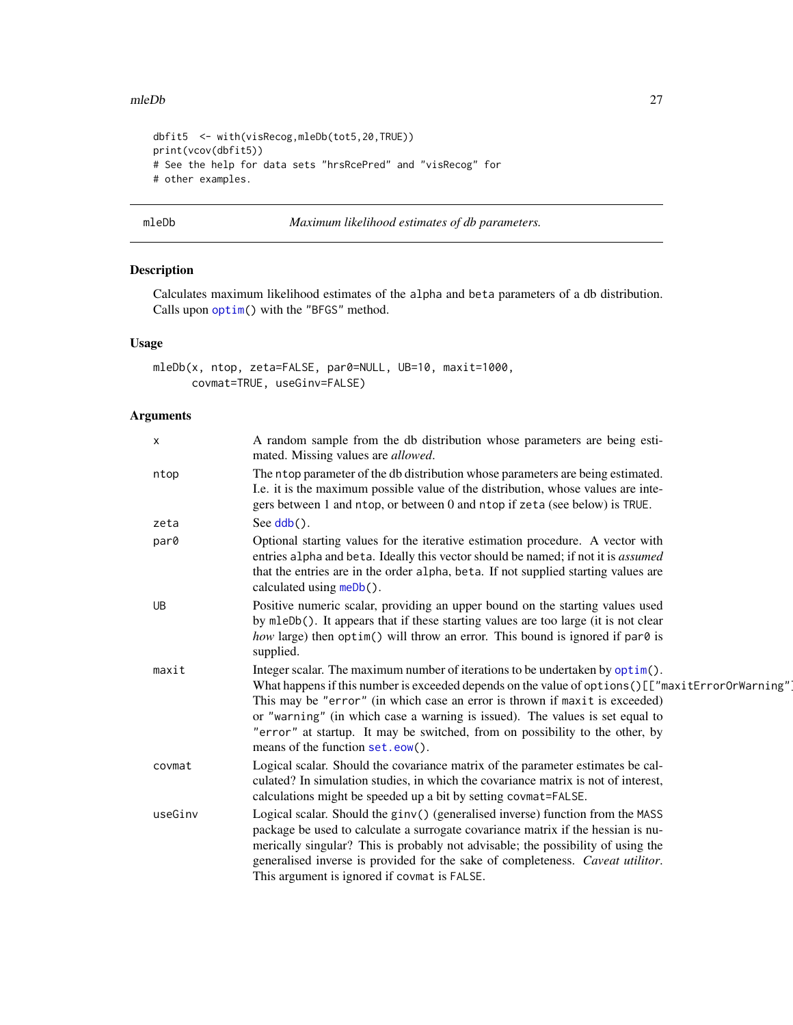#### <span id="page-26-0"></span>mleDb 27

```
dbfit5 <- with(visRecog,mleDb(tot5,20,TRUE))
print(vcov(dbfit5))
# See the help for data sets "hrsRcePred" and "visRecog" for
# other examples.
```
<span id="page-26-1"></span>mleDb *Maximum likelihood estimates of db parameters.*

# Description

Calculates maximum likelihood estimates of the alpha and beta parameters of a db distribution. Calls upon [optim\(](#page-0-0)) with the "BFGS" method.

# Usage

```
mleDb(x, ntop, zeta=FALSE, par0=NULL, UB=10, maxit=1000,
     covmat=TRUE, useGinv=FALSE)
```
# Arguments

| $\mathsf{x}$ | A random sample from the db distribution whose parameters are being esti-<br>mated. Missing values are <i>allowed</i> .                                                                                                                                                                                                                                                                                                                                                |
|--------------|------------------------------------------------------------------------------------------------------------------------------------------------------------------------------------------------------------------------------------------------------------------------------------------------------------------------------------------------------------------------------------------------------------------------------------------------------------------------|
| ntop         | The ntop parameter of the db distribution whose parameters are being estimated.<br>I.e. it is the maximum possible value of the distribution, whose values are inte-<br>gers between 1 and ntop, or between 0 and ntop if zeta (see below) is TRUE.                                                                                                                                                                                                                    |
| zeta         | See $\text{ddb}()$ .                                                                                                                                                                                                                                                                                                                                                                                                                                                   |
| par0         | Optional starting values for the iterative estimation procedure. A vector with<br>entries alpha and beta. Ideally this vector should be named; if not it is assumed<br>that the entries are in the order alpha, beta. If not supplied starting values are<br>calculated using meDb().                                                                                                                                                                                  |
| <b>UB</b>    | Positive numeric scalar, providing an upper bound on the starting values used<br>by mleDb(). It appears that if these starting values are too large (it is not clear<br>how large) then optim() will throw an error. This bound is ignored if par $\theta$ is<br>supplied.                                                                                                                                                                                             |
| maxit        | Integer scalar. The maximum number of iterations to be undertaken by optim().<br>What happens if this number is exceeded depends on the value of options ()[["maxitErrorOrWarning"]<br>This may be "error" (in which case an error is thrown if maxit is exceeded)<br>or "warning" (in which case a warning is issued). The values is set equal to<br>"error" at startup. It may be switched, from on possibility to the other, by<br>means of the function set.eow(). |
| covmat       | Logical scalar. Should the covariance matrix of the parameter estimates be cal-<br>culated? In simulation studies, in which the covariance matrix is not of interest,<br>calculations might be speeded up a bit by setting covmat=FALSE.                                                                                                                                                                                                                               |
| useGinv      | Logical scalar. Should the ginv() (generalised inverse) function from the MASS<br>package be used to calculate a surrogate covariance matrix if the hessian is nu-<br>merically singular? This is probably not advisable; the possibility of using the<br>generalised inverse is provided for the sake of completeness. Caveat utilitor.<br>This argument is ignored if covmat is FALSE.                                                                               |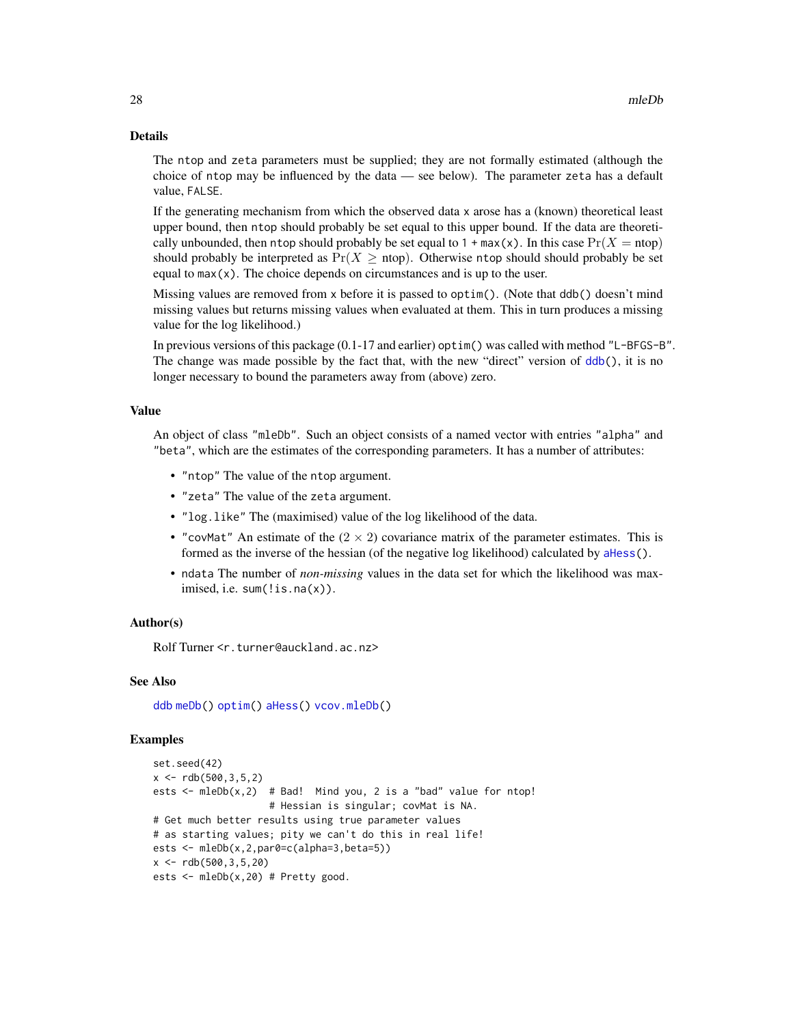#### Details

The ntop and zeta parameters must be supplied; they are not formally estimated (although the choice of ntop may be influenced by the data — see below). The parameter zeta has a default value, FALSE.

If the generating mechanism from which the observed data x arose has a (known) theoretical least upper bound, then ntop should probably be set equal to this upper bound. If the data are theoretically unbounded, then ntop should probably be set equal to  $1 + \max(x)$ . In this case  $Pr(X = \text{ntop})$ should probably be interpreted as  $Pr(X > ntop)$ . Otherwise ntop should should probably be set equal to  $max(x)$ . The choice depends on circumstances and is up to the user.

Missing values are removed from x before it is passed to optim(). (Note that ddb() doesn't mind missing values but returns missing values when evaluated at them. This in turn produces a missing value for the log likelihood.)

In previous versions of this package (0.1-17 and earlier) optim() was called with method "L-BFGS-B". The change was made possible by the fact that, with the new "direct" version of [ddb\(](#page-2-1)), it is no longer necessary to bound the parameters away from (above) zero.

#### Value

An object of class "mleDb". Such an object consists of a named vector with entries "alpha" and "beta", which are the estimates of the corresponding parameters. It has a number of attributes:

- "ntop" The value of the ntop argument.
- "zeta" The value of the zeta argument.
- "log.like" The (maximised) value of the log likelihood of the data.
- "covMat" An estimate of the  $(2 \times 2)$  covariance matrix of the parameter estimates. This is formed as the inverse of the hessian (of the negative log likelihood) calculated by [aHess\(](#page-1-1)).
- ndata The number of *non-missing* values in the data set for which the likelihood was maximised, i.e. sum(!is.na(x)).

# Author(s)

Rolf Turner <r.turner@auckland.ac.nz>

# See Also

[ddb](#page-2-1) [meDb\(](#page-0-0)) [optim\(](#page-0-0)) [aHess\(](#page-1-1)) [vcov.mleDb\(](#page-42-1))

#### Examples

```
set.seed(42)
x \le -rdb(500, 3, 5, 2)ests \leq mleDb(x, 2) # Bad! Mind you, 2 is a "bad" value for ntop!
                    # Hessian is singular; covMat is NA.
# Get much better results using true parameter values
# as starting values; pity we can't do this in real life!
ests <- mleDb(x,2,par0=c(alpha=3,beta=5))
x \le -rdb(500, 3, 5, 20)ests <- mleDb(x,20) # Pretty good.
```
<span id="page-27-0"></span>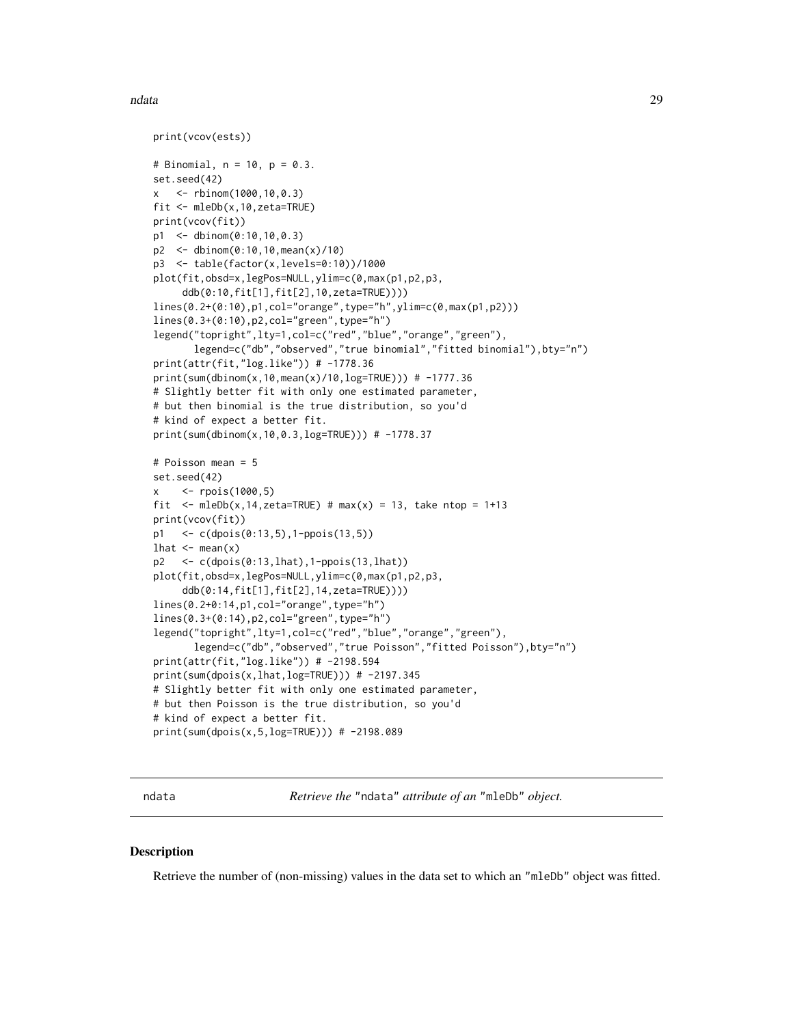#### <span id="page-28-0"></span>ndata 29 anisar 2008. Ilaah samuun ka sida 12 anisar 2008. Ilaah samuun ka sida 2008. Ilaah samuun ka sida 200

```
print(vcov(ests))
# Binomial, n = 10, p = 0.3.
set.seed(42)
x <- rbinom(1000,10,0.3)
fit <- mleDb(x,10,zeta=TRUE)
print(vcov(fit))
p1 <- dbinom(0:10,10,0.3)
p2 <- dbinom(0:10,10,mean(x)/10)
p3 <- table(factor(x,levels=0:10))/1000
plot(fit,obsd=x,legPos=NULL,ylim=c(0,max(p1,p2,p3,
     ddb(0:10,fit[1],fit[2],10,zeta=TRUE))))
lines(0.2+(0:10),p1,col="orange",type="h",ylim=c(0,max(p1,p2)))
lines(0.3+(0:10),p2,col="green",type="h")
legend("topright",lty=1,col=c("red","blue","orange","green"),
      legend=c("db","observed","true binomial","fitted binomial"),bty="n")
print(attr(fit,"log.like")) # -1778.36
print(sum(dbinom(x,10,mean(x)/10,log=TRUE))) # -1777.36
# Slightly better fit with only one estimated parameter,
# but then binomial is the true distribution, so you'd
# kind of expect a better fit.
print(sum(dbinom(x,10,0.3,log=TRUE))) # -1778.37
# Poisson mean = 5
set.seed(42)
x <- rpois(1000,5)
fit \leq mleDb(x, 14, zeta=TRUE) # max(x) = 13, take ntop = 1+13
print(vcov(fit))
p1 <- c(dpois(0:13,5),1-ppois(13,5))
lhat \leftarrow mean(x)p2 <- c(dpois(0:13,lhat),1-ppois(13,lhat))
plot(fit,obsd=x,legPos=NULL,ylim=c(0,max(p1,p2,p3,
     ddb(0:14,fit[1],fit[2],14,zeta=TRUE))))
lines(0.2+0:14,p1,col="orange",type="h")
lines(0.3+(0:14),p2,col="green",type="h")
legend("topright",lty=1,col=c("red","blue","orange","green"),
      legend=c("db","observed","true Poisson","fitted Poisson"),bty="n")
print(attr(fit,"log.like")) # -2198.594
print(sum(dpois(x,lhat,log=TRUE))) # -2197.345
# Slightly better fit with only one estimated parameter,
# but then Poisson is the true distribution, so you'd
# kind of expect a better fit.
print(sum(dpois(x,5,log=TRUE))) # -2198.089
```
ndata *Retrieve the* "ndata" *attribute of an* "mleDb" *object.*

### **Description**

Retrieve the number of (non-missing) values in the data set to which an "mleDb" object was fitted.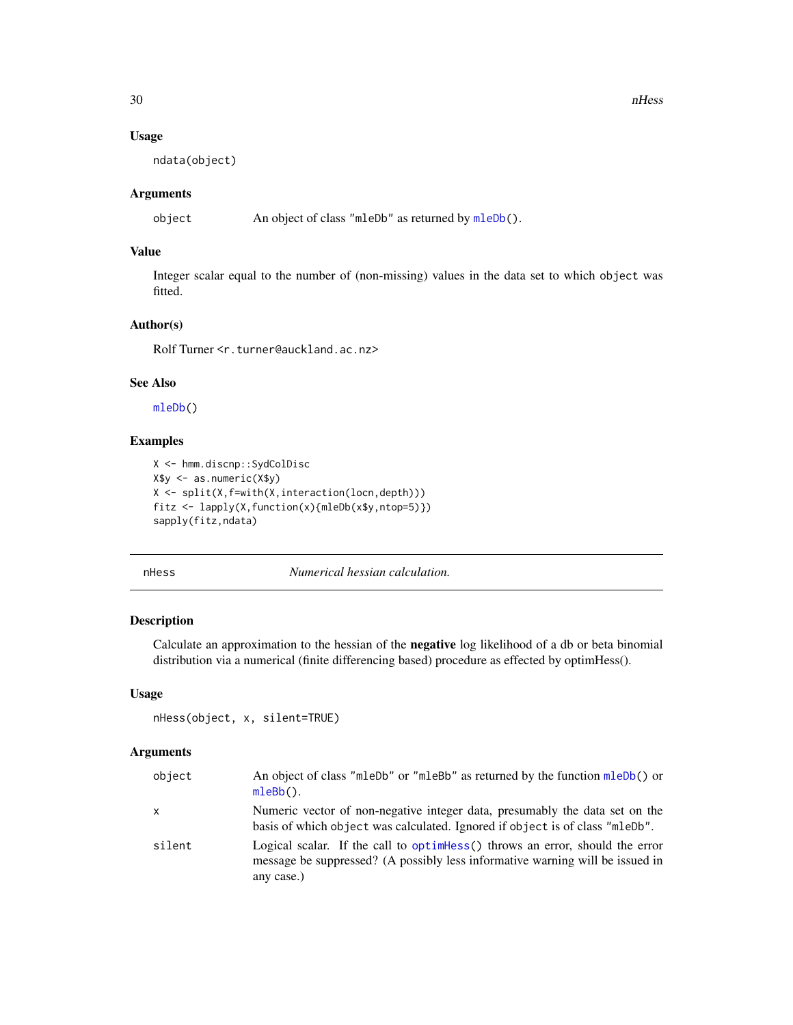#### Usage

ndata(object)

# Arguments

object An object of class "mleDb" as returned by [mleDb\(](#page-26-1)).

# Value

Integer scalar equal to the number of (non-missing) values in the data set to which object was fitted.

# Author(s)

Rolf Turner <r.turner@auckland.ac.nz>

# See Also

[mleDb\(](#page-26-1))

# Examples

```
X <- hmm.discnp::SydColDisc
X$y <- as.numeric(X$y)
X \leftarrow split(X, f=with(X, interaction(locn, depth)))fitz <- lapply(X,function(x){mleDb(x$y,ntop=5)})
sapply(fitz,ndata)
```
<span id="page-29-1"></span>

nHess *Numerical hessian calculation.*

# Description

Calculate an approximation to the hessian of the negative log likelihood of a db or beta binomial distribution via a numerical (finite differencing based) procedure as effected by optimHess().

#### Usage

```
nHess(object, x, silent=TRUE)
```
#### Arguments

| object | An object of class "mleDb" or "mleBb" as returned by the function mleDb() or<br>$mleBb()$ .                                                                                 |
|--------|-----------------------------------------------------------------------------------------------------------------------------------------------------------------------------|
| X      | Numeric vector of non-negative integer data, presumably the data set on the<br>basis of which object was calculated. Ignored if object is of class "mleDb".                 |
| silent | Logical scalar. If the call to optimess () throws an error, should the error<br>message be suppressed? (A possibly less informative warning will be issued in<br>any case.) |

<span id="page-29-0"></span>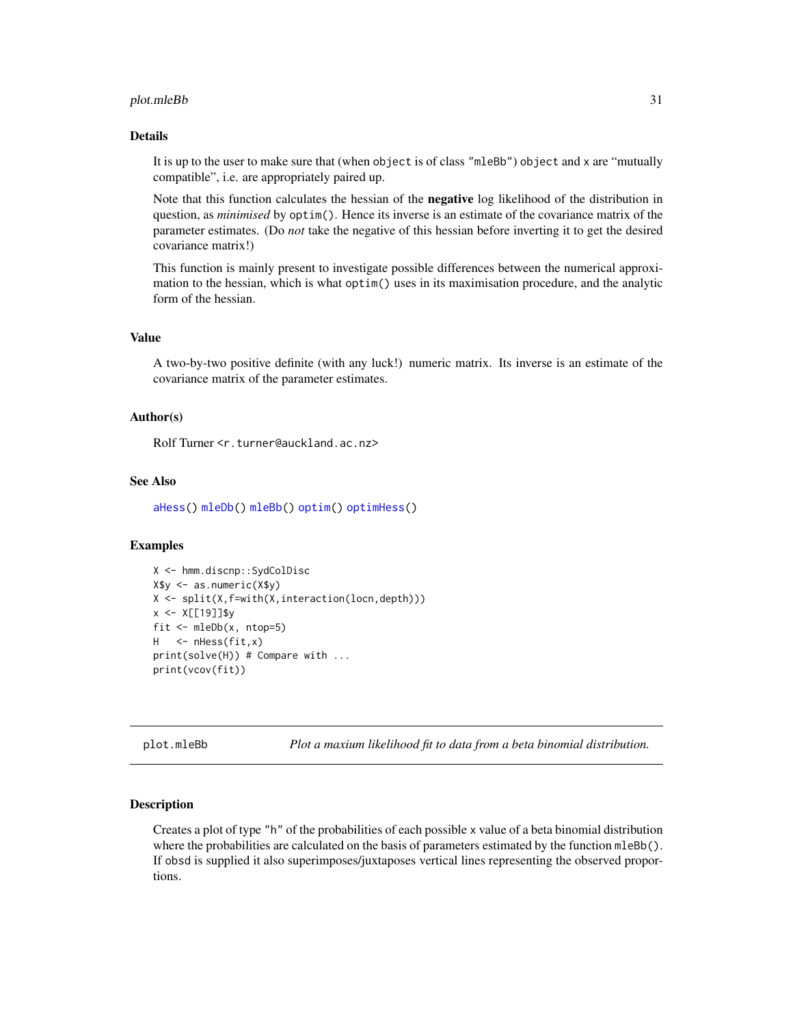#### <span id="page-30-0"></span>plot.mleBb 31

#### Details

It is up to the user to make sure that (when object is of class "mleBb") object and x are "mutually compatible", i.e. are appropriately paired up.

Note that this function calculates the hessian of the **negative** log likelihood of the distribution in question, as *minimised* by optim(). Hence its inverse is an estimate of the covariance matrix of the parameter estimates. (Do *not* take the negative of this hessian before inverting it to get the desired covariance matrix!)

This function is mainly present to investigate possible differences between the numerical approximation to the hessian, which is what optim() uses in its maximisation procedure, and the analytic form of the hessian.

#### Value

A two-by-two positive definite (with any luck!) numeric matrix. Its inverse is an estimate of the covariance matrix of the parameter estimates.

# Author(s)

Rolf Turner <r.turner@auckland.ac.nz>

#### See Also

[aHess\(](#page-1-1)) [mleDb\(](#page-26-1)) [mleBb\(](#page-24-1)) [optim\(](#page-0-0)) [optimHess\(](#page-0-0))

### Examples

```
X <- hmm.discnp::SydColDisc
X$y <- as.numeric(X$y)
X \leftarrow split(X, f=with(X, interaction(locn, depth)))x <- X[[19]]$y
fit <- mleDb(x, ntop=5)
H <- nHess(fit,x)
print(solve(H)) # Compare with ...
print(vcov(fit))
```
<span id="page-30-1"></span>plot.mleBb *Plot a maxium likelihood fit to data from a beta binomial distribution.*

# **Description**

Creates a plot of type "h" of the probabilities of each possible x value of a beta binomial distribution where the probabilities are calculated on the basis of parameters estimated by the function mleBb(). If obsd is supplied it also superimposes/juxtaposes vertical lines representing the observed proportions.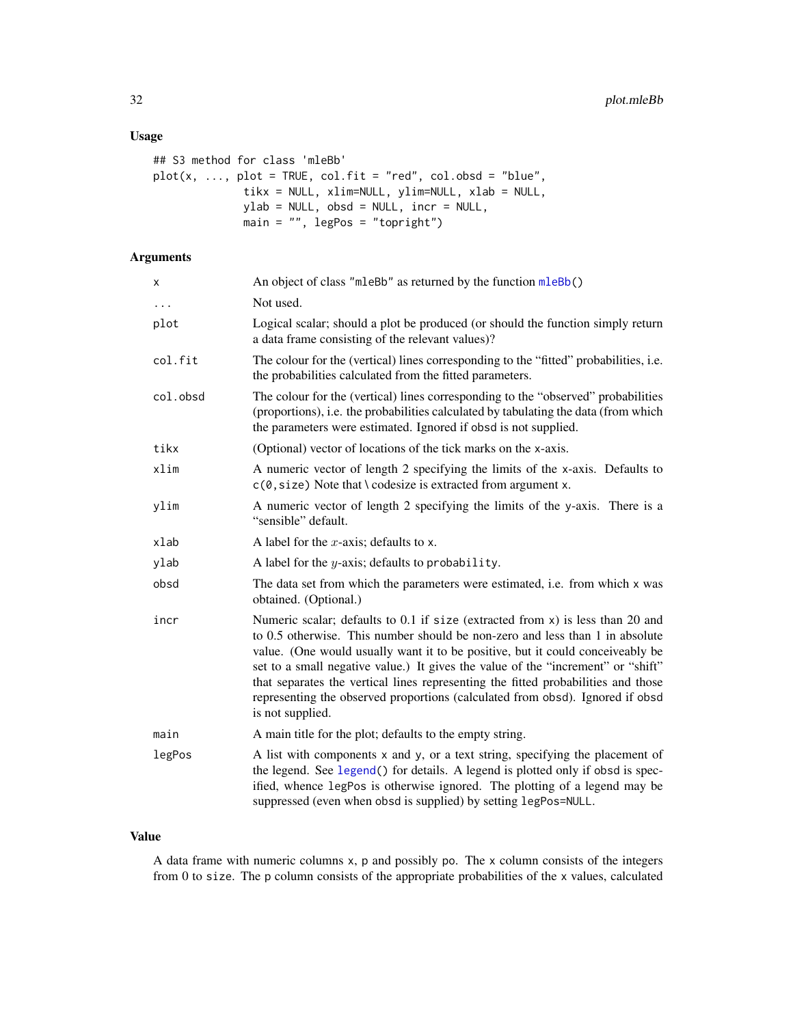# <span id="page-31-0"></span>Usage

```
## S3 method for class 'mleBb'
plot(x, ..., plot = TRUE, col.fit = "red", col.obsd = "blue",
              tikx = NULL, xlim=NULL, ylim=NULL, xlab = NULL,
              ylab = NULL, obsd = NULL, incr = NULL,
              main = "", legPos = "topright")
```
# Arguments

| X        | An object of class "mleBb" as returned by the function mleBb()                                                                                                                                                                                                                                                                                                                                                                                                                                                                      |
|----------|-------------------------------------------------------------------------------------------------------------------------------------------------------------------------------------------------------------------------------------------------------------------------------------------------------------------------------------------------------------------------------------------------------------------------------------------------------------------------------------------------------------------------------------|
| $\cdots$ | Not used.                                                                                                                                                                                                                                                                                                                                                                                                                                                                                                                           |
| plot     | Logical scalar; should a plot be produced (or should the function simply return<br>a data frame consisting of the relevant values)?                                                                                                                                                                                                                                                                                                                                                                                                 |
| col.fit  | The colour for the (vertical) lines corresponding to the "fitted" probabilities, <i>i.e.</i><br>the probabilities calculated from the fitted parameters.                                                                                                                                                                                                                                                                                                                                                                            |
| col.obsd | The colour for the (vertical) lines corresponding to the "observed" probabilities<br>(proportions), i.e. the probabilities calculated by tabulating the data (from which<br>the parameters were estimated. Ignored if obsd is not supplied.                                                                                                                                                                                                                                                                                         |
| tikx     | (Optional) vector of locations of the tick marks on the x-axis.                                                                                                                                                                                                                                                                                                                                                                                                                                                                     |
| xlim     | A numeric vector of length 2 specifying the limits of the x-axis. Defaults to<br>$c(0, size)$ Note that \codesize is extracted from argument x.                                                                                                                                                                                                                                                                                                                                                                                     |
| ylim     | A numeric vector of length 2 specifying the limits of the y-axis. There is a<br>"sensible" default.                                                                                                                                                                                                                                                                                                                                                                                                                                 |
| xlab     | A label for the x-axis; defaults to x.                                                                                                                                                                                                                                                                                                                                                                                                                                                                                              |
| ylab     | A label for the $y$ -axis; defaults to probability.                                                                                                                                                                                                                                                                                                                                                                                                                                                                                 |
| obsd     | The data set from which the parameters were estimated, i.e. from which x was<br>obtained. (Optional.)                                                                                                                                                                                                                                                                                                                                                                                                                               |
| incr     | Numeric scalar; defaults to $0.1$ if size (extracted from $x$ ) is less than 20 and<br>to 0.5 otherwise. This number should be non-zero and less than 1 in absolute<br>value. (One would usually want it to be positive, but it could conceiveably be<br>set to a small negative value.) It gives the value of the "increment" or "shift"<br>that separates the vertical lines representing the fitted probabilities and those<br>representing the observed proportions (calculated from obsd). Ignored if obsd<br>is not supplied. |
| main     | A main title for the plot; defaults to the empty string.                                                                                                                                                                                                                                                                                                                                                                                                                                                                            |
| legPos   | A list with components x and y, or a text string, specifying the placement of<br>the legend. See legend() for details. A legend is plotted only if obsd is spec-<br>ified, whence legPos is otherwise ignored. The plotting of a legend may be<br>suppressed (even when obsd is supplied) by setting legPos=NULL.                                                                                                                                                                                                                   |

#### Value

A data frame with numeric columns x, p and possibly po. The x column consists of the integers from 0 to size. The p column consists of the appropriate probabilities of the x values, calculated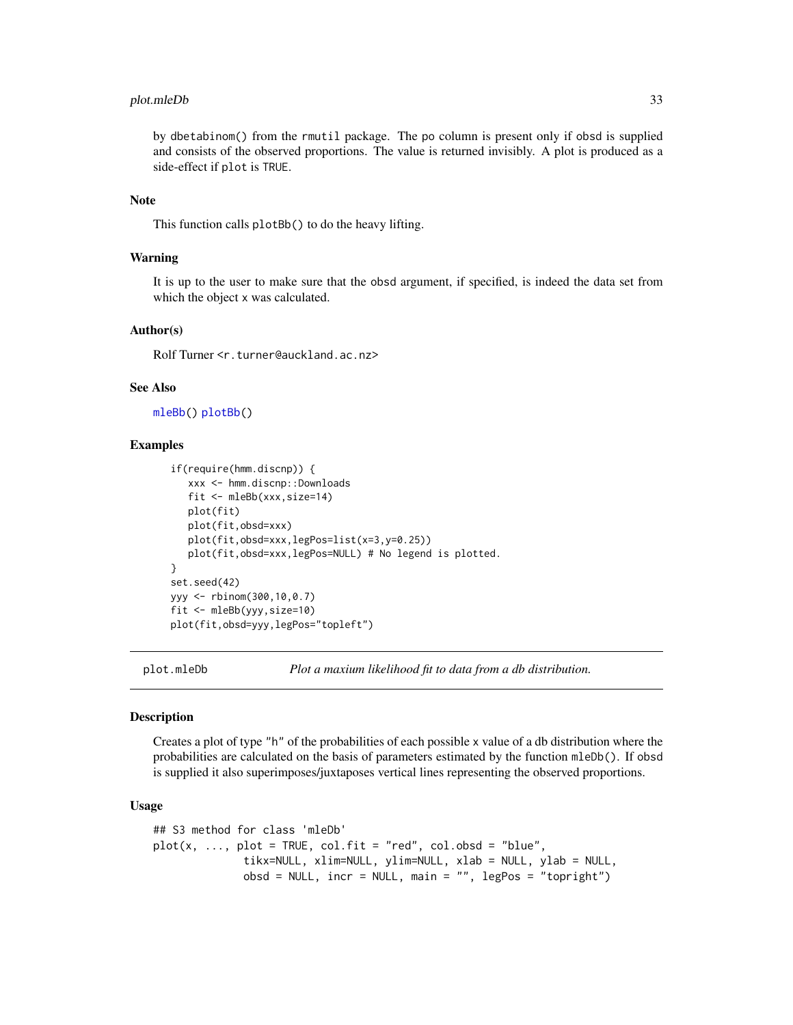# <span id="page-32-0"></span>plot.mleDb 33

by dbetabinom() from the rmutil package. The po column is present only if obsd is supplied and consists of the observed proportions. The value is returned invisibly. A plot is produced as a side-effect if plot is TRUE.

# Note

This function calls plotBb() to do the heavy lifting.

# Warning

It is up to the user to make sure that the obsd argument, if specified, is indeed the data set from which the object x was calculated.

#### Author(s)

Rolf Turner <r.turner@auckland.ac.nz>

#### See Also

[mleBb\(](#page-24-1)) [plotBb\(](#page-34-1))

# Examples

```
if(require(hmm.discnp)) {
   xxx <- hmm.discnp::Downloads
   fit <- mleBb(xxx,size=14)
   plot(fit)
   plot(fit,obsd=xxx)
   plot(fit,obsd=xxx,legPos=list(x=3,y=0.25))
   plot(fit,obsd=xxx,legPos=NULL) # No legend is plotted.
}
set.seed(42)
yyy <- rbinom(300,10,0.7)
fit <- mleBb(yyy,size=10)
plot(fit,obsd=yyy,legPos="topleft")
```
<span id="page-32-1"></span>

plot.mleDb *Plot a maxium likelihood fit to data from a db distribution.*

#### **Description**

Creates a plot of type "h" of the probabilities of each possible x value of a db distribution where the probabilities are calculated on the basis of parameters estimated by the function mleDb(). If obsd is supplied it also superimposes/juxtaposes vertical lines representing the observed proportions.

# Usage

```
## S3 method for class 'mleDb'
plot(x, ..., plot = TRUE, col.fit = "red", col.obsd = "blue",tikx=NULL, xlim=NULL, ylim=NULL, xlab = NULL, ylab = NULL,
              obsd = NULL, incr = NULL, main = ''', legPos = "topright")
```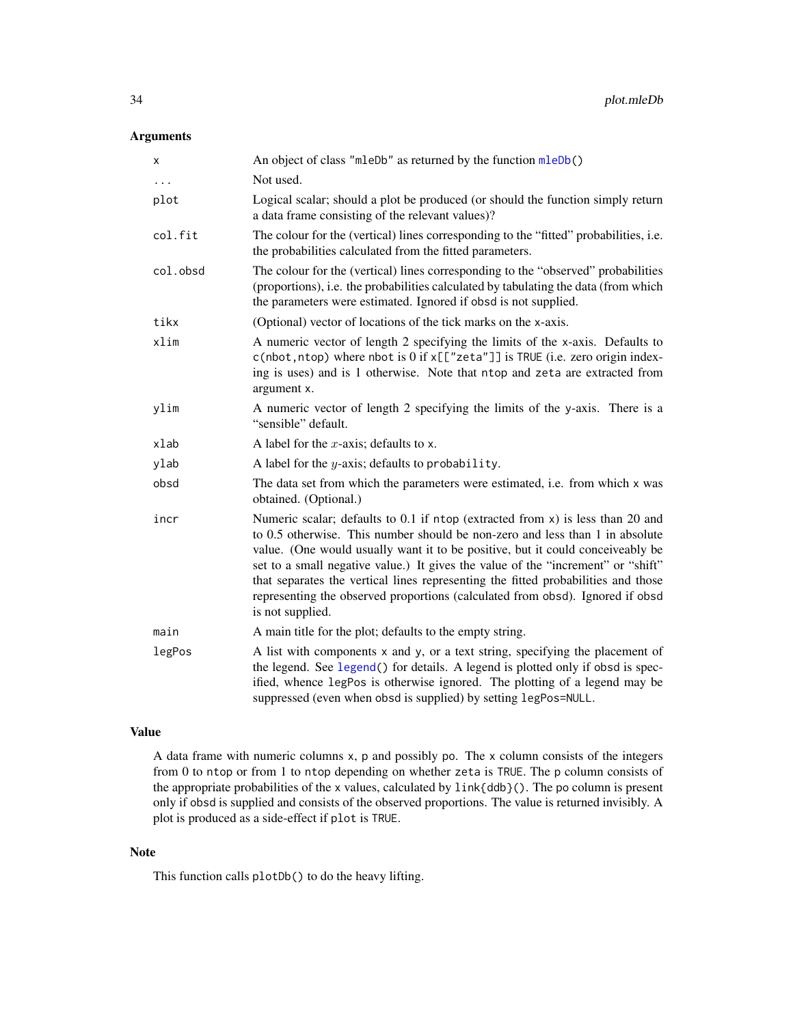# <span id="page-33-0"></span>Arguments

| x          | An object of class "mleDb" as returned by the function mleDb()                                                                                                                                                                                                                                                                                                                                                                                                                                                                 |
|------------|--------------------------------------------------------------------------------------------------------------------------------------------------------------------------------------------------------------------------------------------------------------------------------------------------------------------------------------------------------------------------------------------------------------------------------------------------------------------------------------------------------------------------------|
| $\ddots$ . | Not used.                                                                                                                                                                                                                                                                                                                                                                                                                                                                                                                      |
| plot       | Logical scalar; should a plot be produced (or should the function simply return<br>a data frame consisting of the relevant values)?                                                                                                                                                                                                                                                                                                                                                                                            |
| col.fit    | The colour for the (vertical) lines corresponding to the "fitted" probabilities, i.e.<br>the probabilities calculated from the fitted parameters.                                                                                                                                                                                                                                                                                                                                                                              |
| col.obsd   | The colour for the (vertical) lines corresponding to the "observed" probabilities<br>(proportions), i.e. the probabilities calculated by tabulating the data (from which<br>the parameters were estimated. Ignored if obsd is not supplied.                                                                                                                                                                                                                                                                                    |
| tikx       | (Optional) vector of locations of the tick marks on the x-axis.                                                                                                                                                                                                                                                                                                                                                                                                                                                                |
| xlim       | A numeric vector of length 2 specifying the limits of the x-axis. Defaults to<br>$c$ (nbot, ntop) where nbot is 0 if $x[["zeta"]$ is TRUE (i.e. zero origin index-<br>ing is uses) and is 1 otherwise. Note that ntop and zeta are extracted from<br>argument x.                                                                                                                                                                                                                                                               |
| ylim       | A numeric vector of length 2 specifying the limits of the y-axis. There is a<br>"sensible" default.                                                                                                                                                                                                                                                                                                                                                                                                                            |
| xlab       | A label for the x-axis; defaults to x.                                                                                                                                                                                                                                                                                                                                                                                                                                                                                         |
| ylab       | A label for the $y$ -axis; defaults to probability.                                                                                                                                                                                                                                                                                                                                                                                                                                                                            |
| obsd       | The data set from which the parameters were estimated, i.e. from which x was<br>obtained. (Optional.)                                                                                                                                                                                                                                                                                                                                                                                                                          |
| incr       | Numeric scalar; defaults to 0.1 if ntop (extracted from x) is less than 20 and<br>to 0.5 otherwise. This number should be non-zero and less than 1 in absolute<br>value. (One would usually want it to be positive, but it could conceiveably be<br>set to a small negative value.) It gives the value of the "increment" or "shift"<br>that separates the vertical lines representing the fitted probabilities and those<br>representing the observed proportions (calculated from obsd). Ignored if obsd<br>is not supplied. |
| main       | A main title for the plot; defaults to the empty string.                                                                                                                                                                                                                                                                                                                                                                                                                                                                       |
| legPos     | A list with components x and y, or a text string, specifying the placement of<br>the legend. See legend() for details. A legend is plotted only if obsd is spec-<br>ified, whence legPos is otherwise ignored. The plotting of a legend may be<br>suppressed (even when obsd is supplied) by setting legPos=NULL.                                                                                                                                                                                                              |

# Value

A data frame with numeric columns x, p and possibly po. The x column consists of the integers from 0 to ntop or from 1 to ntop depending on whether zeta is TRUE. The p column consists of the appropriate probabilities of the x values, calculated by link{ddb}(). The po column is present only if obsd is supplied and consists of the observed proportions. The value is returned invisibly. A plot is produced as a side-effect if plot is TRUE.

# Note

This function calls plotDb() to do the heavy lifting.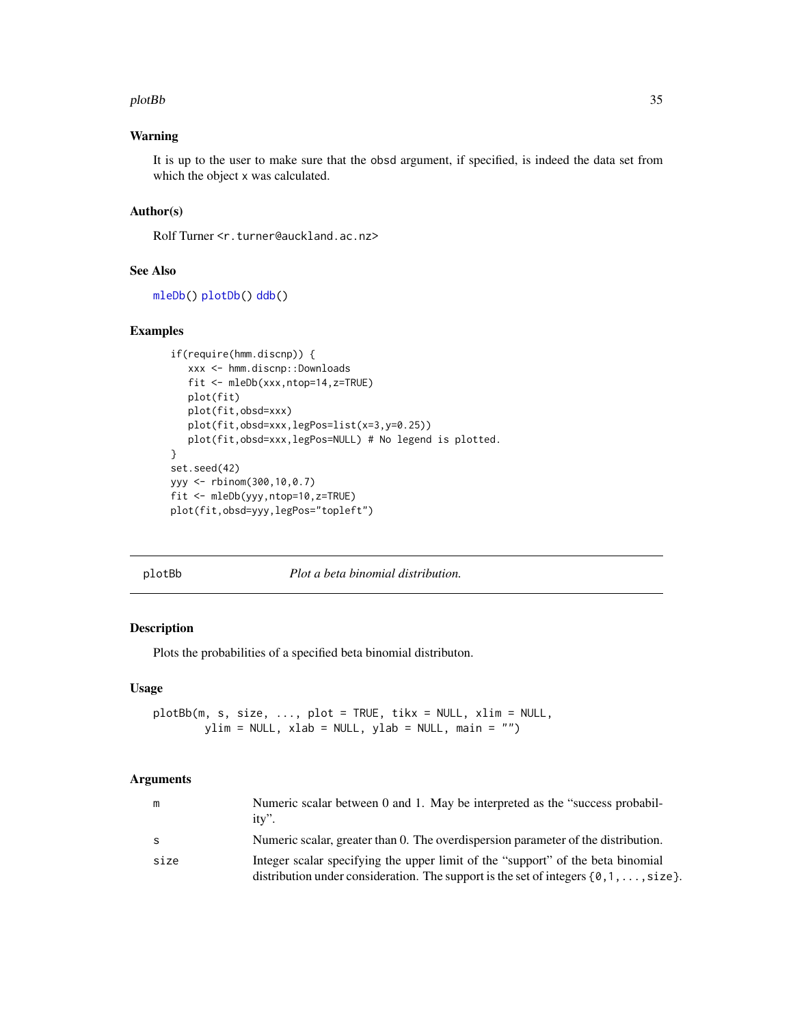#### <span id="page-34-0"></span>plotBb 35

# Warning

It is up to the user to make sure that the obsd argument, if specified, is indeed the data set from which the object x was calculated.

# Author(s)

Rolf Turner <r.turner@auckland.ac.nz>

# See Also

```
mleDb() plotDb() ddb()
```
# Examples

```
if(require(hmm.discnp)) {
   xxx <- hmm.discnp::Downloads
   fit <- mleDb(xxx,ntop=14,z=TRUE)
   plot(fit)
   plot(fit,obsd=xxx)
   plot(fit,obsd=xxx,legPos=list(x=3,y=0.25))
   plot(fit,obsd=xxx,legPos=NULL) # No legend is plotted.
}
set.seed(42)
yyy <- rbinom(300,10,0.7)
fit <- mleDb(yyy,ntop=10,z=TRUE)
plot(fit,obsd=yyy,legPos="topleft")
```
plotBb *Plot a beta binomial distribution.*

## Description

Plots the probabilities of a specified beta binomial distributon.

# Usage

```
plotBb(m, s, size, ..., plot = TRUE, tikx = NULL, xlim = NULL,
       ylim = NULL, xlab = NULL, ylab = NULL, main = "")
```
#### Arguments

| m    | Numeric scalar between 0 and 1. May be interpreted as the "success probabil-<br>$itv$ ".                                                                                           |
|------|------------------------------------------------------------------------------------------------------------------------------------------------------------------------------------|
| - S  | Numeric scalar, greater than 0. The overdispersion parameter of the distribution.                                                                                                  |
| size | Integer scalar specifying the upper limit of the "support" of the beta binomial<br>distribution under consideration. The support is the set of integers $\{0, 1, \ldots, size\}$ . |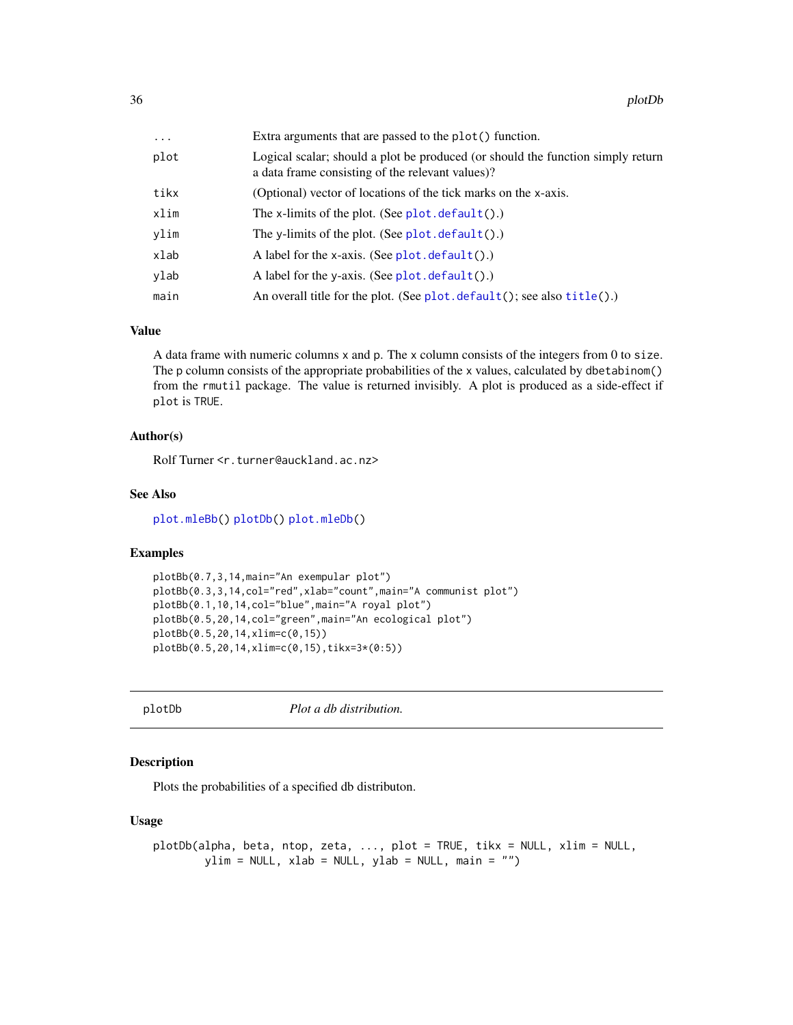<span id="page-35-0"></span>

| $\cdots$ | Extra arguments that are passed to the plot() function.                                                                             |
|----------|-------------------------------------------------------------------------------------------------------------------------------------|
| plot     | Logical scalar; should a plot be produced (or should the function simply return<br>a data frame consisting of the relevant values)? |
| tikx     | (Optional) vector of locations of the tick marks on the x-axis.                                                                     |
| xlim     | The x-limits of the plot. (See $plot.$ default().)                                                                                  |
| vlim     | The y-limits of the plot. (See $plot.$ default().)                                                                                  |
| xlab     | A label for the x-axis. (See $plot. default()$ .)                                                                                   |
| vlab     | A label for the y-axis. (See $plot. default()$ .)                                                                                   |
| main     | An overall title for the plot. (See $plot$ . default(); see also $title()$ .)                                                       |

#### Value

A data frame with numeric columns x and p. The x column consists of the integers from 0 to size. The p column consists of the appropriate probabilities of the x values, calculated by dbetabinom() from the rmutil package. The value is returned invisibly. A plot is produced as a side-effect if plot is TRUE.

# Author(s)

Rolf Turner <r.turner@auckland.ac.nz>

#### See Also

[plot.mleBb\(](#page-30-1)) [plotDb\(](#page-35-1)) [plot.mleDb\(](#page-32-1))

# Examples

```
plotBb(0.7,3,14,main="An exempular plot")
plotBb(0.3,3,14,col="red",xlab="count",main="A communist plot")
plotBb(0.1,10,14,col="blue",main="A royal plot")
plotBb(0.5,20,14,col="green",main="An ecological plot")
plotBb(0.5,20,14,xlim=c(0,15))
plotBb(0.5,20,14,xlim=c(0,15),tikx=3*(0:5))
```
<span id="page-35-1"></span>plotDb *Plot a db distribution.*

# Description

Plots the probabilities of a specified db distributon.

#### Usage

```
plotDb(alpha, beta, ntop, zeta, ..., plot = TRUE, tikx = NULL, xlim = NULL,
       ylim = NULL, xlab = NULL, ylab = NULL, main = "")
```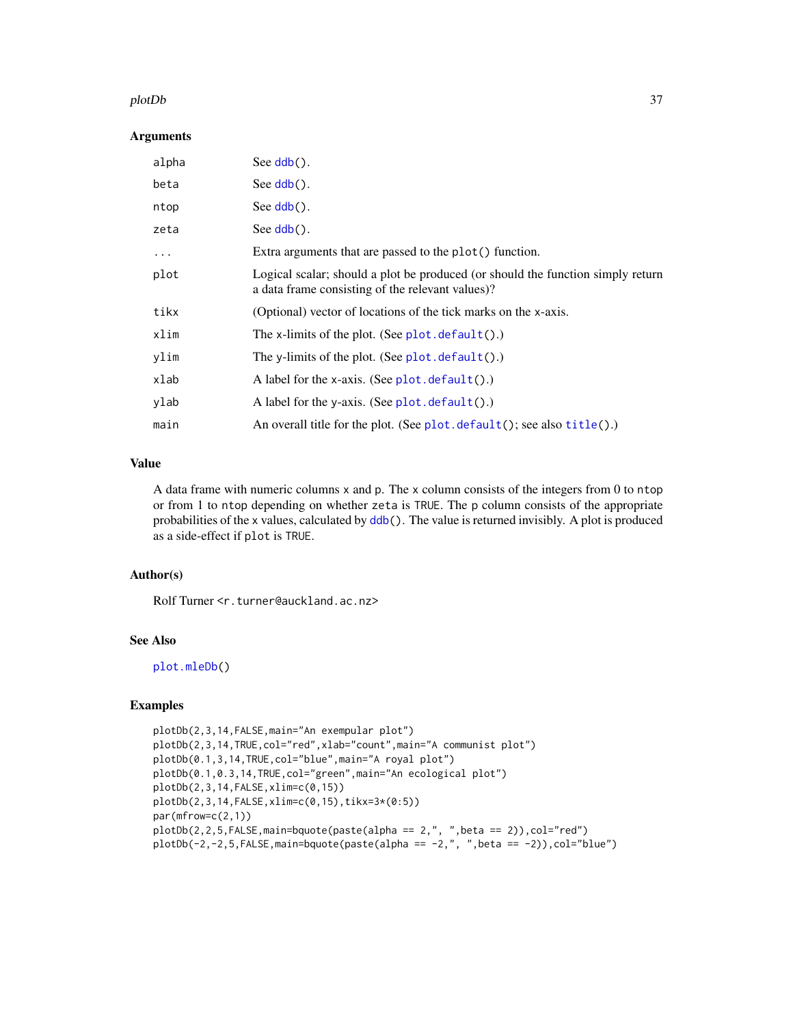#### <span id="page-36-0"></span>plotDb 37

#### **Arguments**

| alpha   | See $\mathsf{ddb}()$ .                                                                                                              |
|---------|-------------------------------------------------------------------------------------------------------------------------------------|
| beta    | See $\text{ddb}()$ .                                                                                                                |
| ntop    | See $\mathsf{ddb}()$ .                                                                                                              |
| zeta    | See $\mathsf{ddb}()$ .                                                                                                              |
| $\cdot$ | Extra arguments that are passed to the plot() function.                                                                             |
| plot    | Logical scalar; should a plot be produced (or should the function simply return<br>a data frame consisting of the relevant values)? |
| tikx    | (Optional) vector of locations of the tick marks on the x-axis.                                                                     |
| xlim    | The x-limits of the plot. (See $plot.$ default().)                                                                                  |
| ylim    | The y-limits of the plot. (See $plot.$ default().)                                                                                  |
| xlab    | A label for the x-axis. (See $plot.default().)$                                                                                     |
| ylab    | A label for the y-axis. (See $plot. default()$ .)                                                                                   |
| main    | An overall title for the plot. (See $plot$ . default(); see also $title()$ .)                                                       |

# Value

A data frame with numeric columns x and p. The x column consists of the integers from 0 to ntop or from 1 to ntop depending on whether zeta is TRUE. The p column consists of the appropriate probabilities of the x values, calculated by [ddb\(](#page-2-1)). The value is returned invisibly. A plot is produced as a side-effect if plot is TRUE.

# Author(s)

Rolf Turner <r.turner@auckland.ac.nz>

# See Also

[plot.mleDb\(](#page-32-1))

# Examples

```
plotDb(2,3,14,FALSE,main="An exempular plot")
plotDb(2,3,14,TRUE,col="red",xlab="count",main="A communist plot")
plotDb(0.1,3,14,TRUE,col="blue",main="A royal plot")
plotDb(0.1,0.3,14,TRUE,col="green",main="An ecological plot")
plotDb(2,3,14,FALSE,xlim=c(0,15))
plotDb(2,3,14,FALSE,xlim=c(0,15),tikx=3*(0:5))
par(mfrow=c(2,1))
plotDb(2,2,5,FALSE, main=bquote(paste(a1pha == 2, ", ", beta == 2)), col="red")plotDb(-2,-2,5,FALSE, main=bquote(paste(alpha == -2," , ",beta == -2)), col="blue")
```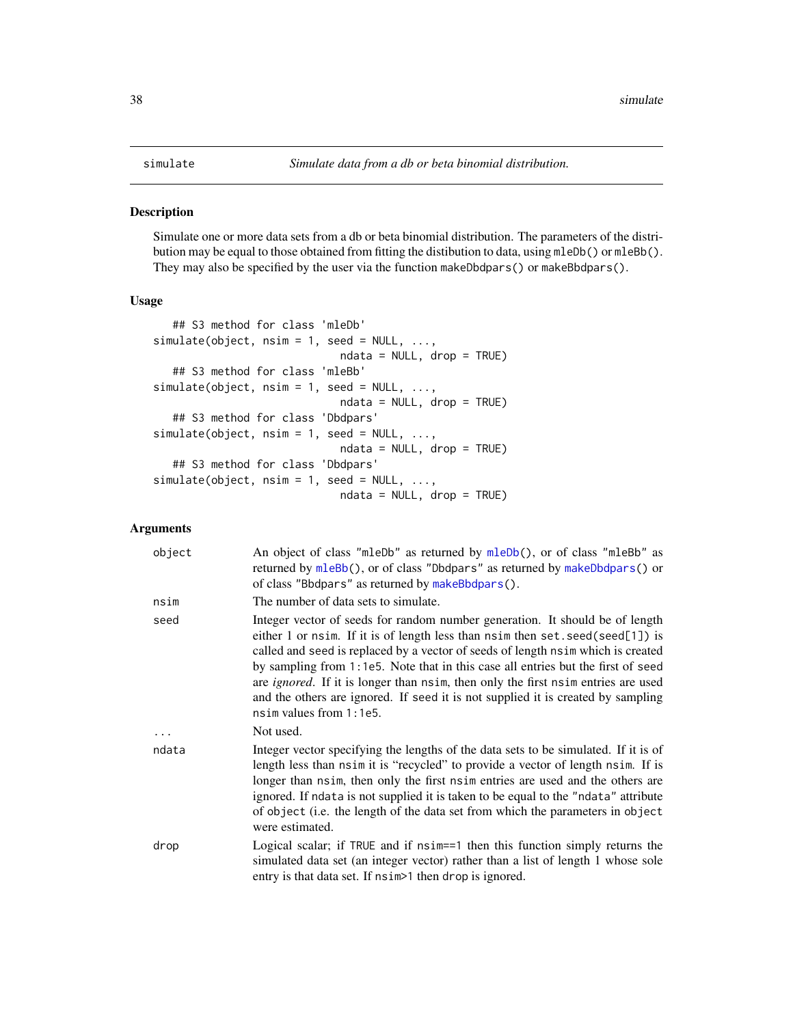# <span id="page-37-2"></span><span id="page-37-1"></span><span id="page-37-0"></span>Description

Simulate one or more data sets from a db or beta binomial distribution. The parameters of the distribution may be equal to those obtained from fitting the distibution to data, using mleDb() or mleBb(). They may also be specified by the user via the function makeDbdpars() or makeBbdpars().

# Usage

```
## S3 method for class 'mleDb'
simulate(object, nsim = 1, seed = NULL, ...,
                             ndata = NULL, drop = TRUE)
   ## S3 method for class 'mleBb'
simulate(object, nsim = 1, seed = NULL, ...,
                             ndata = NULL, drop = TRUE)
   ## S3 method for class 'Dbdpars'
simulate(object, nsim = 1, seed = NULL, ...,
                             ndata = NULL, drop = TRUE)
   ## S3 method for class 'Dbdpars'
simulate(object, nsim = 1, seed = NULL, ...,
                             ndata = NULL, drop = TRUE)
```
# Arguments

| object | An object of class "mleDb" as returned by mleDb(), or of class "mleBb" as<br>returned by mleBb(), or of class "Dbdpars" as returned by makeDbdpars() or<br>of class "Bbdpars" as returned by makeBbdpars().                                                                                                                                                                                                                                                                                                                                        |
|--------|----------------------------------------------------------------------------------------------------------------------------------------------------------------------------------------------------------------------------------------------------------------------------------------------------------------------------------------------------------------------------------------------------------------------------------------------------------------------------------------------------------------------------------------------------|
| nsim   | The number of data sets to simulate.                                                                                                                                                                                                                                                                                                                                                                                                                                                                                                               |
| seed   | Integer vector of seeds for random number generation. It should be of length<br>either 1 or nsim. If it is of length less than nsim then set. seed(seed[1]) is<br>called and seed is replaced by a vector of seeds of length nsim which is created<br>by sampling from 1:1e5. Note that in this case all entries but the first of seed<br>are <i>ignored</i> . If it is longer than nsim, then only the first nsim entries are used<br>and the others are ignored. If seed it is not supplied it is created by sampling<br>nsim values from 1:1e5. |
| .      | Not used.                                                                                                                                                                                                                                                                                                                                                                                                                                                                                                                                          |
| ndata  | Integer vector specifying the lengths of the data sets to be simulated. If it is of<br>length less than nsimit is "recycled" to provide a vector of length nsim. If is<br>longer than nsim, then only the first nsim entries are used and the others are<br>ignored. If ndata is not supplied it is taken to be equal to the "ndata" attribute<br>of object (i.e. the length of the data set from which the parameters in object<br>were estimated.                                                                                                |
| drop   | Logical scalar; if TRUE and if nsim==1 then this function simply returns the<br>simulated data set (an integer vector) rather than a list of length 1 whose sole<br>entry is that data set. If nsim > 1 then drop is ignored.                                                                                                                                                                                                                                                                                                                      |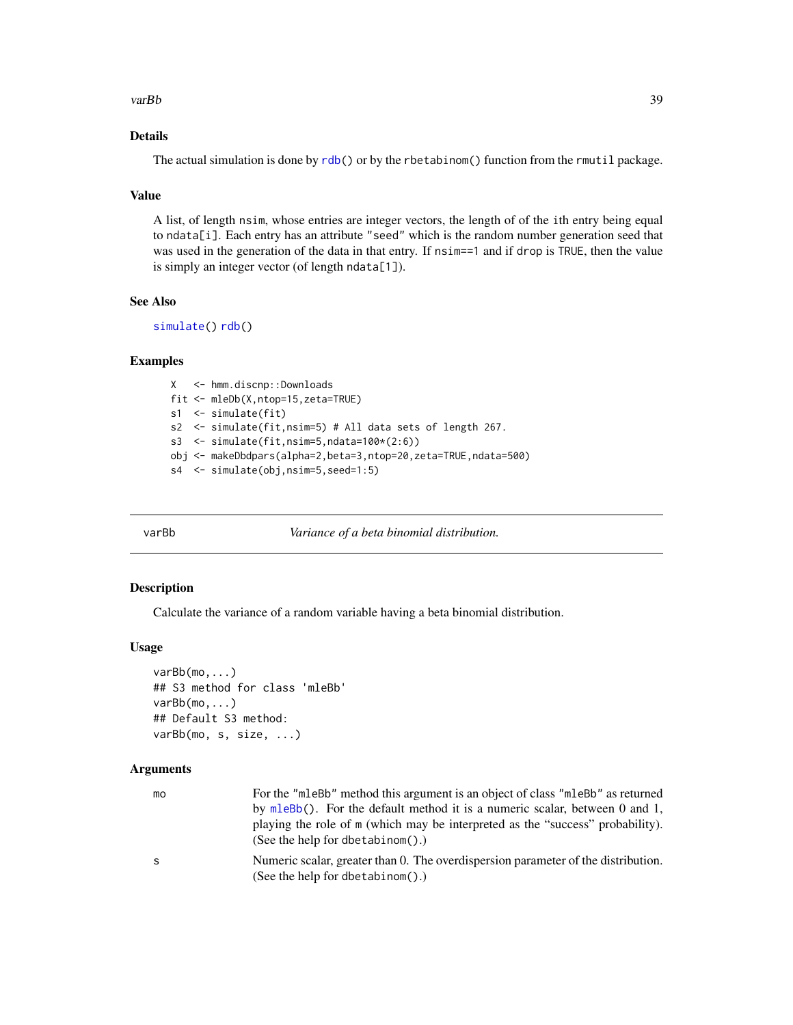#### <span id="page-38-0"></span>varBb 39

# Details

The actual simulation is done by [rdb\(](#page-2-1)) or by the rbetabinom() function from the rmutil package.

# Value

A list, of length nsim, whose entries are integer vectors, the length of of the ith entry being equal to ndata[i]. Each entry has an attribute "seed" which is the random number generation seed that was used in the generation of the data in that entry. If nsim==1 and if drop is TRUE, then the value is simply an integer vector (of length ndata[1]).

#### See Also

[simulate\(](#page-37-2)) [rdb\(](#page-2-1))

# Examples

```
X <- hmm.discnp::Downloads
fit <- mleDb(X,ntop=15,zeta=TRUE)
s1 <- simulate(fit)
s2 <- simulate(fit,nsim=5) # All data sets of length 267.
s3 <- simulate(fit,nsim=5,ndata=100*(2:6))
obj <- makeDbdpars(alpha=2,beta=3,ntop=20,zeta=TRUE,ndata=500)
s4 <- simulate(obj,nsim=5,seed=1:5)
```
<span id="page-38-1"></span>

varBb *Variance of a beta binomial distribution.*

#### Description

Calculate the variance of a random variable having a beta binomial distribution.

# Usage

```
varBb(mo,...)
## S3 method for class 'mleBb'
varBb(mo,...)
## Default S3 method:
varBb(mo, s, size, ...)
```
# Arguments

| mo | For the "mleBb" method this argument is an object of class "mleBb" as returned<br>by mleBb(). For the default method it is a numeric scalar, between 0 and 1,<br>playing the role of m (which may be interpreted as the "success" probability).<br>(See the help for dbetabinom().) |
|----|-------------------------------------------------------------------------------------------------------------------------------------------------------------------------------------------------------------------------------------------------------------------------------------|
| S  | Numeric scalar, greater than 0. The overdispersion parameter of the distribution.<br>(See the help for dbetabinom().)                                                                                                                                                               |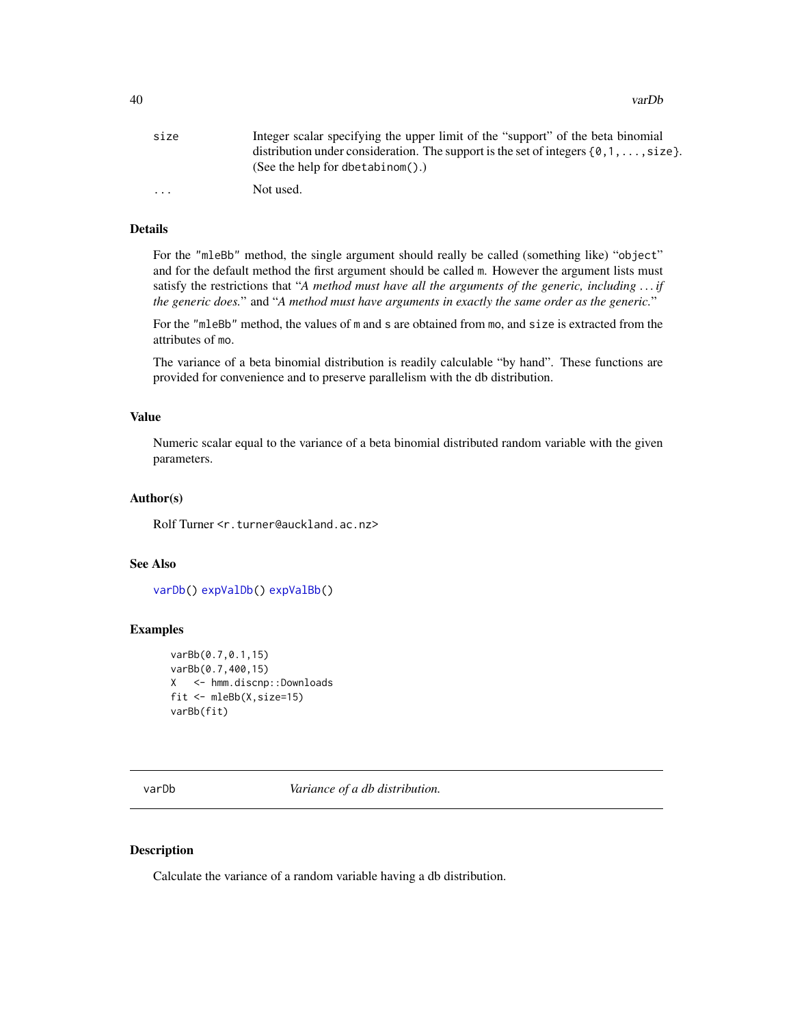<span id="page-39-0"></span>

| size     | Integer scalar specifying the upper limit of the "support" of the beta binomial              |
|----------|----------------------------------------------------------------------------------------------|
|          | distribution under consideration. The support is the set of integers $\{0, 1, \ldots,$ size. |
|          | (See the help for dbetabinom().)                                                             |
| $\cdots$ | Not used.                                                                                    |

# Details

For the "mleBb" method, the single argument should really be called (something like) "object" and for the default method the first argument should be called m. However the argument lists must satisfy the restrictions that "*A method must have all the arguments of the generic, including . . . if the generic does.*" and "*A method must have arguments in exactly the same order as the generic.*"

For the "mleBb" method, the values of m and s are obtained from mo, and size is extracted from the attributes of mo.

The variance of a beta binomial distribution is readily calculable "by hand". These functions are provided for convenience and to preserve parallelism with the db distribution.

#### Value

Numeric scalar equal to the variance of a beta binomial distributed random variable with the given parameters.

# Author(s)

Rolf Turner <r.turner@auckland.ac.nz>

### See Also

[varDb\(](#page-39-1)) [expValDb\(](#page-9-1)) [expValBb\(](#page-7-1))

# Examples

```
varBb(0.7,0.1,15)
varBb(0.7,400,15)
X <- hmm.discnp::Downloads
fit <- mleBb(X,size=15)
varBb(fit)
```
<span id="page-39-1"></span>varDb *Variance of a db distribution.*

# Description

Calculate the variance of a random variable having a db distribution.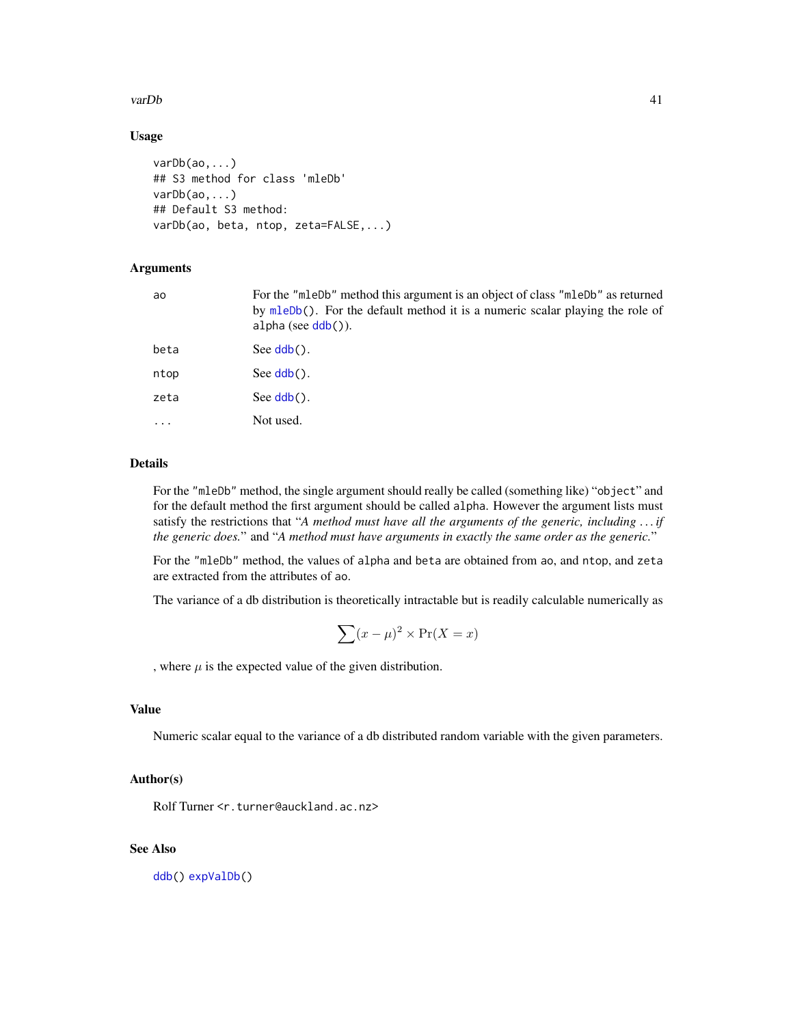#### <span id="page-40-0"></span>varDb 41

# Usage

```
varDb(ao,...)
## S3 method for class 'mleDb'
varDb(ao,...)
## Default S3 method:
varDb(ao, beta, ntop, zeta=FALSE,...)
```
# Arguments

| For the "mleDb" method this argument is an object of class "mleDb" as returned<br>by mleDb(). For the default method it is a numeric scalar playing the role of<br>$alpha (see ddb())$ . |
|------------------------------------------------------------------------------------------------------------------------------------------------------------------------------------------|
| See $\mathsf{ddb}()$ .                                                                                                                                                                   |
| See $\mathsf{ddb}()$ .                                                                                                                                                                   |
| See $\text{ddb}()$ .                                                                                                                                                                     |
| Not used.                                                                                                                                                                                |
|                                                                                                                                                                                          |

# Details

For the "mleDb" method, the single argument should really be called (something like) "object" and for the default method the first argument should be called alpha. However the argument lists must satisfy the restrictions that "*A method must have all the arguments of the generic, including . . . if the generic does.*" and "*A method must have arguments in exactly the same order as the generic.*"

For the "mleDb" method, the values of alpha and beta are obtained from ao, and ntop, and zeta are extracted from the attributes of ao.

The variance of a db distribution is theoretically intractable but is readily calculable numerically as

$$
\sum (x - \mu)^2 \times \Pr(X = x)
$$

, where  $\mu$  is the expected value of the given distribution.

# Value

Numeric scalar equal to the variance of a db distributed random variable with the given parameters.

# Author(s)

Rolf Turner <r.turner@auckland.ac.nz>

# See Also

[ddb\(](#page-2-1)) [expValDb\(](#page-9-1))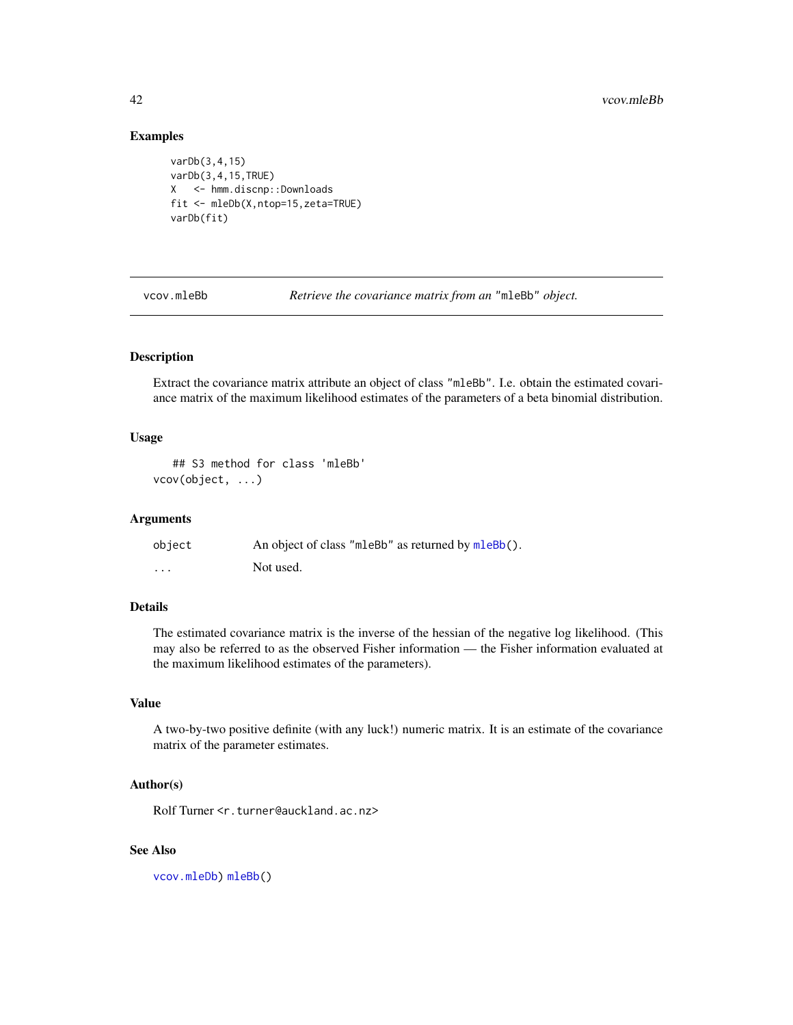# <span id="page-41-0"></span>Examples

```
varDb(3,4,15)
varDb(3,4,15,TRUE)
X <- hmm.discnp::Downloads
fit <- mleDb(X,ntop=15,zeta=TRUE)
varDb(fit)
```
<span id="page-41-1"></span>

vcov.mleBb *Retrieve the covariance matrix from an* "mleBb" *object.*

# Description

Extract the covariance matrix attribute an object of class "mleBb". I.e. obtain the estimated covariance matrix of the maximum likelihood estimates of the parameters of a beta binomial distribution.

# Usage

```
## S3 method for class 'mleBb'
vcov(object, ...)
```
# Arguments

| object | An object of class "mleBb" as returned by mleBb(). |
|--------|----------------------------------------------------|
| .      | Not used.                                          |

# Details

The estimated covariance matrix is the inverse of the hessian of the negative log likelihood. (This may also be referred to as the observed Fisher information — the Fisher information evaluated at the maximum likelihood estimates of the parameters).

# Value

A two-by-two positive definite (with any luck!) numeric matrix. It is an estimate of the covariance matrix of the parameter estimates.

# Author(s)

Rolf Turner <r.turner@auckland.ac.nz>

# See Also

[vcov.mleDb\)](#page-42-1) [mleBb\(](#page-24-1))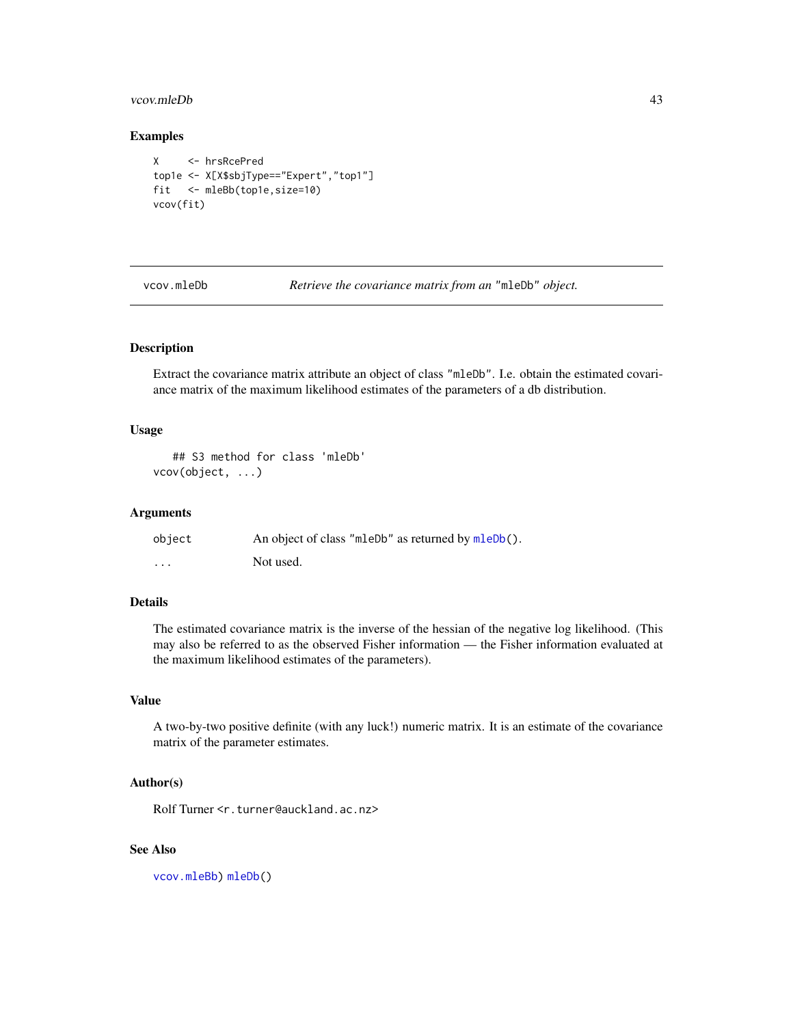#### <span id="page-42-0"></span>vcov.mleDb 43

# Examples

```
X <- hrsRcePred
top1e <- X[X$sbjType=="Expert","top1"]
fit <- mleBb(top1e,size=10)
vcov(fit)
```
<span id="page-42-1"></span>vcov.mleDb *Retrieve the covariance matrix from an* "mleDb" *object.*

# Description

Extract the covariance matrix attribute an object of class "mleDb". I.e. obtain the estimated covariance matrix of the maximum likelihood estimates of the parameters of a db distribution.

#### Usage

```
## S3 method for class 'mleDb'
vcov(object, ...)
```
# Arguments

| object                  | An object of class "mleDb" as returned by mleDb(). |
|-------------------------|----------------------------------------------------|
| $\cdot$ $\cdot$ $\cdot$ | Not used.                                          |

# Details

The estimated covariance matrix is the inverse of the hessian of the negative log likelihood. (This may also be referred to as the observed Fisher information — the Fisher information evaluated at the maximum likelihood estimates of the parameters).

#### Value

A two-by-two positive definite (with any luck!) numeric matrix. It is an estimate of the covariance matrix of the parameter estimates.

# Author(s)

Rolf Turner <r.turner@auckland.ac.nz>

### See Also

[vcov.mleBb\)](#page-41-1) [mleDb\(](#page-26-1))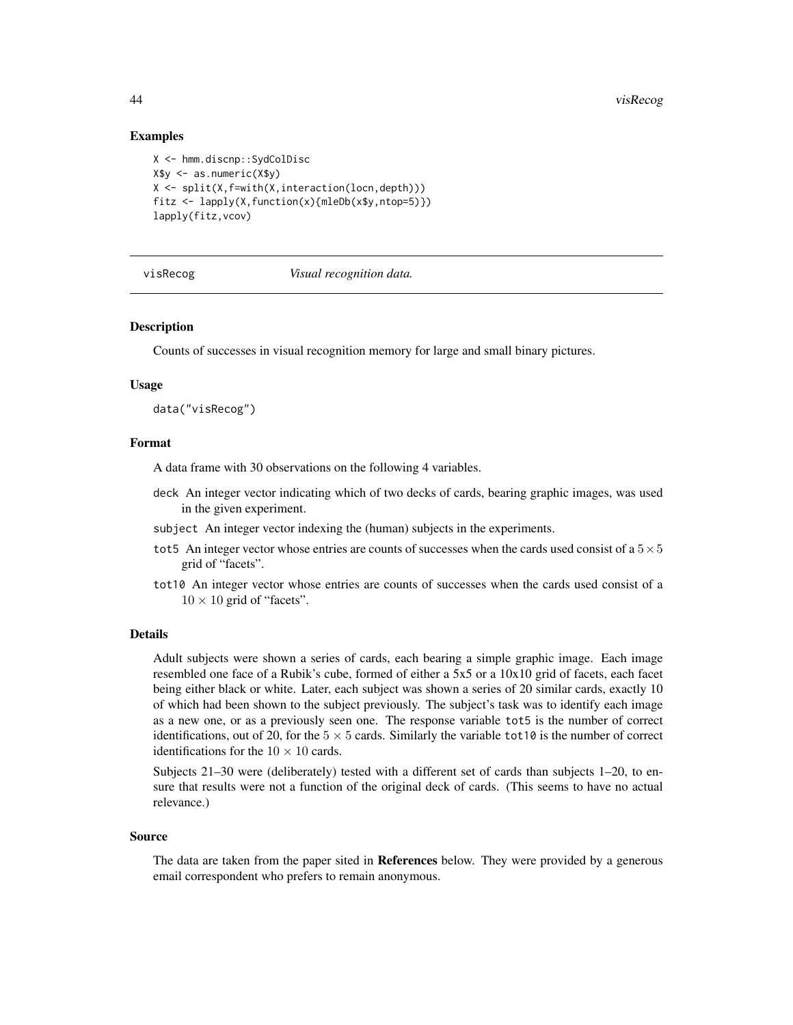# Examples

```
X <- hmm.discnp::SydColDisc
X$y <- as.numeric(X$y)
X \leftarrow split(X, f=with(X, interaction(locn, depth)))fitz <- lapply(X,function(x){mleDb(x$y,ntop=5)})
lapply(fitz,vcov)
```
<span id="page-43-1"></span>

#### visRecog *Visual recognition data.*

#### Description

Counts of successes in visual recognition memory for large and small binary pictures.

#### Usage

data("visRecog")

#### Format

A data frame with 30 observations on the following 4 variables.

- deck An integer vector indicating which of two decks of cards, bearing graphic images, was used in the given experiment.
- subject An integer vector indexing the (human) subjects in the experiments.
- tot5 An integer vector whose entries are counts of successes when the cards used consist of a  $5 \times 5$ grid of "facets".
- tot10 An integer vector whose entries are counts of successes when the cards used consist of a  $10 \times 10$  grid of "facets".

#### Details

Adult subjects were shown a series of cards, each bearing a simple graphic image. Each image resembled one face of a Rubik's cube, formed of either a 5x5 or a 10x10 grid of facets, each facet being either black or white. Later, each subject was shown a series of 20 similar cards, exactly 10 of which had been shown to the subject previously. The subject's task was to identify each image as a new one, or as a previously seen one. The response variable tot5 is the number of correct identifications, out of 20, for the  $5 \times 5$  cards. Similarly the variable tot10 is the number of correct identifications for the  $10 \times 10$  cards.

Subjects 21–30 were (deliberately) tested with a different set of cards than subjects 1–20, to ensure that results were not a function of the original deck of cards. (This seems to have no actual relevance.)

#### Source

The data are taken from the paper sited in References below. They were provided by a generous email correspondent who prefers to remain anonymous.

<span id="page-43-0"></span>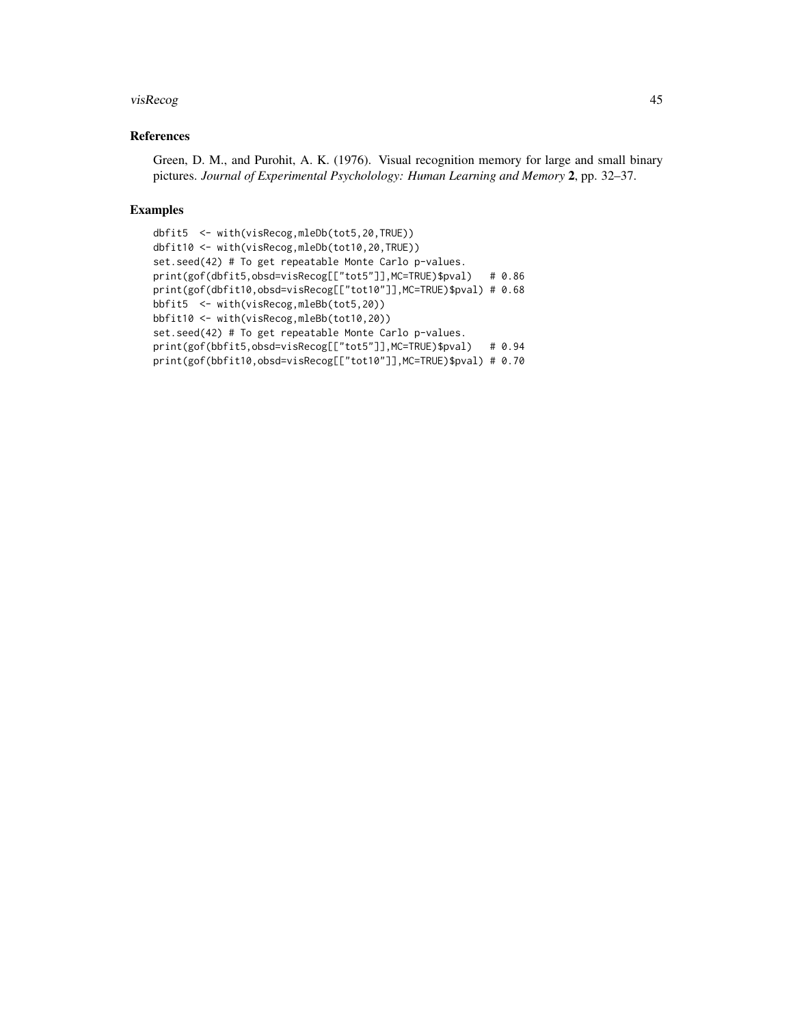#### visRecog and the state of the state of the state of the state of the state of the state of the state of the state of the state of the state of the state of the state of the state of the state of the state of the state of t

# References

Green, D. M., and Purohit, A. K. (1976). Visual recognition memory for large and small binary pictures. *Journal of Experimental Psycholology: Human Learning and Memory* 2, pp. 32–37.

# Examples

```
dbfit5 <- with(visRecog,mleDb(tot5,20,TRUE))
dbfit10 <- with(visRecog,mleDb(tot10,20,TRUE))
set.seed(42) # To get repeatable Monte Carlo p-values.
print(gof(dbfit5,obsd=visRecog[["tot5"]],MC=TRUE)$pval) # 0.86
print(gof(dbfit10,obsd=visRecog[["tot10"]],MC=TRUE)$pval) # 0.68
bbfit5 <- with(visRecog,mleBb(tot5,20))
bbfit10 <- with(visRecog,mleBb(tot10,20))
set.seed(42) # To get repeatable Monte Carlo p-values.
print(gof(bbfit5,obsd=visRecog[["tot5"]],MC=TRUE)$pval) # 0.94
print(gof(bbfit10,obsd=visRecog[["tot10"]],MC=TRUE)$pval) # 0.70
```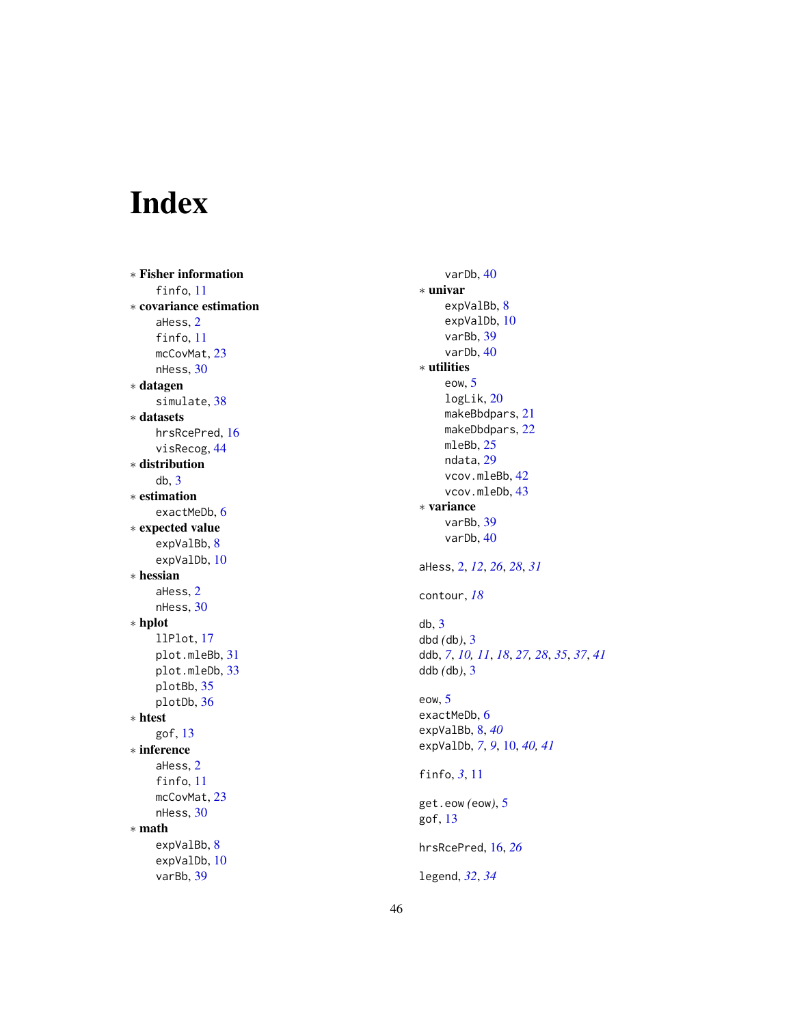# <span id="page-45-0"></span>Index

∗ Fisher information finfo , [11](#page-10-0) ∗ covariance estimation aHess , [2](#page-1-0) finfo, [11](#page-10-0) mcCovMat, [23](#page-22-0) nHess , [30](#page-29-0) ∗ datagen simulate, [38](#page-37-0) ∗ datasets hrsRcePred, [16](#page-15-0) visRecog , [44](#page-43-0) ∗ distribution db , [3](#page-2-0) ∗ estimation exactMeDb, [6](#page-5-0) ∗ expected value expValBb , [8](#page-7-0) expValDb , [10](#page-9-0) ∗ hessian aHess , [2](#page-1-0) nHess , [30](#page-29-0) ∗ hplot llPlot , [17](#page-16-0) plot.mleBb , [31](#page-30-0) plot.mleDb , [33](#page-32-0) plotBb , [35](#page-34-0) plotDb , [36](#page-35-0) ∗ htest gof , [13](#page-12-0) ∗ inference aHess , [2](#page-1-0) finfo , [11](#page-10-0) mcCovMat, [23](#page-22-0) nHess, [30](#page-29-0) ∗ math expValBb , [8](#page-7-0) expValDb , [10](#page-9-0) varBb , [39](#page-38-0)

varDb , [40](#page-39-0) ∗ univar expValBb , [8](#page-7-0) expValDb , [10](#page-9-0) varBb , [39](#page-38-0) varDb, [40](#page-39-0) ∗ utilities eow , [5](#page-4-0) logLik , [20](#page-19-0) makeBbdpars , [21](#page-20-0) makeDbdpars, [22](#page-21-0) mleBb , [25](#page-24-0) ndata , [29](#page-28-0) vcov.mleBb , [42](#page-41-0) vcov.mleDb , [43](#page-42-0) ∗ variance varBb , [39](#page-38-0) varDb , [40](#page-39-0) aHess , [2](#page-1-0) , *[12](#page-11-0)* , *[26](#page-25-0)* , *[28](#page-27-0)* , *[31](#page-30-0)* contour , *[18](#page-17-0)* db , [3](#page-2-0) dbd *(*db *)* , [3](#page-2-0) ddb , *[7](#page-6-0)* , *[10](#page-9-0) , [11](#page-10-0)* , *[18](#page-17-0)* , *[27,](#page-26-0) [28](#page-27-0)* , *[35](#page-34-0)* , *[37](#page-36-0)* , *[41](#page-40-0)* ddb *(*db *)* , [3](#page-2-0) eow , [5](#page-4-0) exactMeDb, [6](#page-5-0) expValBb , [8](#page-7-0) , *[40](#page-39-0)* expValDb, [7](#page-6-0), [9](#page-8-0), [10](#page-9-0), [40](#page-39-0), [41](#page-40-0) finfo, [3](#page-2-0), [11](#page-10-0) get.eow *(*eow *)* , [5](#page-4-0) gof , [13](#page-12-0) hrsRcePred , [16](#page-15-0) , *[26](#page-25-0)* legend , *[32](#page-31-0)* , *[34](#page-33-0)*